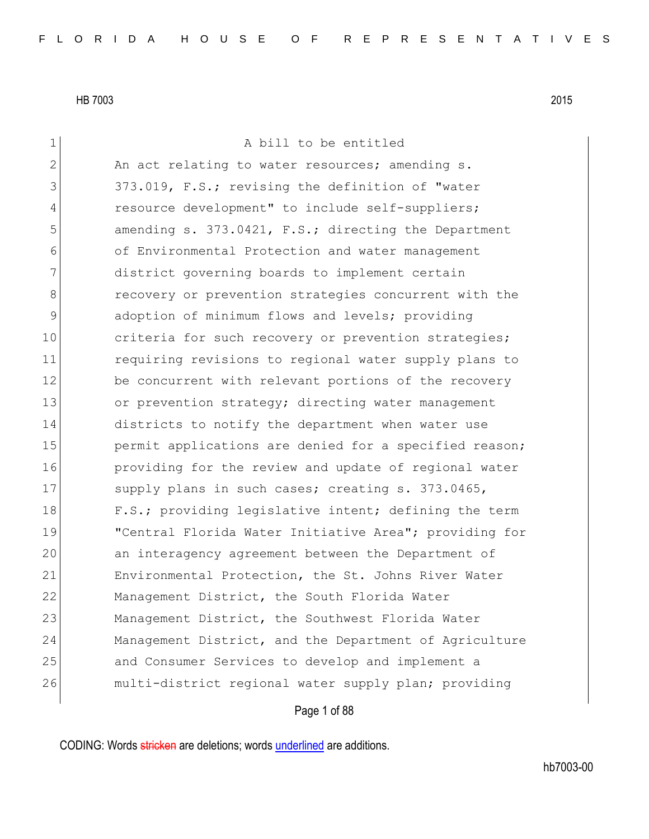| A bill to be entitled                                  |
|--------------------------------------------------------|
| An act relating to water resources; amending s.        |
| 373.019, F.S.; revising the definition of "water       |
| resource development" to include self-suppliers;       |
| amending s. 373.0421, F.S.; directing the Department   |
| of Environmental Protection and water management       |
| district governing boards to implement certain         |
| recovery or prevention strategies concurrent with the  |
|                                                        |
| adoption of minimum flows and levels; providing        |
| criteria for such recovery or prevention strategies;   |
| requiring revisions to regional water supply plans to  |
| be concurrent with relevant portions of the recovery   |
| or prevention strategy; directing water management     |
| districts to notify the department when water use      |
| permit applications are denied for a specified reason; |
| providing for the review and update of regional water  |
| supply plans in such cases; creating s. 373.0465,      |
| F.S.; providing legislative intent; defining the term  |
| "Central Florida Water Initiative Area"; providing for |
| an interagency agreement between the Department of     |
| Environmental Protection, the St. Johns River Water    |
| Management District, the South Florida Water           |
| Management District, the Southwest Florida Water       |
| Management District, and the Department of Agriculture |
| and Consumer Services to develop and implement a       |
| multi-district regional water supply plan; providing   |
| Page 1 of 88                                           |
|                                                        |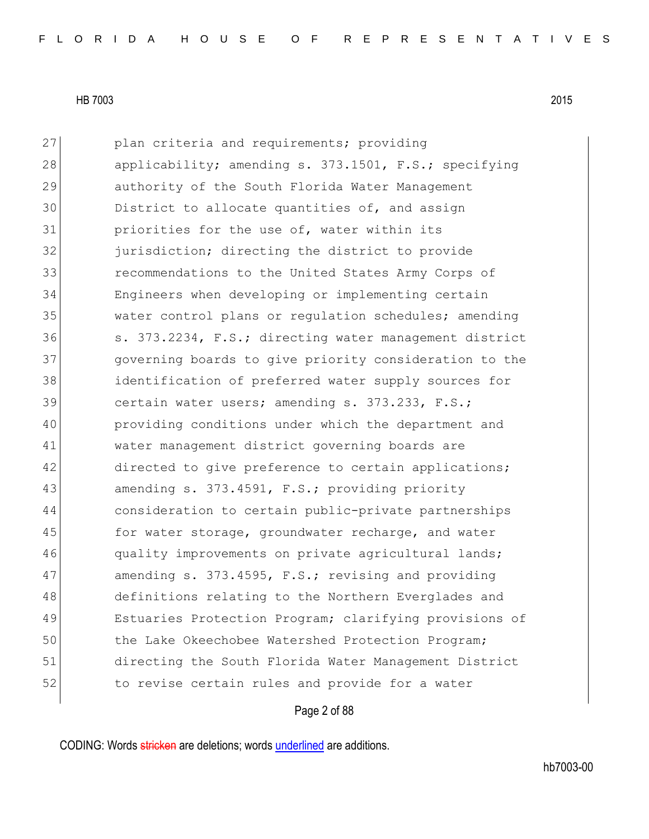| 27 | plan criteria and requirements; providing              |
|----|--------------------------------------------------------|
| 28 | applicability; amending s. 373.1501, F.S.; specifying  |
| 29 | authority of the South Florida Water Management        |
| 30 | District to allocate quantities of, and assign         |
| 31 | priorities for the use of, water within its            |
| 32 | jurisdiction; directing the district to provide        |
| 33 | recommendations to the United States Army Corps of     |
| 34 | Engineers when developing or implementing certain      |
| 35 | water control plans or regulation schedules; amending  |
| 36 | s. 373.2234, F.S.; directing water management district |
| 37 | governing boards to give priority consideration to the |
| 38 | identification of preferred water supply sources for   |
| 39 | certain water users; amending s. 373.233, F.S.;        |
| 40 | providing conditions under which the department and    |
| 41 | water management district governing boards are         |
| 42 | directed to give preference to certain applications;   |
| 43 | amending s. 373.4591, F.S.; providing priority         |
| 44 | consideration to certain public-private partnerships   |
| 45 | for water storage, groundwater recharge, and water     |
| 46 | quality improvements on private agricultural lands;    |
| 47 | amending s. 373.4595, F.S.; revising and providing     |
| 48 | definitions relating to the Northern Everglades and    |
| 49 | Estuaries Protection Program; clarifying provisions of |
| 50 | the Lake Okeechobee Watershed Protection Program;      |
| 51 | directing the South Florida Water Management District  |
| 52 | to revise certain rules and provide for a water        |

Page 2 of 88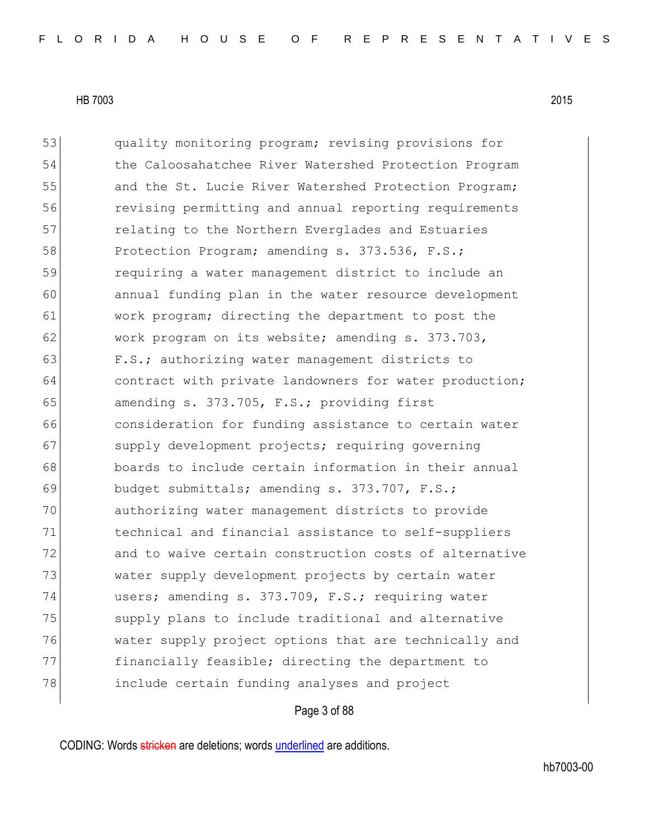53 quality monitoring program; revising provisions for 54 the Caloosahatchee River Watershed Protection Program 55 and the St. Lucie River Watershed Protection Program; 56 revising permitting and annual reporting requirements 57 **Fig.** relating to the Northern Everglades and Estuaries 58 Protection Program; amending s. 373.536, F.S.; 59 requiring a water management district to include an 60 annual funding plan in the water resource development 61 work program; directing the department to post the 62 work program on its website; amending s. 373.703, 63 F.S.; authorizing water management districts to 64 contract with private landowners for water production; 65 amending s.  $373.705$ , F.S.; providing first 66 consideration for funding assistance to certain water 67 supply development projects; requiring governing 68 boards to include certain information in their annual 69 budget submittals; amending s. 373.707, F.S.; 70 authorizing water management districts to provide 71 technical and financial assistance to self-suppliers 72 and to waive certain construction costs of alternative 73 water supply development projects by certain water 74 users; amending s. 373.709, F.S.; requiring water 75 Supply plans to include traditional and alternative 76 water supply project options that are technically and 77 financially feasible; directing the department to 78 include certain funding analyses and project

### Page 3 of 88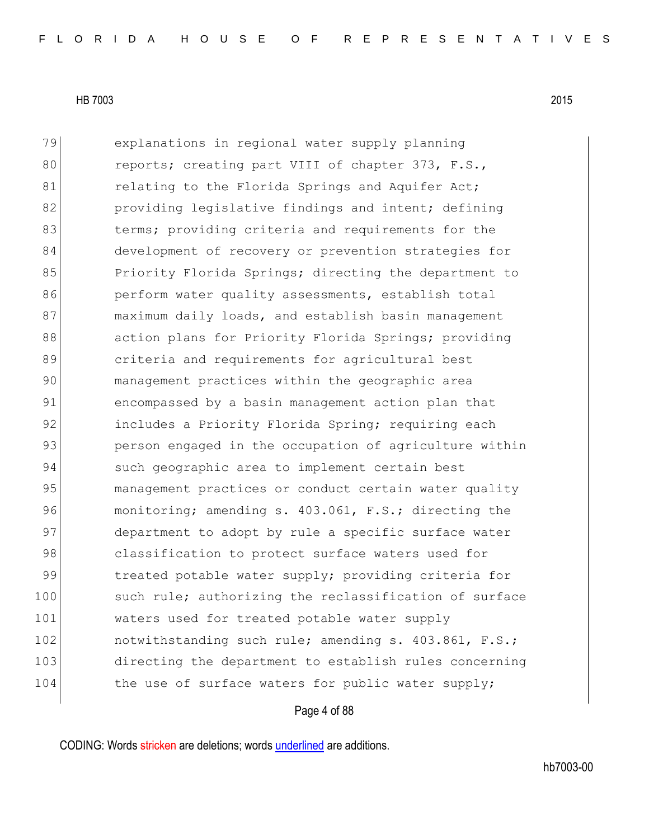79 explanations in regional water supply planning 80 reports; creating part VIII of chapter 373, F.S., 81 relating to the Florida Springs and Aquifer Act; 82 **providing legislative findings and intent; defining** 83 berms; providing criteria and requirements for the 84 development of recovery or prevention strategies for 85 Priority Florida Springs; directing the department to 86 perform water quality assessments, establish total 87 maximum daily loads, and establish basin management 88 action plans for Priority Florida Springs; providing 89 **b** criteria and requirements for agricultural best 90 management practices within the geographic area 91 encompassed by a basin management action plan that 92 includes a Priority Florida Spring; requiring each 93 person engaged in the occupation of agriculture within 94 such geographic area to implement certain best 95 management practices or conduct certain water quality 96 monitoring; amending s. 403.061, F.S.; directing the 97 department to adopt by rule a specific surface water 98 classification to protect surface waters used for 99 treated potable water supply; providing criteria for 100 such rule; authorizing the reclassification of surface 101 waters used for treated potable water supply 102 notwithstanding such rule; amending s. 403.861, F.S.; 103 directing the department to establish rules concerning 104 the use of surface waters for public water supply;

Page 4 of 88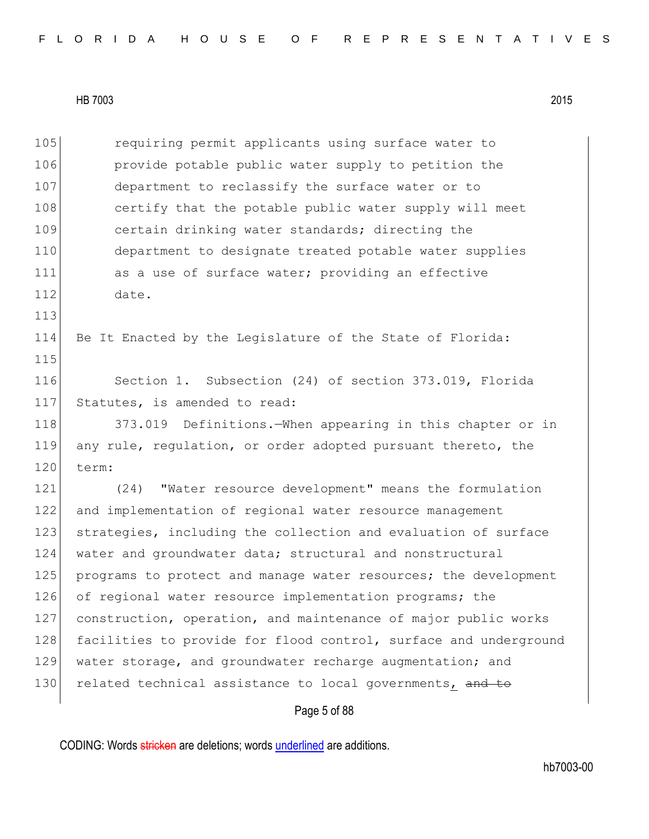|  |  |  |  |  |  |  |  | FLORIDA HOUSE OF REPRESENTATIVES |  |  |  |  |  |  |  |  |  |  |  |  |  |  |  |  |  |  |  |  |  |  |  |  |  |  |
|--|--|--|--|--|--|--|--|----------------------------------|--|--|--|--|--|--|--|--|--|--|--|--|--|--|--|--|--|--|--|--|--|--|--|--|--|--|
|--|--|--|--|--|--|--|--|----------------------------------|--|--|--|--|--|--|--|--|--|--|--|--|--|--|--|--|--|--|--|--|--|--|--|--|--|--|

Page 5 of 88 105 **requiring permit applicants using surface water to** 106 **provide potable public water supply to petition the** 107 department to reclassify the surface water or to 108 certify that the potable public water supply will meet 109 certain drinking water standards; directing the 110 department to designate treated potable water supplies 111 as a use of surface water; providing an effective 112 date. 113 114 Be It Enacted by the Legislature of the State of Florida: 115 116 Section 1. Subsection (24) of section 373.019, Florida 117 Statutes, is amended to read: 118 373.019 Definitions.—When appearing in this chapter or in 119 any rule, regulation, or order adopted pursuant thereto, the 120 term: 121 (24) "Water resource development" means the formulation 122 and implementation of regional water resource management 123 strategies, including the collection and evaluation of surface 124 water and groundwater data; structural and nonstructural 125 programs to protect and manage water resources; the development 126 of regional water resource implementation programs; the 127 construction, operation, and maintenance of major public works 128 facilities to provide for flood control, surface and underground 129 water storage, and groundwater recharge augmentation; and 130 related technical assistance to local governments, and to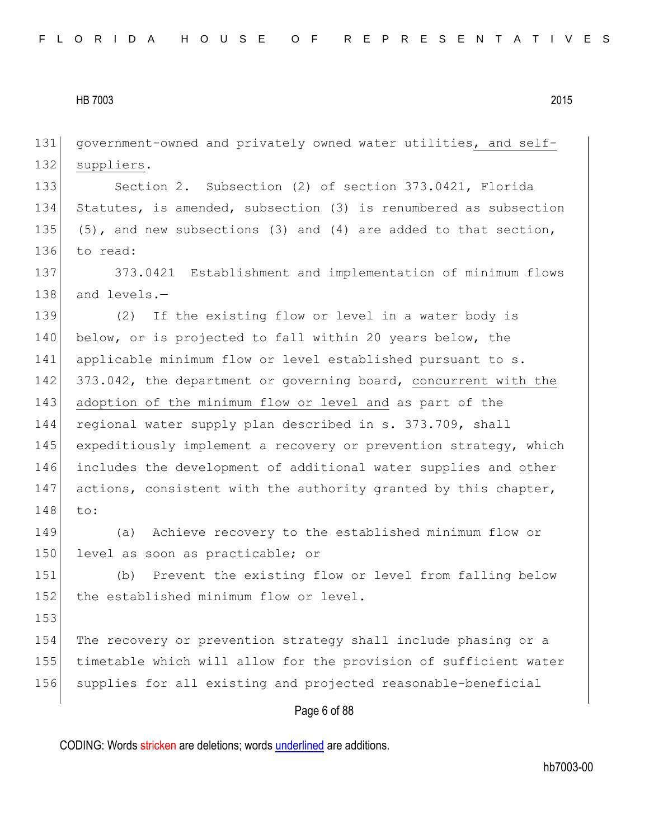131 government-owned and privately owned water utilities, and self-132 suppliers.

133 Section 2. Subsection (2) of section 373.0421, Florida 134 Statutes, is amended, subsection (3) is renumbered as subsection 135 (5), and new subsections (3) and (4) are added to that section, 136 to read:

137 373.0421 Establishment and implementation of minimum flows 138 and levels.-

139 (2) If the existing flow or level in a water body is 140 below, or is projected to fall within 20 years below, the 141 applicable minimum flow or level established pursuant to s. 142 373.042, the department or governing board, concurrent with the 143 adoption of the minimum flow or level and as part of the 144 regional water supply plan described in s. 373.709, shall 145 expeditiously implement a recovery or prevention strategy, which 146 includes the development of additional water supplies and other 147 actions, consistent with the authority granted by this chapter, 148 to:

149 (a) Achieve recovery to the established minimum flow or 150 level as soon as practicable; or

151 (b) Prevent the existing flow or level from falling below 152 the established minimum flow or level.

153

154 The recovery or prevention strategy shall include phasing or a 155 timetable which will allow for the provision of sufficient water 156 supplies for all existing and projected reasonable-beneficial

# Page 6 of 88

CODING: Words stricken are deletions; words underlined are additions.

hb7003-00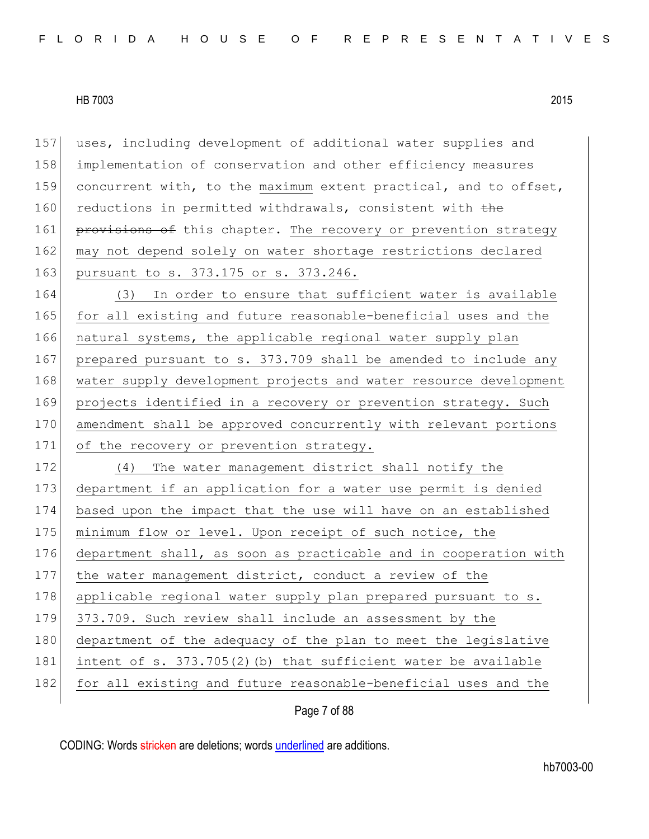157 uses, including development of additional water supplies and 158 implementation of conservation and other efficiency measures 159 concurrent with, to the maximum extent practical, and to offset, 160 reductions in permitted withdrawals, consistent with the 161 provisions of this chapter. The recovery or prevention strategy 162 may not depend solely on water shortage restrictions declared 163 pursuant to s. 373.175 or s. 373.246. 164 (3) In order to ensure that sufficient water is available 165 for all existing and future reasonable-beneficial uses and the 166 natural systems, the applicable regional water supply plan 167 prepared pursuant to s. 373.709 shall be amended to include any 168 water supply development projects and water resource development 169 projects identified in a recovery or prevention strategy. Such 170 amendment shall be approved concurrently with relevant portions 171 of the recovery or prevention strategy. 172 (4) The water management district shall notify the 173 department if an application for a water use permit is denied 174 based upon the impact that the use will have on an established 175 minimum flow or level. Upon receipt of such notice, the 176 department shall, as soon as practicable and in cooperation with 177 the water management district, conduct a review of the 178 applicable regional water supply plan prepared pursuant to s. 179 373.709. Such review shall include an assessment by the 180 department of the adequacy of the plan to meet the legislative 181 intent of s. 373.705(2)(b) that sufficient water be available 182 for all existing and future reasonable-beneficial uses and the

Page 7 of 88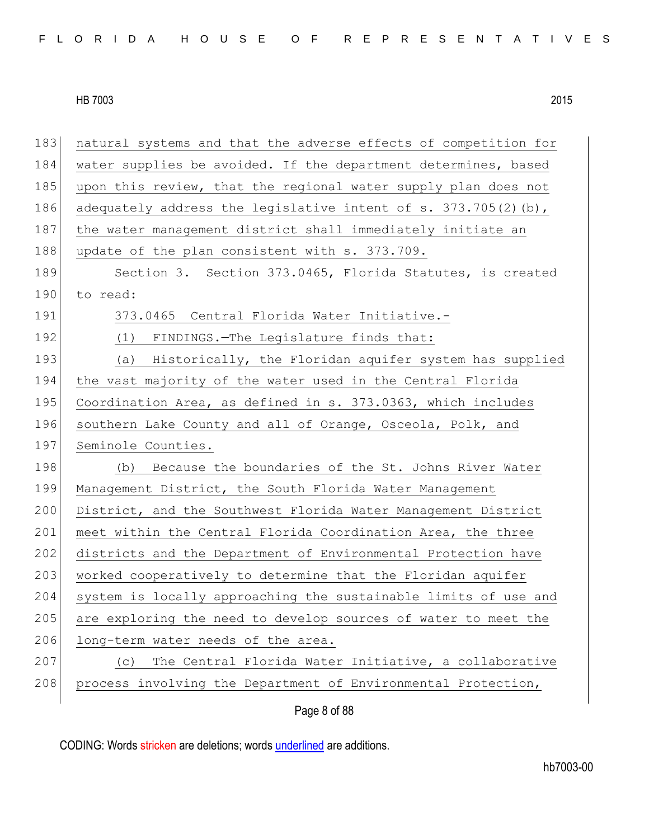Page 8 of 88 183 natural systems and that the adverse effects of competition for 184 water supplies be avoided. If the department determines, based 185 upon this review, that the regional water supply plan does not 186 adequately address the legislative intent of s.  $373.705(2)(b)$ , 187 the water management district shall immediately initiate an 188 update of the plan consistent with s. 373.709. 189 Section 3. Section 373.0465, Florida Statutes, is created 190 to read: 191 373.0465 Central Florida Water Initiative.- 192 (1) FINDINGS. The Legislature finds that: 193 (a) Historically, the Floridan aquifer system has supplied 194 the vast majority of the water used in the Central Florida 195 Coordination Area, as defined in s. 373.0363, which includes 196 southern Lake County and all of Orange, Osceola, Polk, and 197 Seminole Counties. 198 (b) Because the boundaries of the St. Johns River Water 199 Management District, the South Florida Water Management 200 District, and the Southwest Florida Water Management District 201 meet within the Central Florida Coordination Area, the three 202 districts and the Department of Environmental Protection have 203 worked cooperatively to determine that the Floridan aquifer 204 system is locally approaching the sustainable limits of use and 205 are exploring the need to develop sources of water to meet the 206 long-term water needs of the area. 207 (c) The Central Florida Water Initiative, a collaborative 208 process involving the Department of Environmental Protection,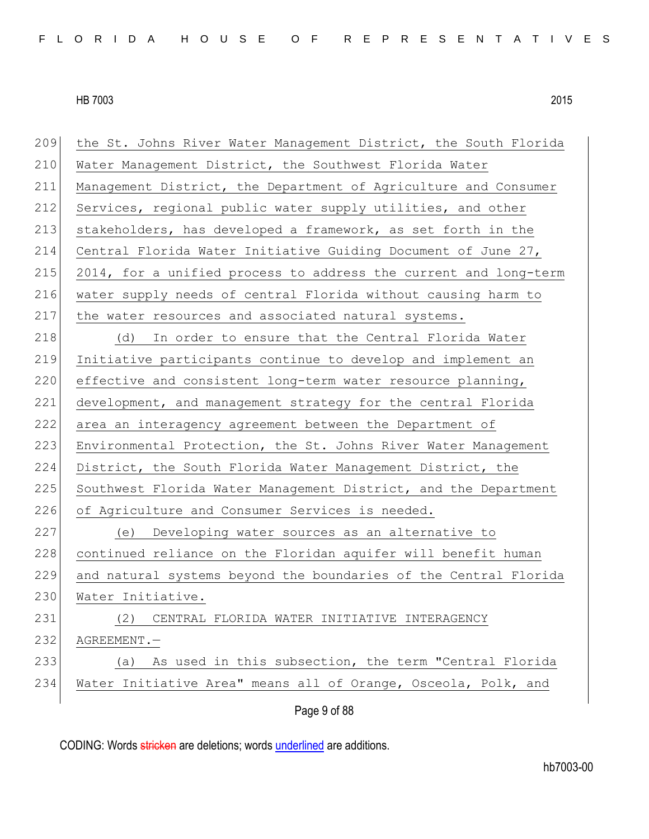| 234 | Water Initiative Area" means all of Orange, Osceola, Polk, and   |
|-----|------------------------------------------------------------------|
| 233 | As used in this subsection, the term "Central Florida<br>(a)     |
| 232 | AGREEMENT.-                                                      |
| 231 | CENTRAL FLORIDA WATER INITIATIVE INTERAGENCY<br>(2)              |
| 230 | Water Initiative.                                                |
| 229 | and natural systems beyond the boundaries of the Central Florida |
| 228 | continued reliance on the Floridan aquifer will benefit human    |
| 227 | (e) Developing water sources as an alternative to                |
| 226 | of Agriculture and Consumer Services is needed.                  |
| 225 | Southwest Florida Water Management District, and the Department  |
| 224 | District, the South Florida Water Management District, the       |
| 223 | Environmental Protection, the St. Johns River Water Management   |
| 222 | area an interagency agreement between the Department of          |
| 221 | development, and management strategy for the central Florida     |
| 220 | effective and consistent long-term water resource planning,      |
| 219 | Initiative participants continue to develop and implement an     |
| 218 | In order to ensure that the Central Florida Water<br>(d)         |
| 217 | the water resources and associated natural systems.              |
| 216 | water supply needs of central Florida without causing harm to    |
| 215 | 2014, for a unified process to address the current and long-term |
| 214 | Central Florida Water Initiative Guiding Document of June 27,    |
| 213 | stakeholders, has developed a framework, as set forth in the     |
| 212 | Services, regional public water supply utilities, and other      |
| 211 | Management District, the Department of Agriculture and Consumer  |
| 210 | Water Management District, the Southwest Florida Water           |
| 209 | the St. Johns River Water Management District, the South Florida |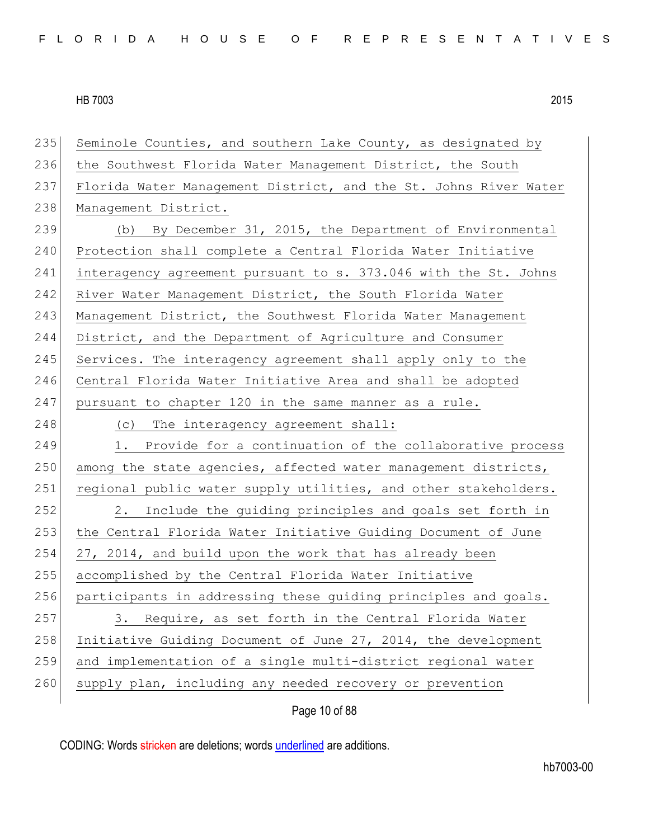| 235 | Seminole Counties, and southern Lake County, as designated by    |
|-----|------------------------------------------------------------------|
| 236 | the Southwest Florida Water Management District, the South       |
| 237 | Florida Water Management District, and the St. Johns River Water |
| 238 | Management District.                                             |
| 239 | (b) By December 31, 2015, the Department of Environmental        |
| 240 | Protection shall complete a Central Florida Water Initiative     |
| 241 | interagency agreement pursuant to s. 373.046 with the St. Johns  |
| 242 | River Water Management District, the South Florida Water         |
| 243 | Management District, the Southwest Florida Water Management      |
| 244 | District, and the Department of Agriculture and Consumer         |
| 245 | Services. The interagency agreement shall apply only to the      |
| 246 | Central Florida Water Initiative Area and shall be adopted       |
| 247 | pursuant to chapter 120 in the same manner as a rule.            |
| 248 | The interagency agreement shall:<br>(C)                          |
| 249 | 1. Provide for a continuation of the collaborative process       |
| 250 | among the state agencies, affected water management districts,   |
| 251 | regional public water supply utilities, and other stakeholders.  |
| 252 | Include the guiding principles and goals set forth in<br>2.      |
| 253 | the Central Florida Water Initiative Guiding Document of June    |
| 254 | 27, 2014, and build upon the work that has already been          |
| 255 | accomplished by the Central Florida Water Initiative             |
| 256 | participants in addressing these quiding principles and goals.   |
| 257 | Require, as set forth in the Central Florida Water<br>3.         |
| 258 | Initiative Guiding Document of June 27, 2014, the development    |
| 259 | and implementation of a single multi-district regional water     |
| 260 | supply plan, including any needed recovery or prevention         |
|     |                                                                  |

Page 10 of 88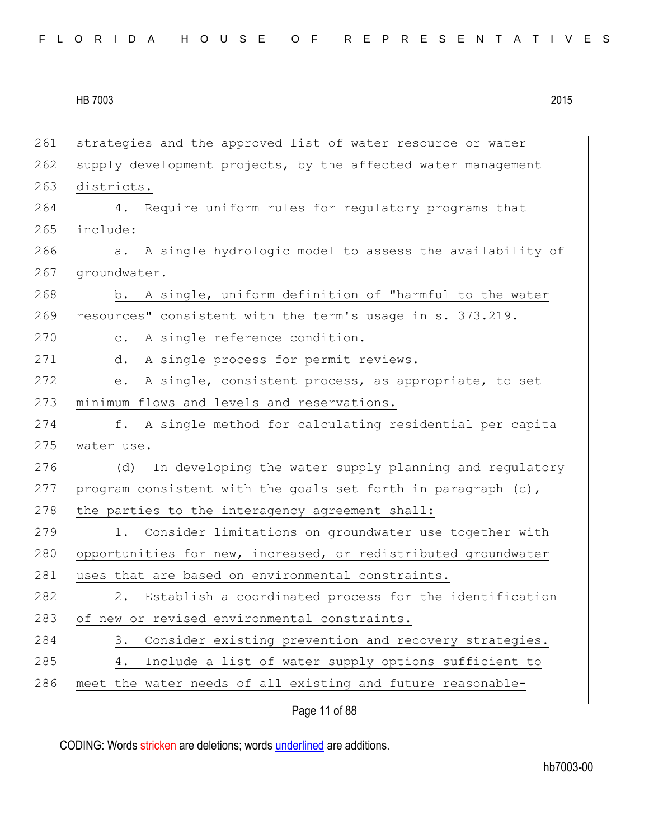| 261 | strategies and the approved list of water resource or water    |
|-----|----------------------------------------------------------------|
| 262 | supply development projects, by the affected water management  |
| 263 | districts.                                                     |
| 264 | Require uniform rules for regulatory programs that<br>4.       |
| 265 | include:                                                       |
| 266 | A single hydrologic model to assess the availability of<br>a.  |
| 267 | groundwater.                                                   |
| 268 | b. A single, uniform definition of "harmful to the water       |
| 269 | resources" consistent with the term's usage in s. 373.219.     |
| 270 | A single reference condition.<br>$\circ$ .                     |
| 271 | A single process for permit reviews.<br>d.                     |
| 272 | A single, consistent process, as appropriate, to set<br>e.     |
| 273 | minimum flows and levels and reservations.                     |
| 274 | f. A single method for calculating residential per capita      |
| 275 | water use.                                                     |
| 276 | In developing the water supply planning and regulatory<br>(d)  |
| 277 | program consistent with the goals set forth in paragraph (c),  |
| 278 | the parties to the interagency agreement shall:                |
| 279 | Consider limitations on groundwater use together with<br>1.    |
| 280 | opportunities for new, increased, or redistributed groundwater |
| 281 | uses that are based on environmental constraints.              |
| 282 | 2. Establish a coordinated process for the identification      |
| 283 | of new or revised environmental constraints.                   |
| 284 | Consider existing prevention and recovery strategies.<br>3.    |
| 285 | Include a list of water supply options sufficient to<br>4.     |
| 286 | meet the water needs of all existing and future reasonable-    |
|     |                                                                |

Page 11 of 88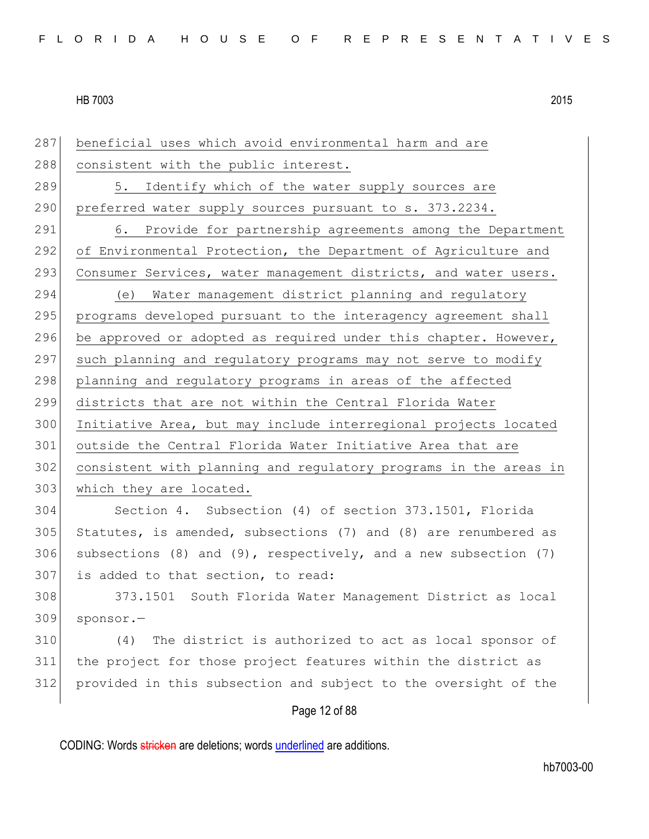Page 12 of 88 287 beneficial uses which avoid environmental harm and are 288 consistent with the public interest. 289 5. Identify which of the water supply sources are 290 preferred water supply sources pursuant to s. 373.2234. 291 6. Provide for partnership agreements among the Department 292 of Environmental Protection, the Department of Agriculture and 293 Consumer Services, water management districts, and water users. 294 (e) Water management district planning and regulatory 295 programs developed pursuant to the interagency agreement shall 296 be approved or adopted as required under this chapter. However, 297 such planning and regulatory programs may not serve to modify 298 planning and regulatory programs in areas of the affected 299 districts that are not within the Central Florida Water 300 Initiative Area, but may include interregional projects located 301 outside the Central Florida Water Initiative Area that are 302 consistent with planning and regulatory programs in the areas in 303 which they are located. 304 Section 4. Subsection (4) of section 373.1501, Florida 305 Statutes, is amended, subsections (7) and (8) are renumbered as 306 subsections (8) and (9), respectively, and a new subsection  $(7)$ 307 is added to that section, to read: 308 373.1501 South Florida Water Management District as local 309 sponsor.— 310 (4) The district is authorized to act as local sponsor of 311 the project for those project features within the district as 312 provided in this subsection and subject to the oversight of the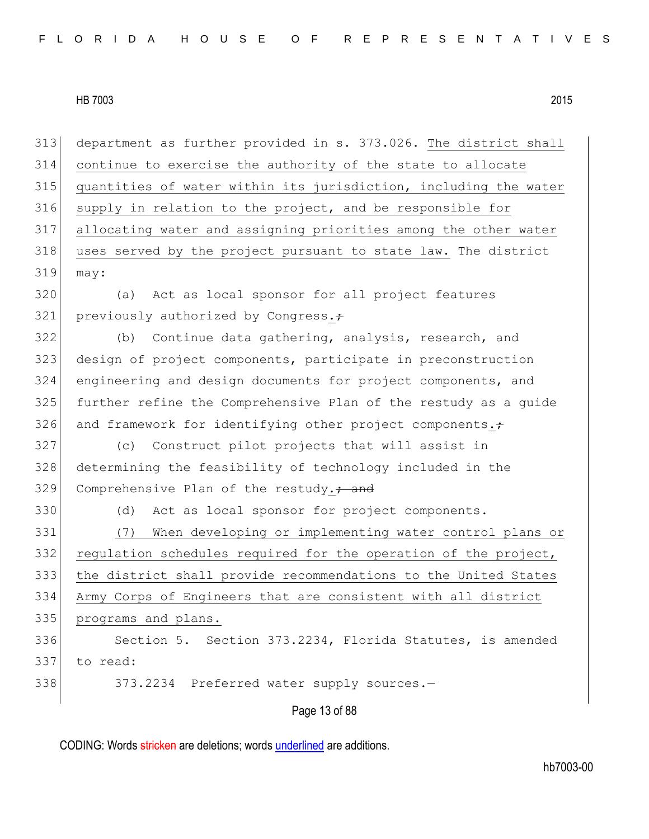Page 13 of 88 department as further provided in s. 373.026. The district shall continue to exercise the authority of the state to allocate quantities of water within its jurisdiction, including the water supply in relation to the project, and be responsible for allocating water and assigning priorities among the other water 318 uses served by the project pursuant to state law. The district may: (a) Act as local sponsor for all project features 321 previously authorized by Congress. $\div$  (b) Continue data gathering, analysis, research, and design of project components, participate in preconstruction engineering and design documents for project components, and further refine the Comprehensive Plan of the restudy as a guide 326 and framework for identifying other project components. $\div$  (c) Construct pilot projects that will assist in determining the feasibility of technology included in the 329 Comprehensive Plan of the restudy.<sup>2</sup> and (d) Act as local sponsor for project components. (7) When developing or implementing water control plans or 332 regulation schedules required for the operation of the project, the district shall provide recommendations to the United States Army Corps of Engineers that are consistent with all district programs and plans. 336 Section 5. Section 373.2234, Florida Statutes, is amended to read: 338 373.2234 Preferred water supply sources.-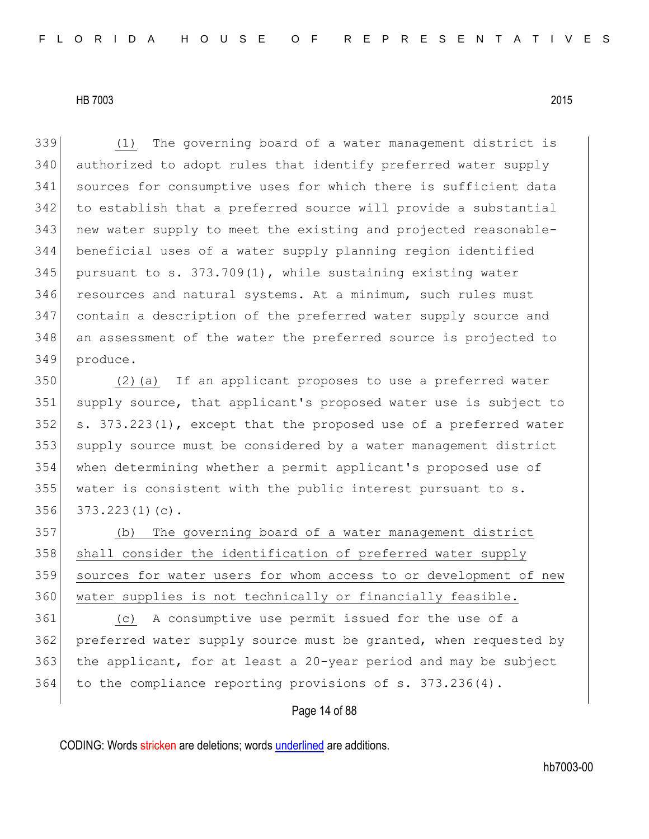(1) The governing board of a water management district is authorized to adopt rules that identify preferred water supply sources for consumptive uses for which there is sufficient data to establish that a preferred source will provide a substantial new water supply to meet the existing and projected reasonable- beneficial uses of a water supply planning region identified 345 pursuant to s.  $373.709(1)$ , while sustaining existing water 346 resources and natural systems. At a minimum, such rules must contain a description of the preferred water supply source and an assessment of the water the preferred source is projected to produce.

 (2)(a) If an applicant proposes to use a preferred water 351 supply source, that applicant's proposed water use is subject to 352 s. 373.223(1), except that the proposed use of a preferred water 353 supply source must be considered by a water management district when determining whether a permit applicant's proposed use of water is consistent with the public interest pursuant to s. 373.223(1)(c).

 (b) The governing board of a water management district 358 shall consider the identification of preferred water supply sources for water users for whom access to or development of new 360 water supplies is not technically or financially feasible.

 (c) A consumptive use permit issued for the use of a preferred water supply source must be granted, when requested by the applicant, for at least a 20-year period and may be subject to the compliance reporting provisions of s. 373.236(4).

# Page 14 of 88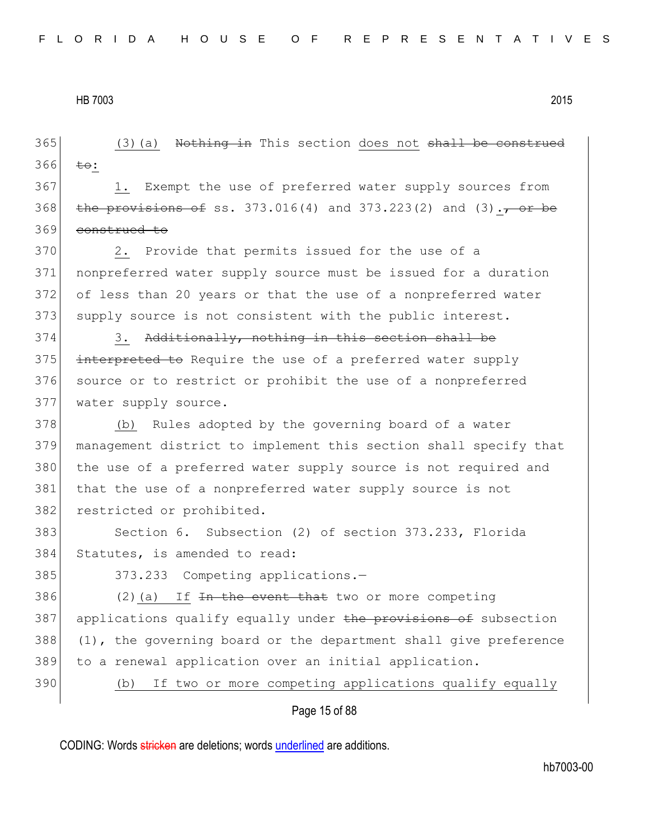Page 15 of 88  $365$  (3)(a) Nothing in This section does not shall be construed  $366$  to: 367 1. Exempt the use of preferred water supply sources from 368 the provisions of ss. 373.016(4) and 373.223(2) and  $(3)$ ., or be 369 construed to 370 2. Provide that permits issued for the use of a 371 nonpreferred water supply source must be issued for a duration 372 of less than 20 years or that the use of a nonpreferred water 373 supply source is not consistent with the public interest.  $374$  3. Additionally, nothing in this section shall be 375 interpreted to Require the use of a preferred water supply 376 source or to restrict or prohibit the use of a nonpreferred 377 water supply source. 378 (b) Rules adopted by the governing board of a water 379 management district to implement this section shall specify that 380 the use of a preferred water supply source is not required and 381 that the use of a nonpreferred water supply source is not 382 restricted or prohibited. 383 Section 6. Subsection (2) of section 373.233, Florida 384 Statutes, is amended to read: 385 373.233 Competing applications.-386  $(2)(a)$  If <del>In the event that</del> two or more competing 387 applications qualify equally under the provisions of subsection 388 (1), the governing board or the department shall give preference 389 to a renewal application over an initial application. 390 (b) If two or more competing applications qualify equally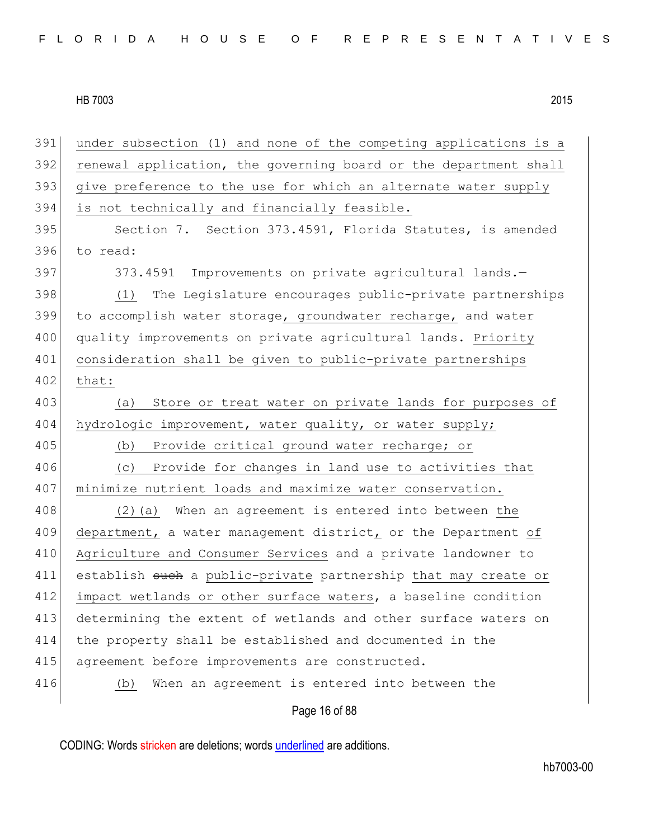Page 16 of 88 391 under subsection (1) and none of the competing applications is a 392 renewal application, the governing board or the department shall 393 give preference to the use for which an alternate water supply 394 is not technically and financially feasible. 395 Section 7. Section 373.4591, Florida Statutes, is amended 396 to read: 397 373.4591 Improvements on private agricultural lands. 398 (1) The Legislature encourages public-private partnerships 399 to accomplish water storage, groundwater recharge, and water 400 quality improvements on private agricultural lands. Priority 401 consideration shall be given to public-private partnerships 402 that: 403 (a) Store or treat water on private lands for purposes of 404 hydrologic improvement, water quality, or water supply; 405 (b) Provide critical ground water recharge; or 406 (c) Provide for changes in land use to activities that 407 minimize nutrient loads and maximize water conservation. 408 (2)(a) When an agreement is entered into between the 409 department, a water management district, or the Department of 410 Agriculture and Consumer Services and a private landowner to 411 establish such a public-private partnership that may create or 412 impact wetlands or other surface waters, a baseline condition 413 determining the extent of wetlands and other surface waters on 414 the property shall be established and documented in the 415 agreement before improvements are constructed. 416 (b) When an agreement is entered into between the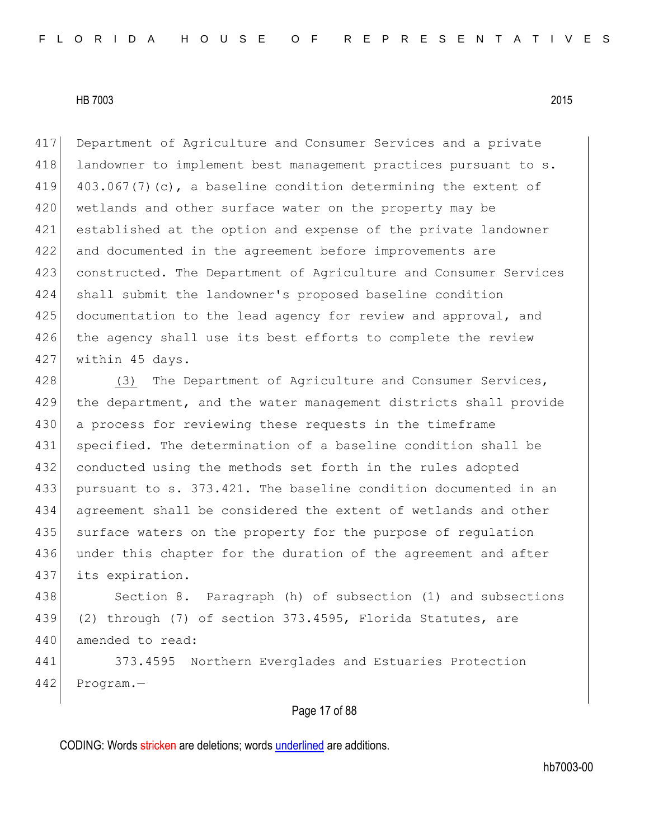417 Department of Agriculture and Consumer Services and a private 418 landowner to implement best management practices pursuant to s. 419  $403.067(7)(c)$ , a baseline condition determining the extent of 420 wetlands and other surface water on the property may be 421 established at the option and expense of the private landowner 422 and documented in the agreement before improvements are 423 constructed. The Department of Agriculture and Consumer Services 424 shall submit the landowner's proposed baseline condition 425 documentation to the lead agency for review and approval, and 426 the agency shall use its best efforts to complete the review 427 within 45 days.

428 (3) The Department of Agriculture and Consumer Services, the department, and the water management districts shall provide a process for reviewing these requests in the timeframe specified. The determination of a baseline condition shall be 432 conducted using the methods set forth in the rules adopted pursuant to s. 373.421. The baseline condition documented in an agreement shall be considered the extent of wetlands and other surface waters on the property for the purpose of regulation 436 under this chapter for the duration of the agreement and after its expiration.

438 Section 8. Paragraph (h) of subsection (1) and subsections 439 (2) through (7) of section 373.4595, Florida Statutes, are 440 amended to read:

441 373.4595 Northern Everglades and Estuaries Protection 442 Program.—

## Page 17 of 88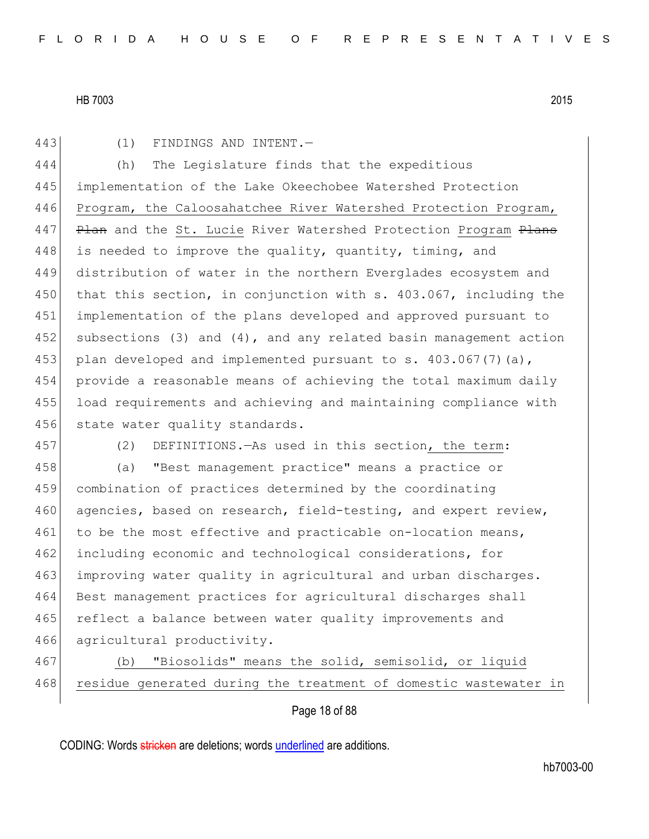443 (1) FINDINGS AND INTENT.

444 (h) The Legislature finds that the expeditious 445 implementation of the Lake Okeechobee Watershed Protection 446 Program, the Caloosahatchee River Watershed Protection Program, 447 Plan and the St. Lucie River Watershed Protection Program Plans 448 is needed to improve the quality, quantity, timing, and 449 distribution of water in the northern Everglades ecosystem and 450 that this section, in conjunction with s. 403.067, including the 451 implementation of the plans developed and approved pursuant to 452 subsections (3) and (4), and any related basin management action 453 plan developed and implemented pursuant to s.  $403.067(7)(a)$ , 454 provide a reasonable means of achieving the total maximum daily 455 load requirements and achieving and maintaining compliance with 456 state water quality standards.

457 (2) DEFINITIONS.—As used in this section, the term:

458 (a) "Best management practice" means a practice or 459 combination of practices determined by the coordinating 460 agencies, based on research, field-testing, and expert review, 461 to be the most effective and practicable on-location means, 462 including economic and technological considerations, for 463 improving water quality in agricultural and urban discharges. 464 Best management practices for agricultural discharges shall 465 reflect a balance between water quality improvements and 466 agricultural productivity.

Page 18 of 88

<sup>467</sup> (b) "Biosolids" means the solid, semisolid, or liquid 468 residue generated during the treatment of domestic wastewater in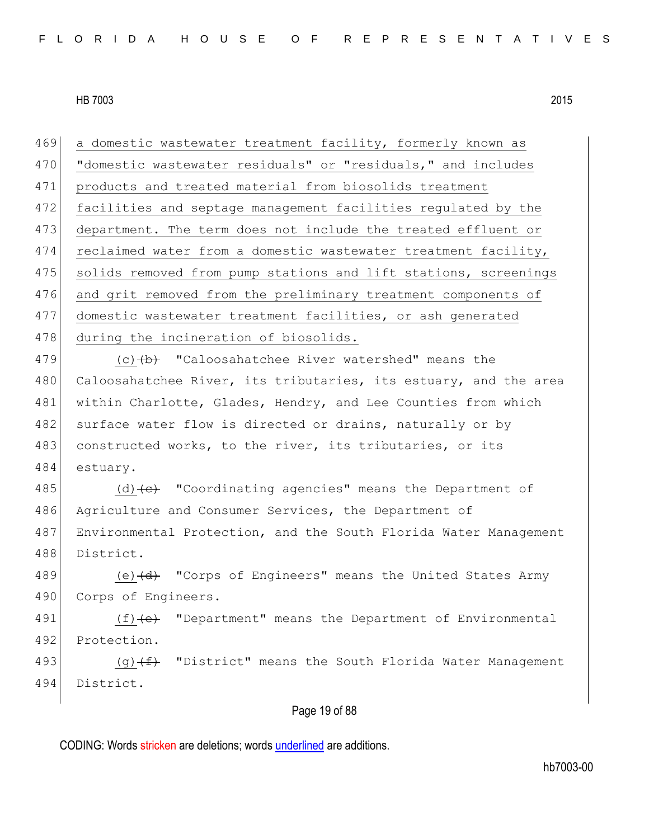469 a domestic wastewater treatment facility, formerly known as 470 "domestic wastewater residuals" or "residuals," and includes 471 products and treated material from biosolids treatment 472 facilities and septage management facilities regulated by the 473 department. The term does not include the treated effluent or 474 reclaimed water from a domestic wastewater treatment facility, 475 solids removed from pump stations and lift stations, screenings 476 and grit removed from the preliminary treatment components of 477 domestic wastewater treatment facilities, or ash generated 478 during the incineration of biosolids.

479  $(c)$   $(b)$  "Caloosahatchee River watershed" means the 480 Caloosahatchee River, its tributaries, its estuary, and the area 481 within Charlotte, Glades, Hendry, and Lee Counties from which 482 surface water flow is directed or drains, naturally or by 483 constructed works, to the river, its tributaries, or its 484 estuary.

485 (d)  $\left\{ \left( e \right\}$  "Coordinating agencies" means the Department of 486 Agriculture and Consumer Services, the Department of 487 Environmental Protection, and the South Florida Water Management 488 District.

489 (e) (d) "Corps of Engineers" means the United States Army 490 Corps of Engineers.

491  $(f)$  (f)  $(e)$  "Department" means the Department of Environmental 492 Protection.

493  $(g)$  (g)  $(f)$  "District" means the South Florida Water Management 494 District.

## Page 19 of 88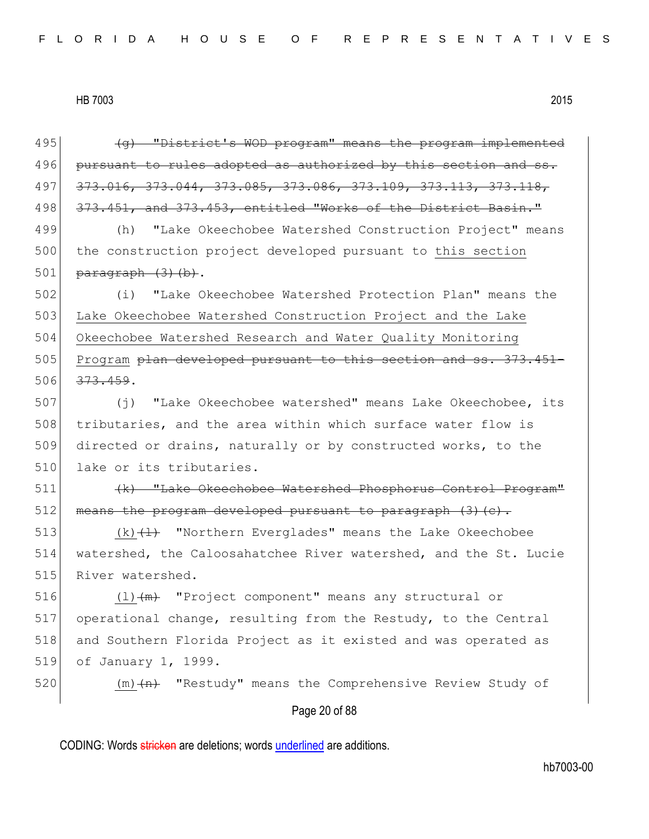Page 20 of 88 (q) "District's WOD program" means the program implemented pursuant to rules adopted as authorized by this section and ss. 497 373.016, 373.044, 373.085, 373.086, 373.109, 373.113, 373.118, 498 373.451, and 373.453, entitled "Works of the District Basin." (h) "Lake Okeechobee Watershed Construction Project" means 500 the construction project developed pursuant to this section  $\beta$  paragraph  $(3)$  (b). (i) "Lake Okeechobee Watershed Protection Plan" means the Lake Okeechobee Watershed Construction Project and the Lake Okeechobee Watershed Research and Water Quality Monitoring 505 Program <del>plan developed pursuant to this section and ss. 373.451-</del> 506 373.459. 507 (j) "Lake Okeechobee watershed" means Lake Okeechobee, its tributaries, and the area within which surface water flow is directed or drains, naturally or by constructed works, to the 510 lake or its tributaries. 511 (k) "Lake Okeechobee Watershed Phosphorus Control Program" means the program developed pursuant to paragraph  $(3)(c)$ .  $(k)$   $(1)$  "Northern Everglades" means the Lake Okeechobee watershed, the Caloosahatchee River watershed, and the St. Lucie 515 River watershed.  $(l)$   $(m)$  "Project component" means any structural or operational change, resulting from the Restudy, to the Central and Southern Florida Project as it existed and was operated as of January 1, 1999.  $(m)$   $\leftarrow$  "Restudy" means the Comprehensive Review Study of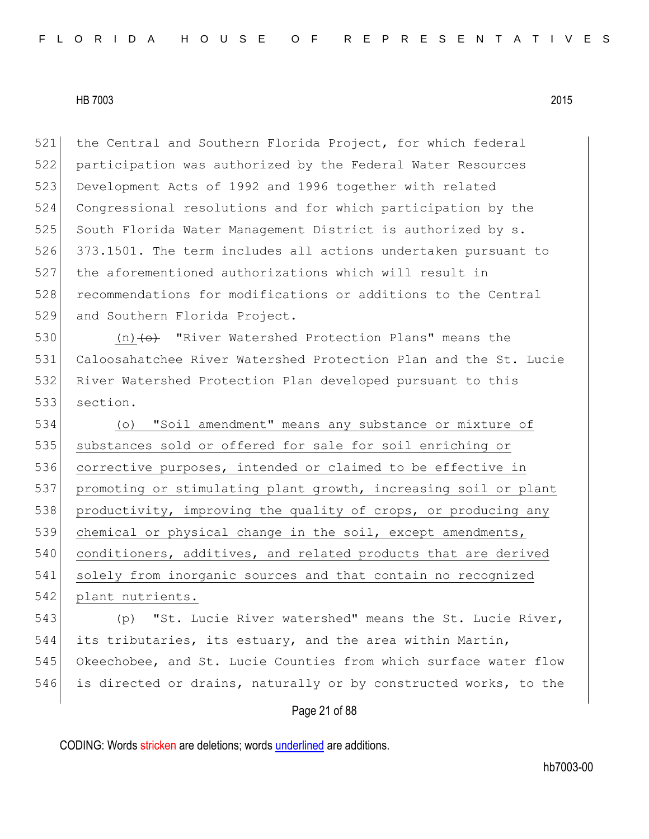521 the Central and Southern Florida Project, for which federal 522 participation was authorized by the Federal Water Resources 523 Development Acts of 1992 and 1996 together with related 524 Congressional resolutions and for which participation by the 525 South Florida Water Management District is authorized by s. 526 373.1501. The term includes all actions undertaken pursuant to 527 the aforementioned authorizations which will result in 528 recommendations for modifications or additions to the Central 529 and Southern Florida Project.

530 (n) (o) "River Watershed Protection Plans" means the 531 Caloosahatchee River Watershed Protection Plan and the St. Lucie 532 River Watershed Protection Plan developed pursuant to this 533 section.

534 (o) "Soil amendment" means any substance or mixture of 535 substances sold or offered for sale for soil enriching or 536 corrective purposes, intended or claimed to be effective in 537 promoting or stimulating plant growth, increasing soil or plant 538 productivity, improving the quality of crops, or producing any 539 chemical or physical change in the soil, except amendments, 540 conditioners, additives, and related products that are derived 541 solely from inorganic sources and that contain no recognized 542 plant nutrients.

543 (p) "St. Lucie River watershed" means the St. Lucie River, 544 its tributaries, its estuary, and the area within Martin, 545 Okeechobee, and St. Lucie Counties from which surface water flow 546 is directed or drains, naturally or by constructed works, to the

# Page 21 of 88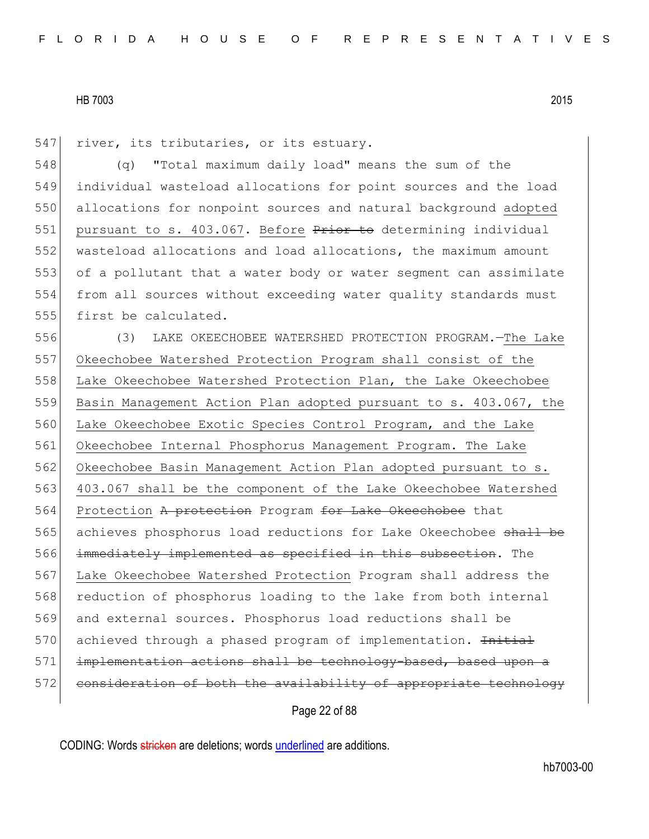547 river, its tributaries, or its estuary.

 (q) "Total maximum daily load" means the sum of the individual wasteload allocations for point sources and the load allocations for nonpoint sources and natural background adopted 551 pursuant to s.  $403.067$ . Before  $P$ rior to determining individual wasteload allocations and load allocations, the maximum amount of a pollutant that a water body or water segment can assimilate from all sources without exceeding water quality standards must 555 first be calculated.

556 (3) LAKE OKEECHOBEE WATERSHED PROTECTION PROGRAM.—The Lake 557 Okeechobee Watershed Protection Program shall consist of the 558 Lake Okeechobee Watershed Protection Plan, the Lake Okeechobee 559 Basin Management Action Plan adopted pursuant to s. 403.067, the 560 Lake Okeechobee Exotic Species Control Program, and the Lake 561 Okeechobee Internal Phosphorus Management Program. The Lake 562 Okeechobee Basin Management Action Plan adopted pursuant to s. 563 403.067 shall be the component of the Lake Okeechobee Watershed 564 Protection A protection Program for Lake Okeechobee that 565 achieves phosphorus load reductions for Lake Okeechobee shall be 566 immediately implemented as specified in this subsection. The 567 Lake Okeechobee Watershed Protection Program shall address the 568 reduction of phosphorus loading to the lake from both internal 569 and external sources. Phosphorus load reductions shall be 570 achieved through a phased program of implementation. Initial 571 implementation actions shall be technology-based, based upon a 572 consideration of both the availability of appropriate technology

# Page 22 of 88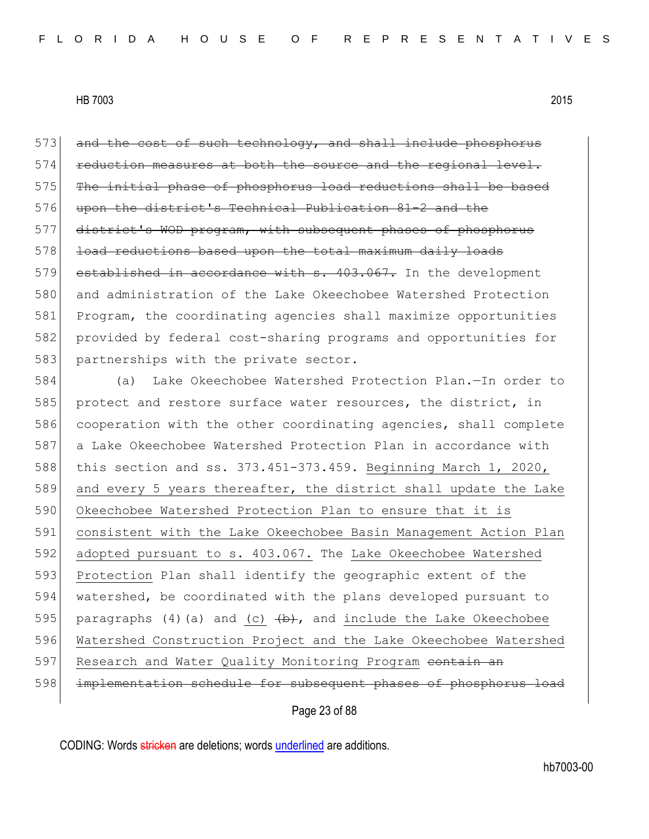573 and the cost of such technology, and shall include phosphorus 574 reduction measures at both the source and the regional level. 575 The initial phase of phosphorus load reductions shall be based 576 upon the district's Technical Publication 81-2 and the 577 district's WOD program, with subsequent phases of phosphorus 578 load reductions based upon the total maximum daily loads 579 established in accordance with s. 403.067. In the development 580 and administration of the Lake Okeechobee Watershed Protection 581 Program, the coordinating agencies shall maximize opportunities 582 provided by federal cost-sharing programs and opportunities for 583 partnerships with the private sector.

584 (a) Lake Okeechobee Watershed Protection Plan.—In order to 585 protect and restore surface water resources, the district, in 586 cooperation with the other coordinating agencies, shall complete 587 a Lake Okeechobee Watershed Protection Plan in accordance with 588 this section and ss. 373.451-373.459. Beginning March 1, 2020, 589 and every 5 years thereafter, the district shall update the Lake 590 Okeechobee Watershed Protection Plan to ensure that it is 591 consistent with the Lake Okeechobee Basin Management Action Plan 592 adopted pursuant to s. 403.067. The Lake Okeechobee Watershed 593 Protection Plan shall identify the geographic extent of the 594 watershed, be coordinated with the plans developed pursuant to 595 paragraphs (4)(a) and (c)  $\overline{b}$ , and include the Lake Okeechobee 596 Watershed Construction Project and the Lake Okeechobee Watershed 597 Research and Water Quality Monitoring Program contain an 598 implementation schedule for subsequent phases of phosphorus load

Page 23 of 88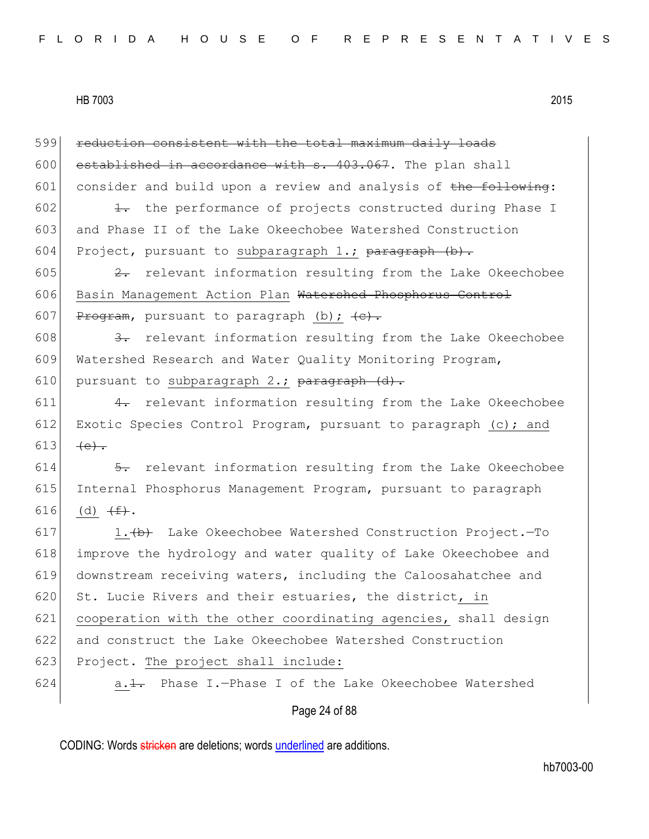Page 24 of 88 599 reduction consistent with the total maximum daily loads 600 established in accordance with  $s$ . 403.067. The plan shall 601 consider and build upon a review and analysis of  $the$  following:  $602$  1. the performance of projects constructed during Phase I 603 and Phase II of the Lake Okeechobee Watershed Construction 604 Project, pursuant to subparagraph 1.; paragraph  $(b)$ . 605  $\left\{\n\begin{array}{ccc}\n2 & \text{relevant information resulting from the Lake Okeechobee}\n\end{array}\n\right\}$ 606 Basin Management Action Plan Watershed Phosphorus Control 607 Program, pursuant to paragraph (b);  $\leftarrow$ . 608  $\left\{\right.$  3. relevant information resulting from the Lake Okeechobee 609 Watershed Research and Water Quality Monitoring Program, 610 pursuant to subparagraph 2.; paragraph  $(d)$ .  $611$  4. relevant information resulting from the Lake Okeechobee 612 Exotic Species Control Program, pursuant to paragraph (c); and 613  $(e).$  $614$   $\rightarrow$  relevant information resulting from the Lake Okeechobee 615 Internal Phosphorus Management Program, pursuant to paragraph 616 (d)  $(f^+)_*$ . 617 1. $\leftrightarrow$  Lake Okeechobee Watershed Construction Project. - To 618 improve the hydrology and water quality of Lake Okeechobee and 619 downstream receiving waters, including the Caloosahatchee and 620 St. Lucie Rivers and their estuaries, the district, in 621 cooperation with the other coordinating agencies, shall design 622 and construct the Lake Okeechobee Watershed Construction 623 Project. The project shall include: 624  $\vert$  a.<del>1.</del> Phase I.-Phase I of the Lake Okeechobee Watershed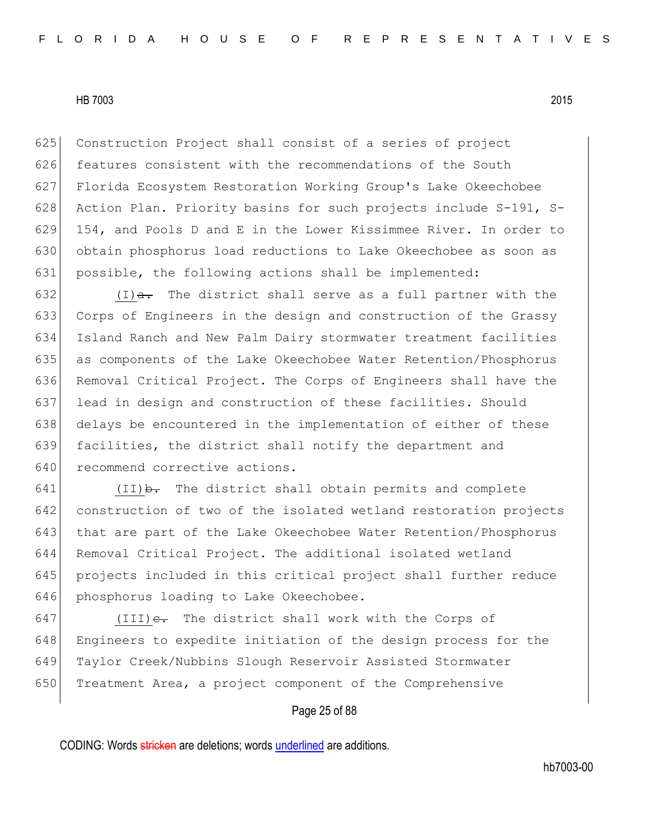625 Construction Project shall consist of a series of project features consistent with the recommendations of the South Florida Ecosystem Restoration Working Group's Lake Okeechobee 628 Action Plan. Priority basins for such projects include S-191, S- 154, and Pools D and E in the Lower Kissimmee River. In order to obtain phosphorus load reductions to Lake Okeechobee as soon as possible, the following actions shall be implemented:

 $(I)$   $\overline{a}$ . The district shall serve as a full partner with the Corps of Engineers in the design and construction of the Grassy Island Ranch and New Palm Dairy stormwater treatment facilities as components of the Lake Okeechobee Water Retention/Phosphorus Removal Critical Project. The Corps of Engineers shall have the lead in design and construction of these facilities. Should 638 delays be encountered in the implementation of either of these 639 facilities, the district shall notify the department and 640 recommend corrective actions.

 $(II)$   $\rightarrow$  The district shall obtain permits and complete construction of two of the isolated wetland restoration projects that are part of the Lake Okeechobee Water Retention/Phosphorus Removal Critical Project. The additional isolated wetland projects included in this critical project shall further reduce 646 phosphorus loading to Lake Okeechobee.

647 (III) $e$ . The district shall work with the Corps of 648 Engineers to expedite initiation of the design process for the 649 Taylor Creek/Nubbins Slough Reservoir Assisted Stormwater 650 Treatment Area, a project component of the Comprehensive

# Page 25 of 88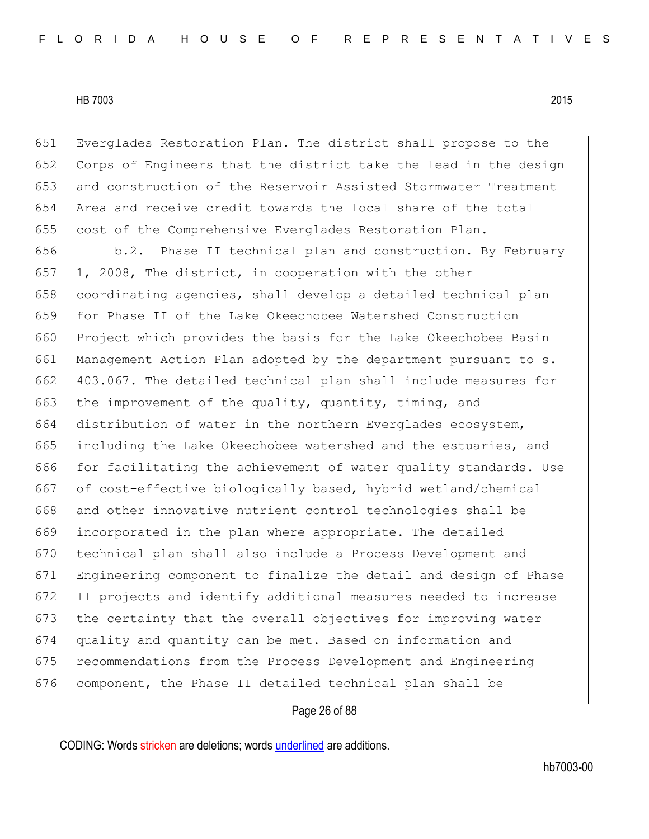Everglades Restoration Plan. The district shall propose to the Corps of Engineers that the district take the lead in the design and construction of the Reservoir Assisted Stormwater Treatment Area and receive credit towards the local share of the total cost of the Comprehensive Everglades Restoration Plan.

656 b.2. Phase II technical plan and construction.  $\frac{1}{2}$  February  $\left| \frac{1}{2} \right|$ ,  $2008$ , The district, in cooperation with the other 658 coordinating agencies, shall develop a detailed technical plan for Phase II of the Lake Okeechobee Watershed Construction 660 Project which provides the basis for the Lake Okeechobee Basin 661 Management Action Plan adopted by the department pursuant to s. 403.067. The detailed technical plan shall include measures for 663 the improvement of the quality, quantity, timing, and distribution of water in the northern Everglades ecosystem, including the Lake Okeechobee watershed and the estuaries, and for facilitating the achievement of water quality standards. Use 667 of cost-effective biologically based, hybrid wetland/chemical 668 and other innovative nutrient control technologies shall be incorporated in the plan where appropriate. The detailed technical plan shall also include a Process Development and Engineering component to finalize the detail and design of Phase II projects and identify additional measures needed to increase 673 the certainty that the overall objectives for improving water quality and quantity can be met. Based on information and recommendations from the Process Development and Engineering component, the Phase II detailed technical plan shall be

# Page 26 of 88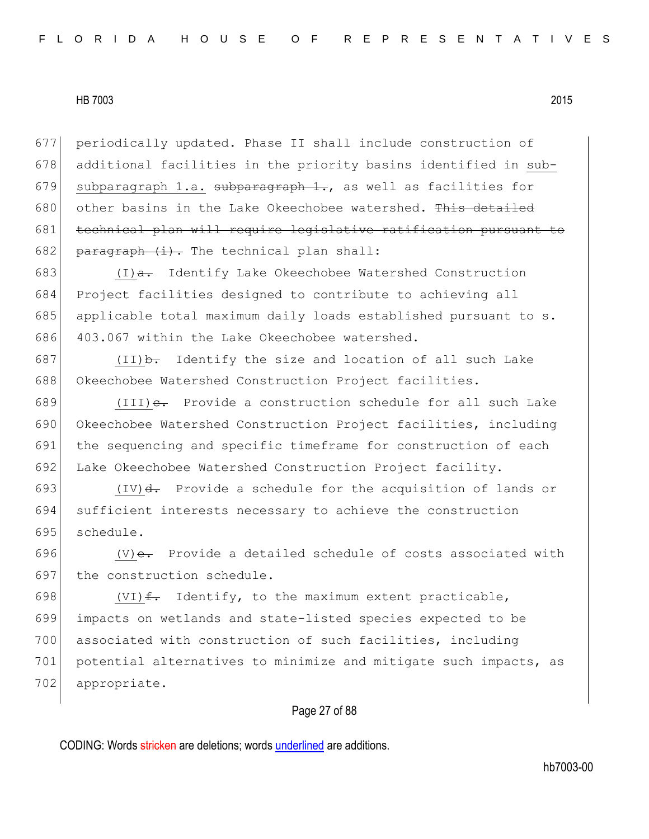677 periodically updated. Phase II shall include construction of 678 additional facilities in the priority basins identified in sub-679 subparagraph 1.a. subparagraph  $1.$ , as well as facilities for 680 other basins in the Lake Okeechobee watershed. This detailed 681 technical plan will require legislative ratification pursuant to 682 paragraph  $(i)$ . The technical plan shall:

 $(I)$ a. Identify Lake Okeechobee Watershed Construction Project facilities designed to contribute to achieving all 685 applicable total maximum daily loads established pursuant to s. 403.067 within the Lake Okeechobee watershed.

687 (II) $\rightarrow$  Identify the size and location of all such Lake 688 Okeechobee Watershed Construction Project facilities.

689 (III) $e$ . Provide a construction schedule for all such Lake 690 Okeechobee Watershed Construction Project facilities, including 691 the sequencing and specific timeframe for construction of each 692 Lake Okeechobee Watershed Construction Project facility.

693  $(IV)$ d. Provide a schedule for the acquisition of lands or 694 sufficient interests necessary to achieve the construction 695 schedule.

696  $(V)$ e. Provide a detailed schedule of costs associated with 697 the construction schedule.

698 (VI) $f$ . Identify, to the maximum extent practicable, 699 impacts on wetlands and state-listed species expected to be 700 associated with construction of such facilities, including 701 potential alternatives to minimize and mitigate such impacts, as 702 appropriate.

# Page 27 of 88

CODING: Words stricken are deletions; words underlined are additions.

hb7003-00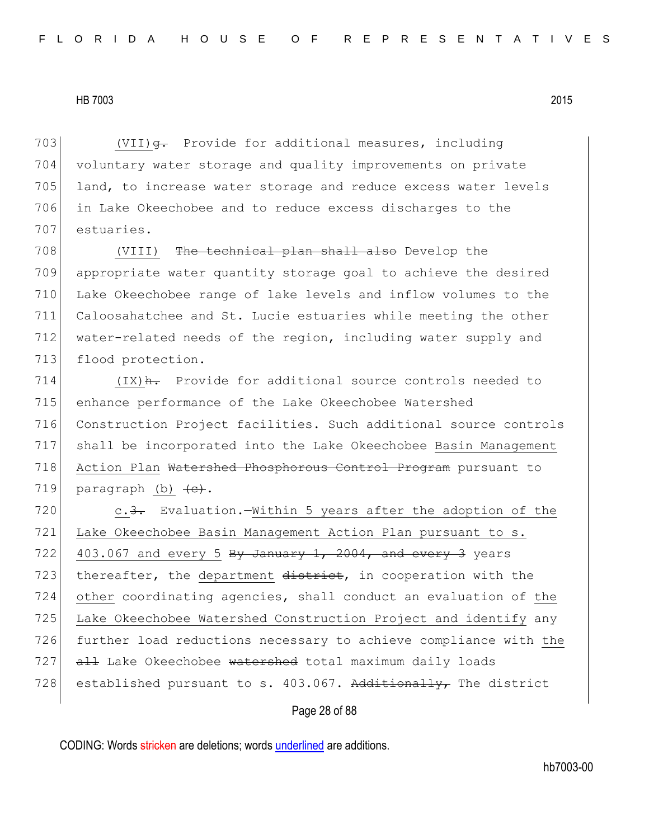703 (VII) $\theta$ . Provide for additional measures, including 704 voluntary water storage and quality improvements on private 705 land, to increase water storage and reduce excess water levels 706 in Lake Okeechobee and to reduce excess discharges to the 707 estuaries.

708 (VIII) The technical plan shall also Develop the 709 appropriate water quantity storage goal to achieve the desired 710 Lake Okeechobee range of lake levels and inflow volumes to the 711 Caloosahatchee and St. Lucie estuaries while meeting the other 712 water-related needs of the region, including water supply and 713 flood protection.

 $(IX)$   $\frac{H}{10}$  Provide for additional source controls needed to enhance performance of the Lake Okeechobee Watershed Construction Project facilities. Such additional source controls shall be incorporated into the Lake Okeechobee Basin Management 718 Action Plan Watershed Phosphorous Control Program pursuant to 719 paragraph (b)  $\leftarrow$ .

720 c.<del>3.</del> Evaluation.—Within 5 years after the adoption of the 721 Lake Okeechobee Basin Management Action Plan pursuant to s. 722 403.067 and every 5 By January 1, 2004, and every 3 years 723 thereafter, the department district, in cooperation with the 724 other coordinating agencies, shall conduct an evaluation of the 725 Lake Okeechobee Watershed Construction Project and identify any 726 further load reductions necessary to achieve compliance with the 727 all Lake Okeechobee watershed total maximum daily loads 728 established pursuant to s. 403.067. Additionally, The district

## Page 28 of 88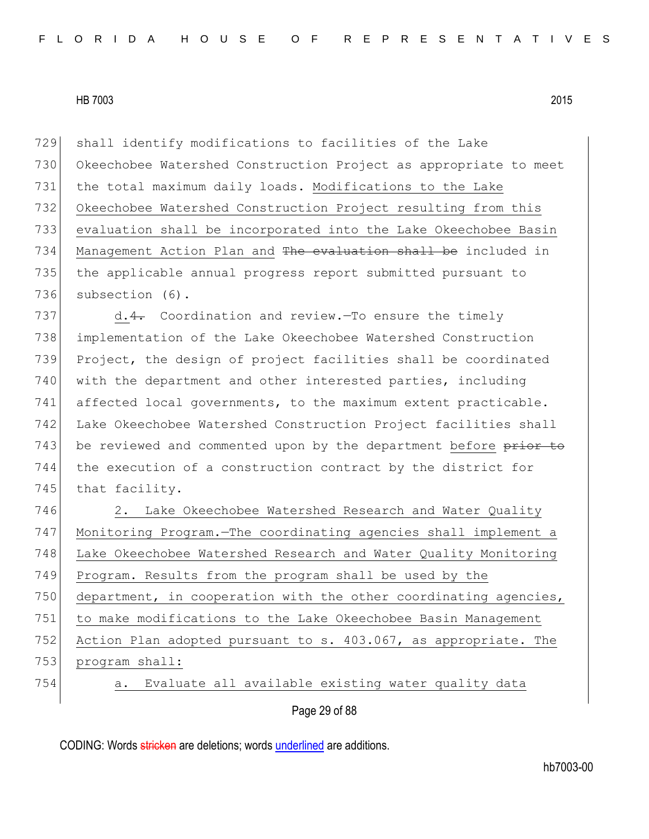shall identify modifications to facilities of the Lake Okeechobee Watershed Construction Project as appropriate to meet 731 the total maximum daily loads. Modifications to the Lake Okeechobee Watershed Construction Project resulting from this evaluation shall be incorporated into the Lake Okeechobee Basin 734 Management Action Plan and <del>The evaluation shall be</del> included in the applicable annual progress report submitted pursuant to subsection (6).

737 d.4. Coordination and review.—To ensure the timely 738 implementation of the Lake Okeechobee Watershed Construction 739 Project, the design of project facilities shall be coordinated 740 with the department and other interested parties, including 741 affected local governments, to the maximum extent practicable. 742 Lake Okeechobee Watershed Construction Project facilities shall 743 be reviewed and commented upon by the department before prior to 744 the execution of a construction contract by the district for 745 that facility.

746 2. Lake Okeechobee Watershed Research and Water Quality 747 Monitoring Program.—The coordinating agencies shall implement a 748 Lake Okeechobee Watershed Research and Water Quality Monitoring 749 Program. Results from the program shall be used by the  $750$  department, in cooperation with the other coordinating agencies, 751 to make modifications to the Lake Okeechobee Basin Management 752 Action Plan adopted pursuant to s. 403.067, as appropriate. The 753 program shall: 754 a. Evaluate all available existing water quality data

# Page 29 of 88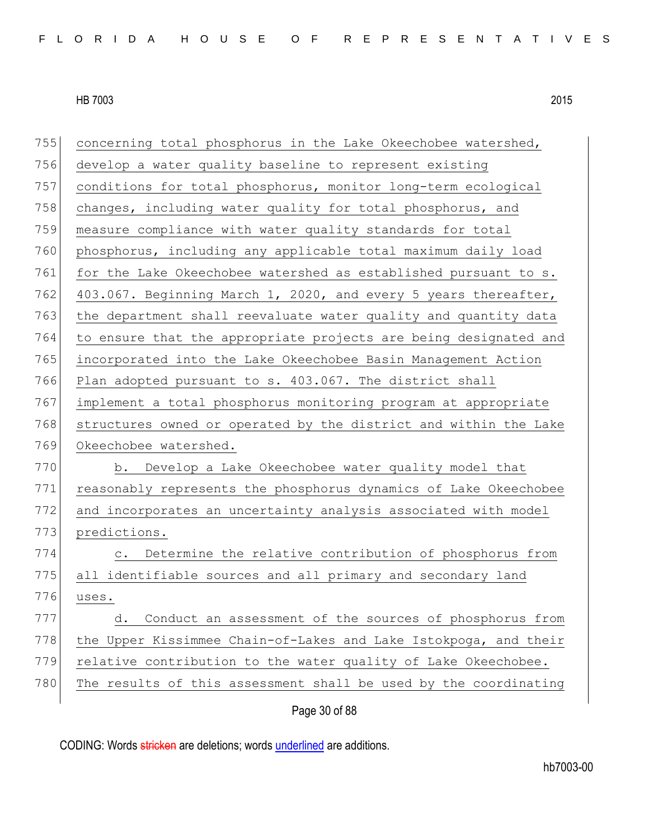|     | Page 30 of 88                                                    |
|-----|------------------------------------------------------------------|
| 780 | The results of this assessment shall be used by the coordinating |
| 779 | relative contribution to the water quality of Lake Okeechobee.   |
| 778 | the Upper Kissimmee Chain-of-Lakes and Lake Istokpoga, and their |
| 777 | Conduct an assessment of the sources of phosphorus from<br>d.    |
| 776 | uses.                                                            |
| 775 | all identifiable sources and all primary and secondary land      |
| 774 | c. Determine the relative contribution of phosphorus from        |
| 773 | predictions.                                                     |
| 772 | and incorporates an uncertainty analysis associated with model   |
| 771 | reasonably represents the phosphorus dynamics of Lake Okeechobee |
| 770 | b. Develop a Lake Okeechobee water quality model that            |
| 769 | Okeechobee watershed.                                            |
| 768 | structures owned or operated by the district and within the Lake |
| 767 | implement a total phosphorus monitoring program at appropriate   |
| 766 | Plan adopted pursuant to s. 403.067. The district shall          |
| 765 | incorporated into the Lake Okeechobee Basin Management Action    |
| 764 | to ensure that the appropriate projects are being designated and |
| 763 | the department shall reevaluate water quality and quantity data  |
| 762 | 403.067. Beginning March 1, 2020, and every 5 years thereafter,  |
| 761 | for the Lake Okeechobee watershed as established pursuant to s.  |
| 760 | phosphorus, including any applicable total maximum daily load    |
| 759 | measure compliance with water quality standards for total        |
| 758 | changes, including water quality for total phosphorus, and       |
| 757 | conditions for total phosphorus, monitor long-term ecological    |
| 756 | develop a water quality baseline to represent existing           |
| 755 | concerning total phosphorus in the Lake Okeechobee watershed,    |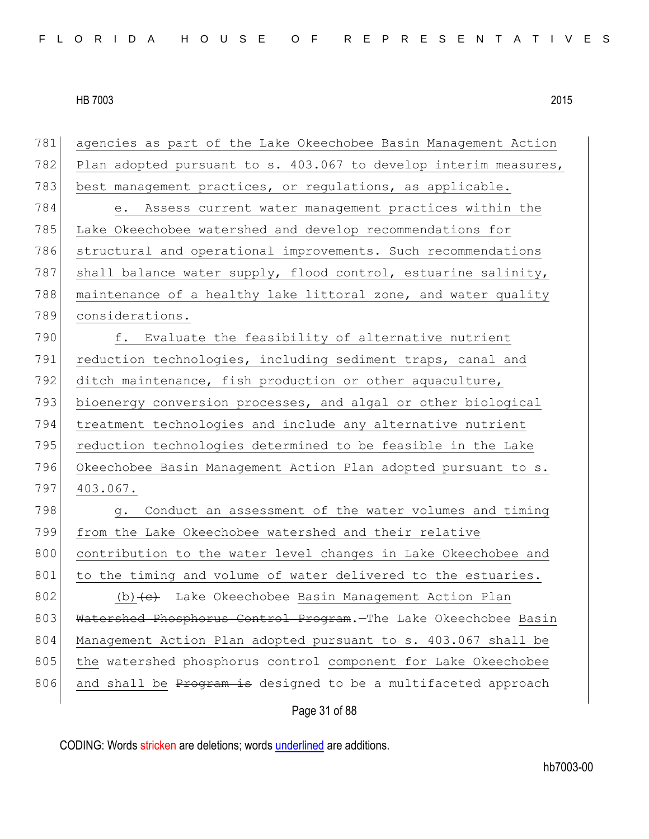| 781 | agencies as part of the Lake Okeechobee Basin Management Action        |
|-----|------------------------------------------------------------------------|
| 782 | Plan adopted pursuant to s. 403.067 to develop interim measures,       |
| 783 | best management practices, or regulations, as applicable.              |
| 784 | e. Assess current water management practices within the                |
| 785 | Lake Okeechobee watershed and develop recommendations for              |
| 786 | structural and operational improvements. Such recommendations          |
| 787 | shall balance water supply, flood control, estuarine salinity,         |
| 788 | maintenance of a healthy lake littoral zone, and water quality         |
| 789 | considerations.                                                        |
| 790 | f. Evaluate the feasibility of alternative nutrient                    |
| 791 | reduction technologies, including sediment traps, canal and            |
| 792 | ditch maintenance, fish production or other aquaculture,               |
| 793 | bioenergy conversion processes, and algal or other biological          |
| 794 | treatment technologies and include any alternative nutrient            |
| 795 | reduction technologies determined to be feasible in the Lake           |
| 796 | Okeechobee Basin Management Action Plan adopted pursuant to s.         |
| 797 | 403.067.                                                               |
| 798 | Conduct an assessment of the water volumes and timing<br>q.            |
| 799 | from the Lake Okeechobee watershed and their relative                  |
| 800 | contribution to the water level changes in Lake Okeechobee and         |
| 801 | to the timing and volume of water delivered to the estuaries.          |
| 802 | $(b)$ + $\leftrightarrow$ Lake Okeechobee Basin Management Action Plan |
| 803 | Watershed Phosphorus Control Program. The Lake Okeechobee Basin        |
| 804 | Management Action Plan adopted pursuant to s. 403.067 shall be         |
| 805 | the watershed phosphorus control component for Lake Okeechobee         |
| 806 | and shall be Program is designed to be a multifaceted approach         |
|     | Page 31 of 88                                                          |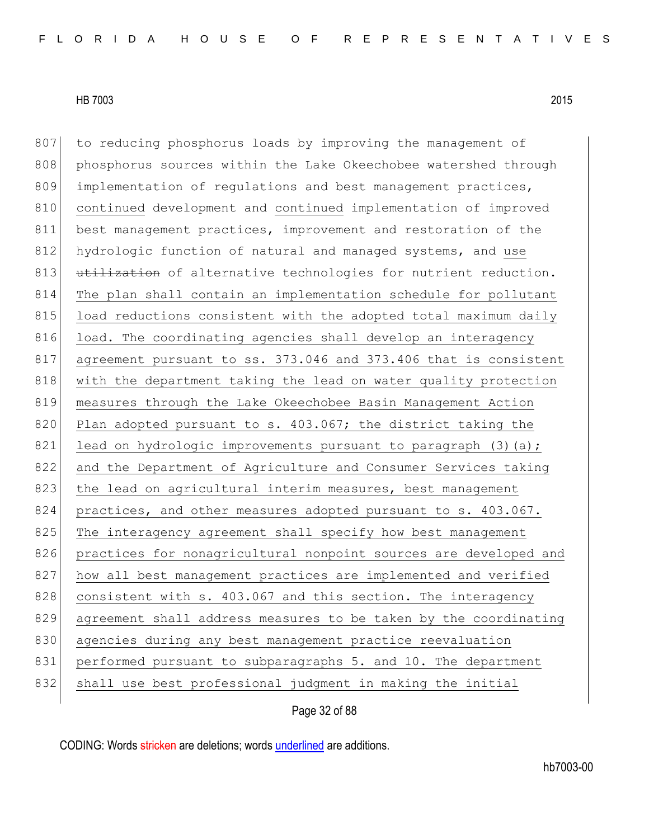807 to reducing phosphorus loads by improving the management of 808 phosphorus sources within the Lake Okeechobee watershed through 809 implementation of regulations and best management practices, 810 continued development and continued implementation of improved 811 best management practices, improvement and restoration of the 812 hydrologic function of natural and managed systems, and use 813 utilization of alternative technologies for nutrient reduction. 814 The plan shall contain an implementation schedule for pollutant 815 load reductions consistent with the adopted total maximum daily 816 load. The coordinating agencies shall develop an interagency 817 agreement pursuant to ss. 373.046 and 373.406 that is consistent 818 with the department taking the lead on water quality protection 819 measures through the Lake Okeechobee Basin Management Action 820 Plan adopted pursuant to s. 403.067; the district taking the 821 lead on hydrologic improvements pursuant to paragraph  $(3)(a);$ 822 and the Department of Agriculture and Consumer Services taking 823 the lead on agricultural interim measures, best management 824 practices, and other measures adopted pursuant to s. 403.067. 825 The interagency agreement shall specify how best management 826 practices for nonagricultural nonpoint sources are developed and 827 how all best management practices are implemented and verified 828 consistent with s. 403.067 and this section. The interagency 829 agreement shall address measures to be taken by the coordinating 830 agencies during any best management practice reevaluation 831 performed pursuant to subparagraphs 5. and 10. The department 832 shall use best professional judgment in making the initial

Page 32 of 88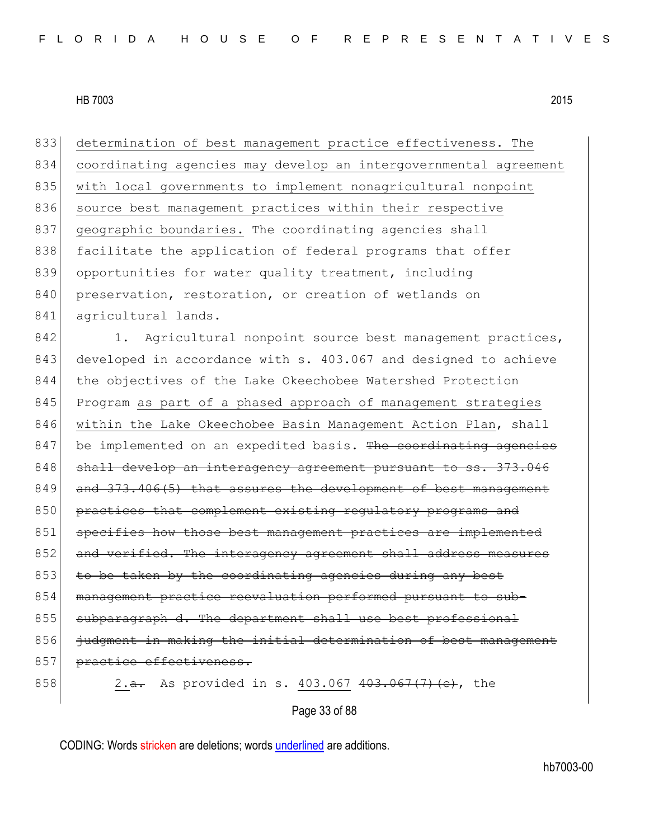833 determination of best management practice effectiveness. The 834 coordinating agencies may develop an intergovernmental agreement 835 with local governments to implement nonagricultural nonpoint 836 source best management practices within their respective 837 geographic boundaries. The coordinating agencies shall 838 facilitate the application of federal programs that offer 839 opportunities for water quality treatment, including 840 preservation, restoration, or creation of wetlands on 841 agricultural lands.

842 1. Agricultural nonpoint source best management practices, 843 developed in accordance with s. 403.067 and designed to achieve 844 the objectives of the Lake Okeechobee Watershed Protection 845 Program as part of a phased approach of management strategies 846 within the Lake Okeechobee Basin Management Action Plan, shall 847 be implemented on an expedited basis. The coordinating agencies 848 shall develop an interagency agreement pursuant to ss. 373.046 849 and 373.406(5) that assures the development of best management 850 practices that complement existing regulatory programs and 851 specifies how those best management practices are implemented 852 and verified. The interagency agreement shall address measures 853 to be taken by the coordinating agencies during any best 854 management practice reevaluation performed pursuant to sub-855 subparagraph d. The department shall use best professional 856 iudgment in making the initial determination of best management 857 practice effectiveness.

858 2.<del>a.</del> As provided in s. 403.067 403.067 (7) (c), the

Page 33 of 88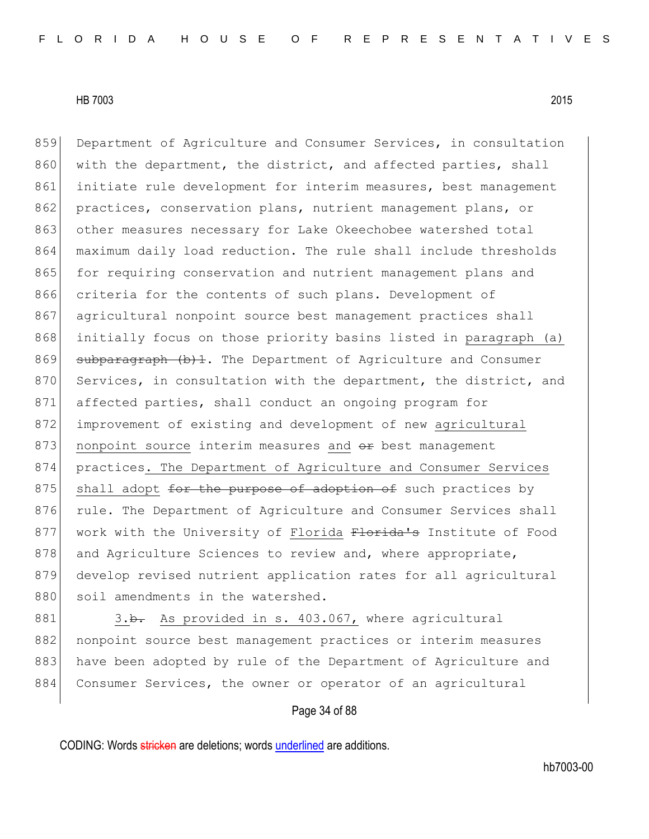859 Department of Agriculture and Consumer Services, in consultation 860 with the department, the district, and affected parties, shall 861 initiate rule development for interim measures, best management 862 practices, conservation plans, nutrient management plans, or 863 other measures necessary for Lake Okeechobee watershed total 864 maximum daily load reduction. The rule shall include thresholds 865 for requiring conservation and nutrient management plans and 866 criteria for the contents of such plans. Development of 867 agricultural nonpoint source best management practices shall 868 initially focus on those priority basins listed in paragraph (a) 869 subparagraph  $(b)$ 1. The Department of Agriculture and Consumer 870 Services, in consultation with the department, the district, and 871 affected parties, shall conduct an ongoing program for 872 improvement of existing and development of new agricultural 873 nonpoint source interim measures and  $\Theta$ r best management 874 practices. The Department of Agriculture and Consumer Services 875 shall adopt for the purpose of adoption of such practices by 876 rule. The Department of Agriculture and Consumer Services shall 877 work with the University of Florida Florida's Institute of Food 878 and Agriculture Sciences to review and, where appropriate, 879 develop revised nutrient application rates for all agricultural 880 soil amendments in the watershed.

881 3.b. As provided in s. 403.067, where agricultural 882 nonpoint source best management practices or interim measures 883 have been adopted by rule of the Department of Agriculture and 884 Consumer Services, the owner or operator of an agricultural

# Page 34 of 88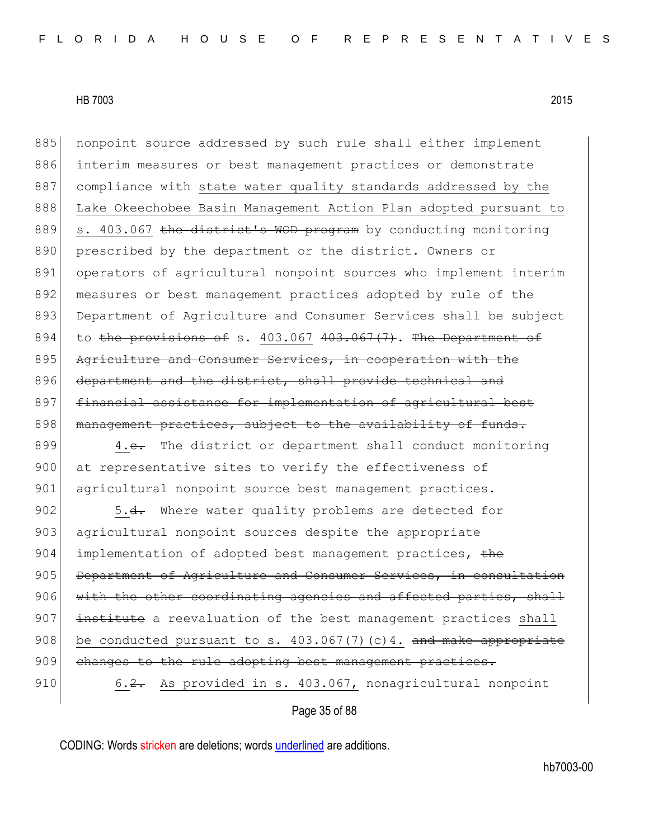885 | nonpoint source addressed by such rule shall either implement 886 interim measures or best management practices or demonstrate 887 compliance with state water quality standards addressed by the 888 Lake Okeechobee Basin Management Action Plan adopted pursuant to 889 s. 403.067 the district's WOD program by conducting monitoring 890 prescribed by the department or the district. Owners or 891 operators of agricultural nonpoint sources who implement interim 892 measures or best management practices adopted by rule of the 893 Department of Agriculture and Consumer Services shall be subject 894 to the provisions of s. 403.067  $403.067$  (7). The Department of 895 Agriculture and Consumer Services, in cooperation with the 896 department and the district, shall provide technical and 897 financial assistance for implementation of agricultural best 898 management practices, subject to the availability of funds.

899 4.<del>c.</del> The district or department shall conduct monitoring 900 at representative sites to verify the effectiveness of 901 agricultural nonpoint source best management practices.

902 5.<del>d.</del> Where water quality problems are detected for 903 agricultural nonpoint sources despite the appropriate 904 implementation of adopted best management practices, the 905 Department of Agriculture and Consumer Services, in consultation  $906$  with the other coordinating agencies and affected parties, shall 907 institute a reevaluation of the best management practices shall 908 be conducted pursuant to s.  $403.067(7)(c)4$ . and make appropriate 909 changes to the rule adopting best management practices. 910 6.2. As provided in s. 403.067, nonagricultural nonpoint

# Page 35 of 88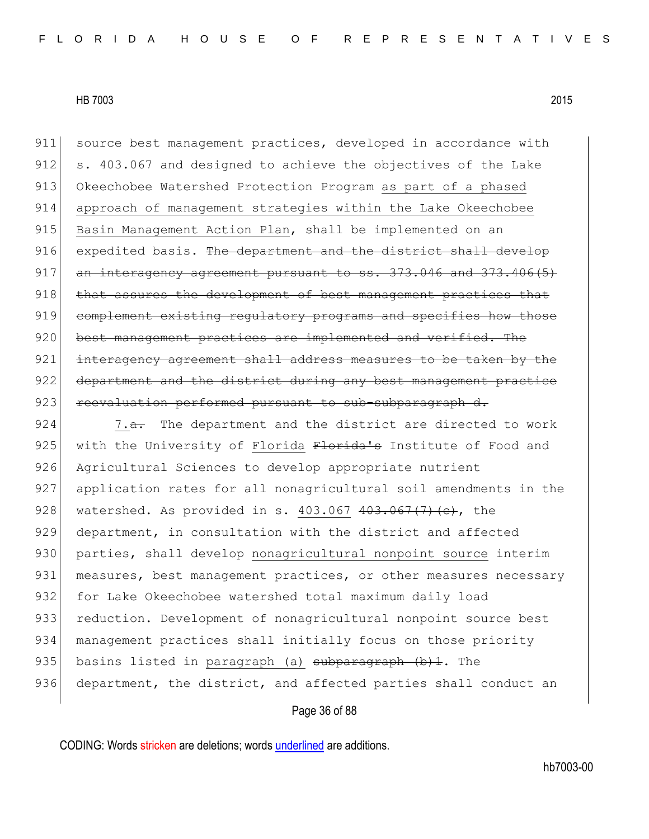911 source best management practices, developed in accordance with 912 s. 403.067 and designed to achieve the objectives of the Lake 913 Okeechobee Watershed Protection Program as part of a phased 914 approach of management strategies within the Lake Okeechobee 915 Basin Management Action Plan, shall be implemented on an 916 expedited basis. The department and the district shall develop  $917$  an interagency agreement pursuant to ss.  $373.046$  and  $373.406(5)$ 918 that assures the development of best management practices that 919 complement existing regulatory programs and specifies how those 920 best management practices are implemented and verified. The 921 interagency agreement shall address measures to be taken by the 922 department and the district during any best management practice 923 reevaluation performed pursuant to sub-subparagraph d.

924  $\sim$  7.<del>a.</del> The department and the district are directed to work 925 with the University of Florida Florida's Institute of Food and 926 Agricultural Sciences to develop appropriate nutrient 927 application rates for all nonagricultural soil amendments in the 928 watershed. As provided in s.  $403.067$   $403.067$   $(7)$   $(e)$ , the 929 department, in consultation with the district and affected 930 parties, shall develop nonagricultural nonpoint source interim 931 measures, best management practices, or other measures necessary 932 for Lake Okeechobee watershed total maximum daily load 933 reduction. Development of nonagricultural nonpoint source best 934 | management practices shall initially focus on those priority 935 basins listed in paragraph (a) subparagraph (b) 1. The 936 department, the district, and affected parties shall conduct an

# Page 36 of 88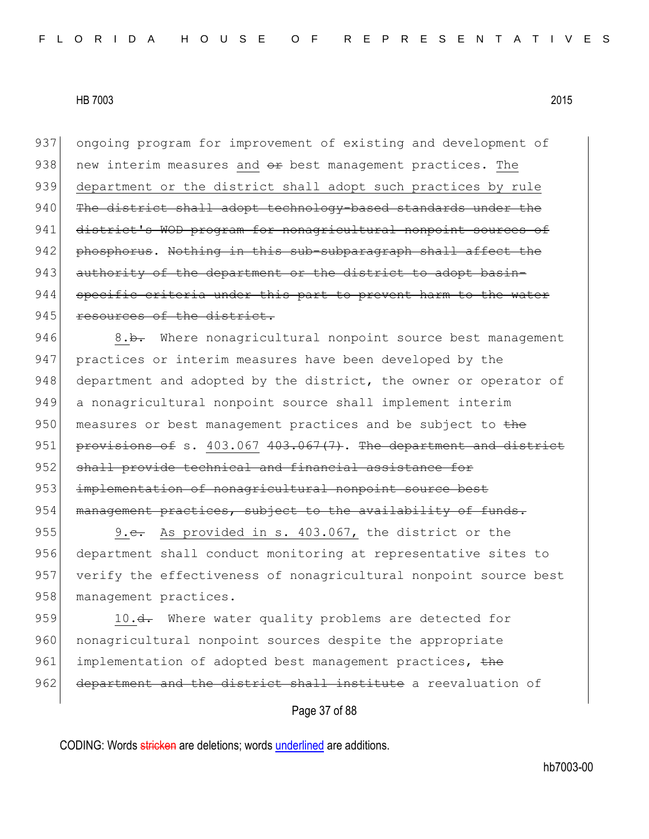937 ongoing program for improvement of existing and development of 938 new interim measures and  $\Theta$ r best management practices. The 939 department or the district shall adopt such practices by rule 940 The district shall adopt technology-based standards under the 941 district's WOD program for nonagricultural nonpoint sources of 942 phosphorus. Nothing in this sub-subparagraph shall affect the 943 authority of the department or the district to adopt basin-944 specific criteria under this part to prevent harm to the water 945 resources of the district.

946 8.b. Where nonagricultural nonpoint source best management 947 practices or interim measures have been developed by the 948 department and adopted by the district, the owner or operator of 949 a nonagricultural nonpoint source shall implement interim 950 measures or best management practices and be subject to the 951 provisions of s.  $403.067$   $403.067$   $(7)$ . The department and district 952 shall provide technical and financial assistance for 953 implementation of nonagricultural nonpoint source best 954 management practices, subject to the availability of funds.

955 9.e. As provided in s. 403.067, the district or the 956 department shall conduct monitoring at representative sites to 957 verify the effectiveness of nonagricultural nonpoint source best 958 management practices.

959 10.<del>d.</del> Where water quality problems are detected for 960 nonagricultural nonpoint sources despite the appropriate 961 implementation of adopted best management practices, the 962 department and the district shall institute a reevaluation of

# Page 37 of 88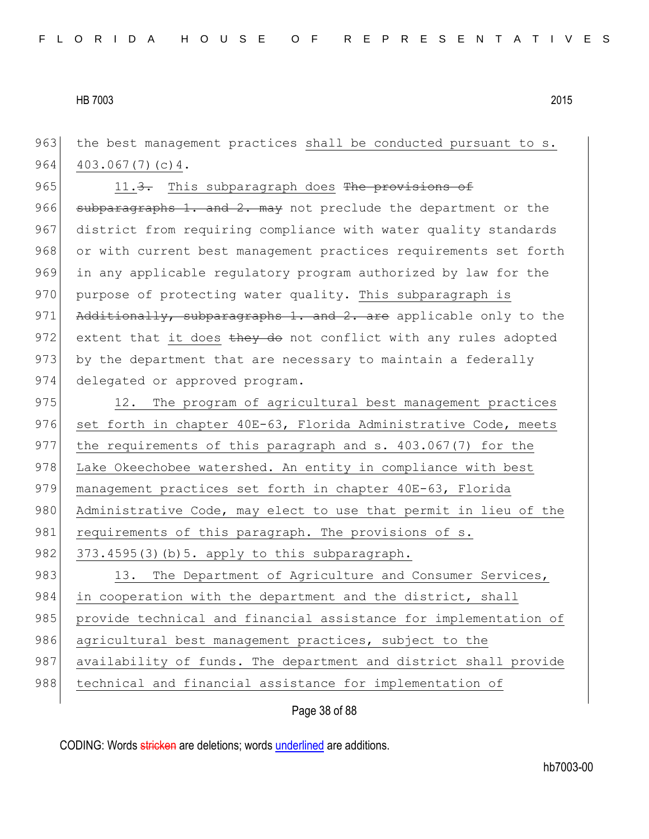963 the best management practices shall be conducted pursuant to s. 964 403.067(7)(c) 4. 965 11.3. This subparagraph does The provisions of 966 subparagraphs 1. and 2. may not preclude the department or the 967 district from requiring compliance with water quality standards 968 or with current best management practices requirements set forth 969 in any applicable regulatory program authorized by law for the 970 purpose of protecting water quality. This subparagraph is 971 Additionally, subparagraphs 1. and 2. are applicable only to the 972 extent that it does  $\frac{1}{2}$  they do not conflict with any rules adopted 973 by the department that are necessary to maintain a federally 974 delegated or approved program. 975 12. The program of agricultural best management practices 976 set forth in chapter 40E-63, Florida Administrative Code, meets 977 the requirements of this paragraph and s. 403.067(7) for the 978 Lake Okeechobee watershed. An entity in compliance with best 979 management practices set forth in chapter 40E-63, Florida 980 Administrative Code, may elect to use that permit in lieu of the 981 requirements of this paragraph. The provisions of s. 982  $373.4595(3)(b)5.$  apply to this subparagraph. 983 13. The Department of Agriculture and Consumer Services, 984 in cooperation with the department and the district, shall 985 provide technical and financial assistance for implementation of 986 agricultural best management practices, subject to the 987 availability of funds. The department and district shall provide 988 technical and financial assistance for implementation of

Page 38 of 88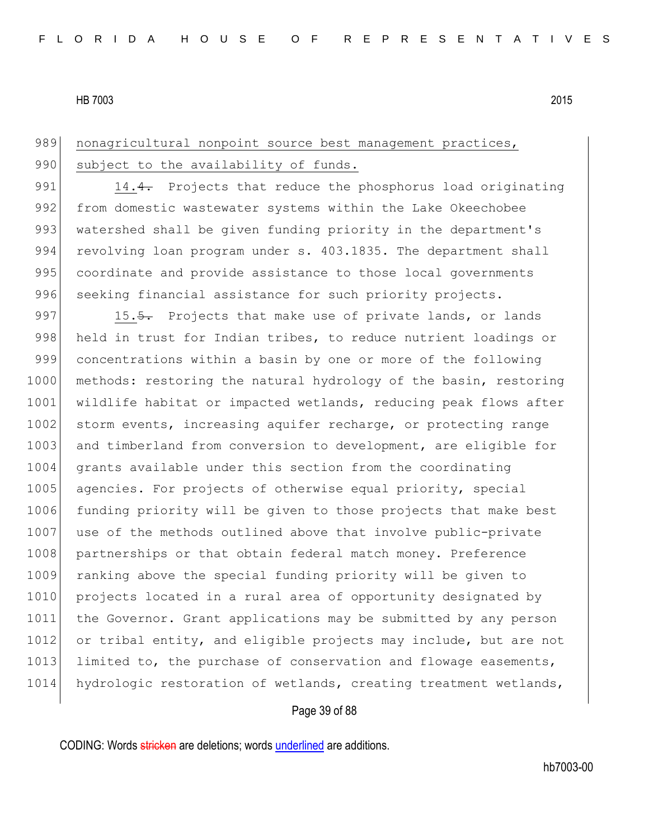# 989 nonagricultural nonpoint source best management practices, 990 subject to the availability of funds.

991 14.4. Projects that reduce the phosphorus load originating 992 from domestic wastewater systems within the Lake Okeechobee 993 watershed shall be given funding priority in the department's 994 revolving loan program under s. 403.1835. The department shall 995 coordinate and provide assistance to those local governments 996 seeking financial assistance for such priority projects.

997 15.5. Projects that make use of private lands, or lands 998 held in trust for Indian tribes, to reduce nutrient loadings or 999 concentrations within a basin by one or more of the following 1000 methods: restoring the natural hydrology of the basin, restoring 1001 wildlife habitat or impacted wetlands, reducing peak flows after 1002 storm events, increasing aquifer recharge, or protecting range 1003 and timberland from conversion to development, are eligible for 1004 grants available under this section from the coordinating 1005 agencies. For projects of otherwise equal priority, special 1006 funding priority will be given to those projects that make best 1007 use of the methods outlined above that involve public-private 1008 partnerships or that obtain federal match money. Preference 1009 ranking above the special funding priority will be given to 1010 projects located in a rural area of opportunity designated by 1011 the Governor. Grant applications may be submitted by any person 1012 or tribal entity, and eligible projects may include, but are not 1013 limited to, the purchase of conservation and flowage easements, 1014 hydrologic restoration of wetlands, creating treatment wetlands,

# Page 39 of 88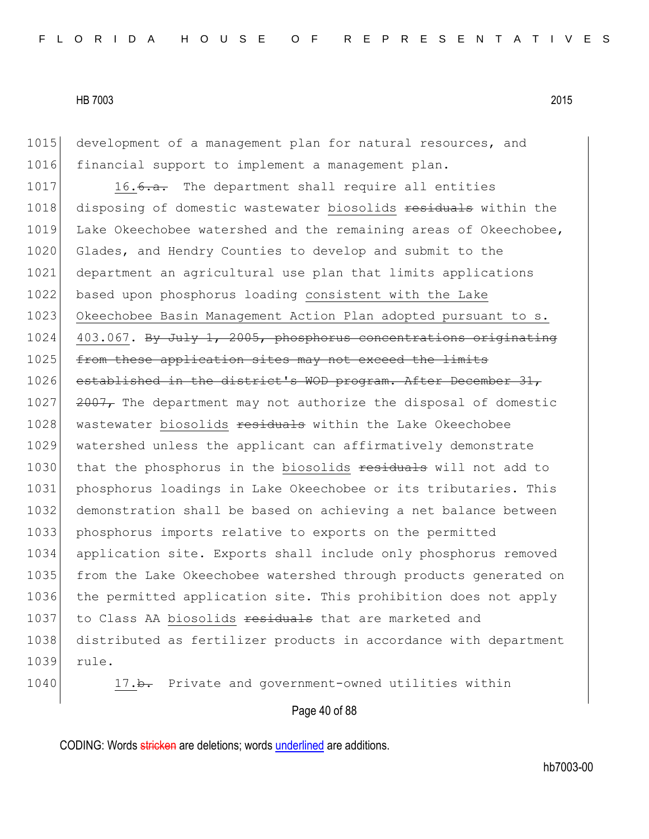1015 development of a management plan for natural resources, and 1016 financial support to implement a management plan.

1017 16.6.a. The department shall require all entities 1018 disposing of domestic wastewater biosolids residuals within the 1019 Lake Okeechobee watershed and the remaining areas of Okeechobee, 1020 Glades, and Hendry Counties to develop and submit to the 1021 department an agricultural use plan that limits applications 1022 based upon phosphorus loading consistent with the Lake 1023 Okeechobee Basin Management Action Plan adopted pursuant to s. 1024 403.067. By July 1, 2005, phosphorus concentrations originating 1025 from these application sites may not exceed the limits 1026 established in the district's WOD program. After December 31, 1027  $\left| \right|$  2007, The department may not authorize the disposal of domestic 1028 wastewater biosolids residuals within the Lake Okeechobee 1029 watershed unless the applicant can affirmatively demonstrate 1030 that the phosphorus in the biosolids residuals will not add to 1031 phosphorus loadings in Lake Okeechobee or its tributaries. This 1032 demonstration shall be based on achieving a net balance between 1033 phosphorus imports relative to exports on the permitted 1034 application site. Exports shall include only phosphorus removed 1035 from the Lake Okeechobee watershed through products generated on 1036 the permitted application site. This prohibition does not apply 1037 to Class AA biosolids residuals that are marketed and 1038 distributed as fertilizer products in accordance with department 1039 rule.

1040 17.b. Private and government-owned utilities within

#### Page 40 of 88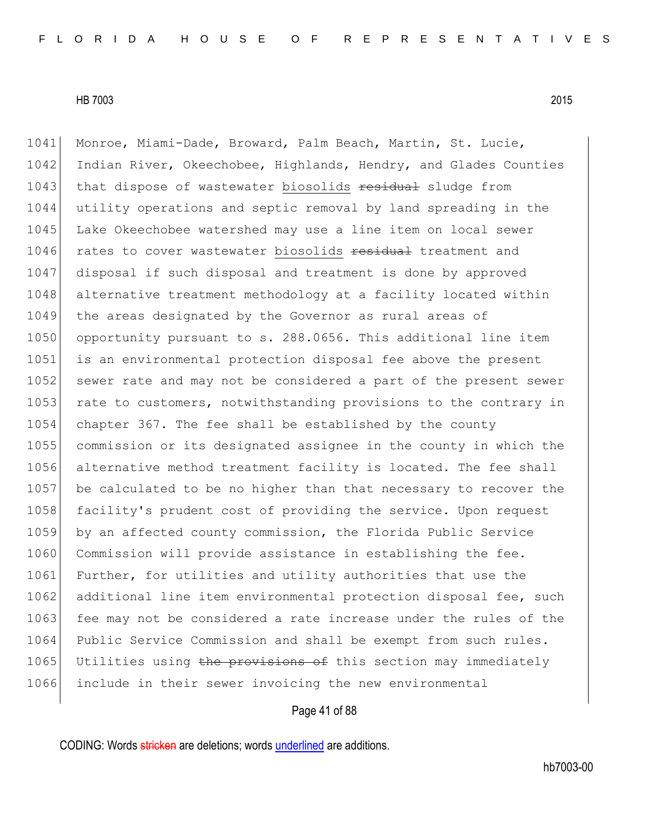1041 Monroe, Miami-Dade, Broward, Palm Beach, Martin, St. Lucie, 1042 Indian River, Okeechobee, Highlands, Hendry, and Glades Counties 1043 that dispose of wastewater biosolids residual sludge from 1044 utility operations and septic removal by land spreading in the 1045 Lake Okeechobee watershed may use a line item on local sewer 1046 rates to cover wastewater biosolids residual treatment and 1047 disposal if such disposal and treatment is done by approved 1048 alternative treatment methodology at a facility located within 1049 the areas designated by the Governor as rural areas of 1050 opportunity pursuant to s. 288.0656. This additional line item 1051 is an environmental protection disposal fee above the present 1052 sewer rate and may not be considered a part of the present sewer 1053 rate to customers, notwithstanding provisions to the contrary in 1054 chapter 367. The fee shall be established by the county 1055 commission or its designated assignee in the county in which the 1056 alternative method treatment facility is located. The fee shall 1057 be calculated to be no higher than that necessary to recover the 1058 facility's prudent cost of providing the service. Upon request 1059 by an affected county commission, the Florida Public Service 1060 Commission will provide assistance in establishing the fee. 1061 Further, for utilities and utility authorities that use the 1062 additional line item environmental protection disposal fee, such 1063 fee may not be considered a rate increase under the rules of the 1064 Public Service Commission and shall be exempt from such rules. 1065 Utilities using the provisions of this section may immediately 1066 include in their sewer invoicing the new environmental

#### Page 41 of 88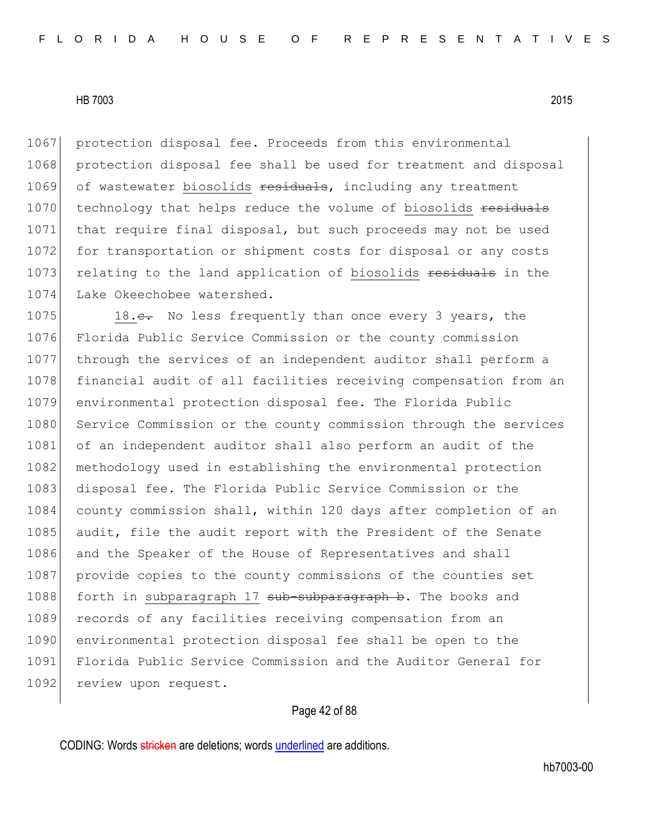1067 protection disposal fee. Proceeds from this environmental 1068 protection disposal fee shall be used for treatment and disposal 1069 of wastewater biosolids residuals, including any treatment 1070 technology that helps reduce the volume of biosolids residuals 1071 that require final disposal, but such proceeds may not be used 1072 for transportation or shipment costs for disposal or any costs 1073 relating to the land application of biosolids residuals in the 1074 Lake Okeechobee watershed.

1075 18.<del>c.</del> No less frequently than once every 3 years, the 1076 Florida Public Service Commission or the county commission 1077 through the services of an independent auditor shall perform a 1078 financial audit of all facilities receiving compensation from an 1079 environmental protection disposal fee. The Florida Public 1080 Service Commission or the county commission through the services 1081 of an independent auditor shall also perform an audit of the 1082 methodology used in establishing the environmental protection 1083 disposal fee. The Florida Public Service Commission or the 1084 county commission shall, within 120 days after completion of an 1085 audit, file the audit report with the President of the Senate 1086 and the Speaker of the House of Representatives and shall 1087 provide copies to the county commissions of the counties set 1088 forth in subparagraph 17 sub-subparagraph b. The books and 1089 records of any facilities receiving compensation from an 1090 environmental protection disposal fee shall be open to the 1091 Florida Public Service Commission and the Auditor General for 1092 review upon request.

# Page 42 of 88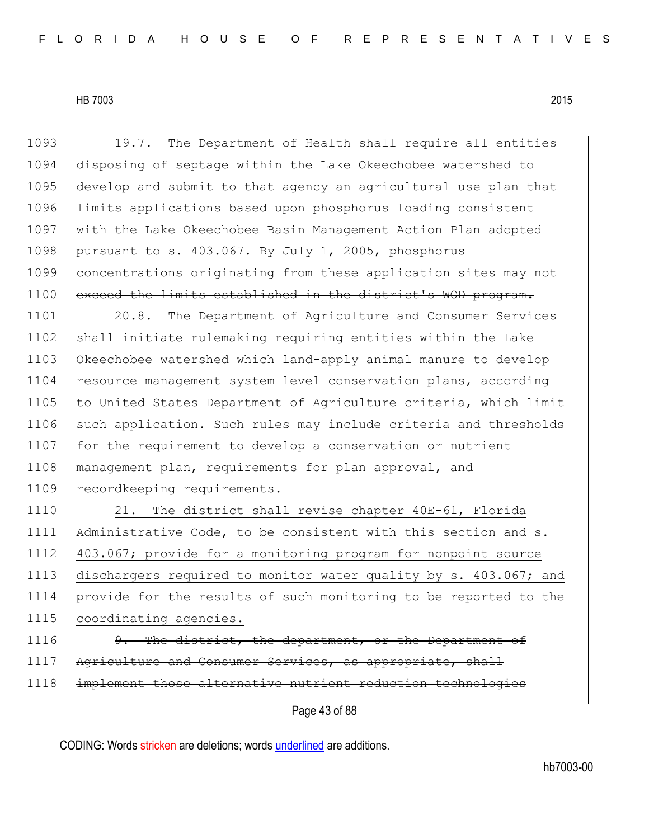1093 19.7. The Department of Health shall require all entities 1094 disposing of septage within the Lake Okeechobee watershed to 1095 develop and submit to that agency an agricultural use plan that 1096 limits applications based upon phosphorus loading consistent 1097 with the Lake Okeechobee Basin Management Action Plan adopted 1098 pursuant to s. 403.067. By July 1, 2005, phosphorus 1099 concentrations originating from these application sites may not 1100 exceed the limits established in the district's WOD program. 1101 20.8. The Department of Agriculture and Consumer Services 1102 shall initiate rulemaking requiring entities within the Lake 1103 Okeechobee watershed which land-apply animal manure to develop 1104 resource management system level conservation plans, according 1105 to United States Department of Agriculture criteria, which limit 1106 such application. Such rules may include criteria and thresholds 1107 for the requirement to develop a conservation or nutrient 1108 management plan, requirements for plan approval, and 1109 recordkeeping requirements. 1110 21. The district shall revise chapter 40E-61, Florida

 Administrative Code, to be consistent with this section and s. 403.067; provide for a monitoring program for nonpoint source dischargers required to monitor water quality by s. 403.067; and provide for the results of such monitoring to be reported to the 1115 coordinating agencies.

- 1116 9. The district, the department, or the Department of 1117 Agriculture and Consumer Services, as appropriate,
- 1118 implement those alternative nutrient reduction technologies

Page 43 of 88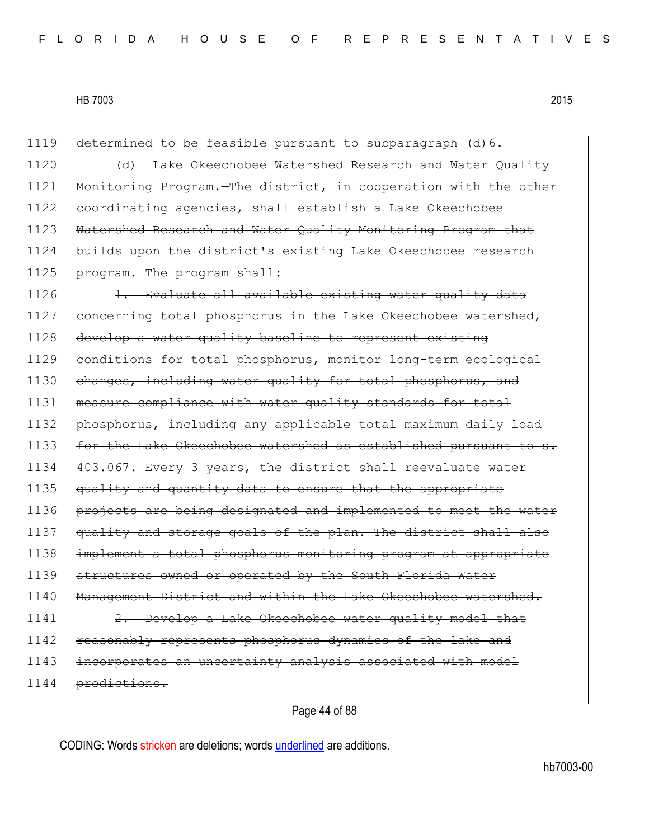1119 determined to be feasible pursuant to subparagraph (d) 6. 1120 **(d)** Lake Okeechobee Watershed Research and Water Ouality 1121 Monitoring Program. The district, in cooperation with the other 1122 coordinating agencies, shall establish a Lake Okeechobee 1123 Watershed Research and Water Quality Monitoring Program that 1124 builds upon the district's existing Lake Okeechobee research 1125 program. The program shall: 1126 1. Evaluate all available existing water quality data 1127 concerning total phosphorus in the Lake Okeechobee watershed, 1128 develop a water quality baseline to represent existing 1129 conditions for total phosphorus, monitor long-term ecological 1130 changes, including water quality for total phosphorus, and 1131 measure compliance with water quality standards for total 1132 phosphorus, including any applicable total maximum daily load 1133 for the Lake Okeechobee watershed as established pursuant to 1134 403.067. Every 3 years, the district shall reevaluate water 1135 quality and quantity data to ensure that the appropriate 1136 projects are being designated and implemented to meet the water 1137 quality and storage goals of the plan. The district shall also 1138 implement a total phosphorus monitoring program at appropriate 1139 structures owned or operated by the South Florida Water 1140 Management District and within the Lake Okeechobee watershed. 1141 2. Develop a Lake Okeechobee water quality model that 1142 reasonably represents phosphorus dynamics of the lake and 1143 incorporates an uncertainty analysis associated with model 1144 predictions.

Page 44 of 88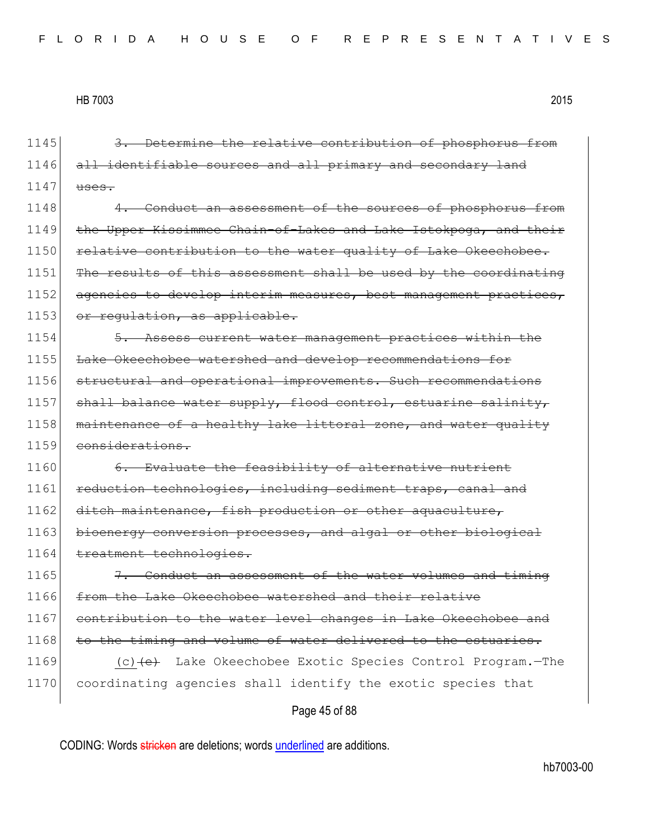Page 45 of 88 1145 3. Determine the relative contribution of phosphorus from 1146 all identifiable sources and all primary and secondary land  $1147$  uses. 1148 4. Conduct an assessment of the sources of phosphorus from 1149 the Upper Kissimmee Chain-of-Lakes and Lake Istokpoga, and their 1150 relative contribution to the water quality of Lake Okeechobee. 1151 The results of this assessment shall be used by the coordinating 1152 agencies to develop interim measures, best management practices, 1153 or regulation, as applicable. 1154 **5.** Assess current water management practices within the 1155 Lake Okeechobee watershed and develop recommendations for 1156 structural and operational improvements. Such recommendations 1157 shall balance water supply, flood control, estuarine salinity, 1158 maintenance of a healthy lake littoral zone, and water quality 1159 considerations. 1160 6. Evaluate the feasibility of alternative nutrient 1161 reduction technologies, including sediment traps, canal and 1162 ditch maintenance, fish production or other aquaculture, 1163 bioenergy conversion processes, and algal or other biological 1164 treatment technologies. 1165  $\vert$  7. Conduct an assessment of the water volumes and timing 1166 from the Lake Okeechobee watershed and their relative 1167 contribution to the water level changes in Lake Okeechobee and 1168 to the timing and volume of water delivered to the estuaries. 1169 (c)<del>(e)</del> Lake Okeechobee Exotic Species Control Program.—The 1170 coordinating agencies shall identify the exotic species that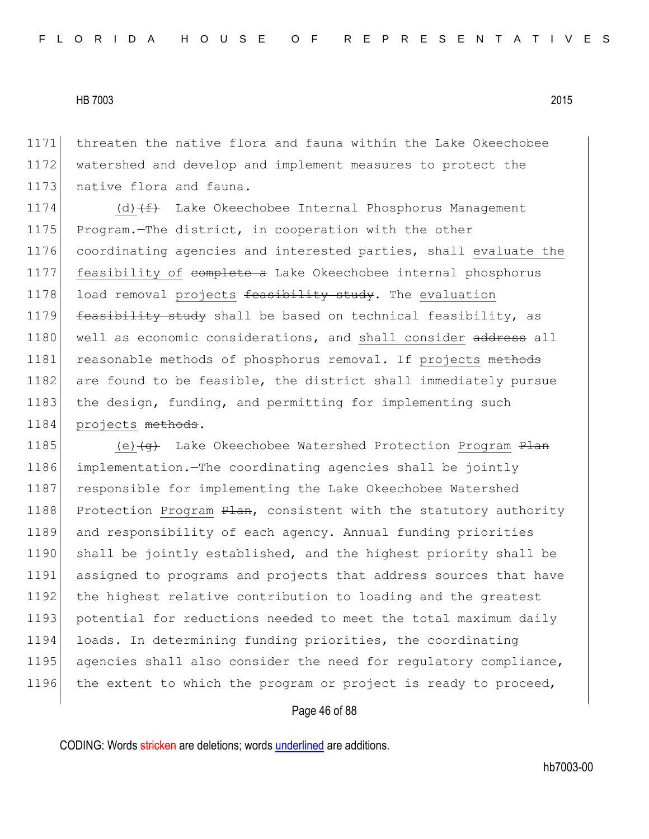1171 threaten the native flora and fauna within the Lake Okeechobee 1172 watershed and develop and implement measures to protect the 1173 native flora and fauna.

1174 (d) (f) Lake Okeechobee Internal Phosphorus Management 1175 Program.—The district, in cooperation with the other 1176 coordinating agencies and interested parties, shall evaluate the 1177 feasibility of complete a Lake Okeechobee internal phosphorus 1178 load removal projects feasibility study. The evaluation 1179 feasibility study shall be based on technical feasibility, as 1180 well as economic considerations, and shall consider address all 1181 reasonable methods of phosphorus removal. If projects methods 1182 are found to be feasible, the district shall immediately pursue 1183 the design, funding, and permitting for implementing such 1184 projects methods.

1185 (e) (e) Lake Okeechobee Watershed Protection Program Plan 1186 implementation.—The coordinating agencies shall be jointly 1187 responsible for implementing the Lake Okeechobee Watershed 1188 Protection Program Plan, consistent with the statutory authority 1189 and responsibility of each agency. Annual funding priorities 1190 shall be jointly established, and the highest priority shall be 1191 assigned to programs and projects that address sources that have 1192 the highest relative contribution to loading and the greatest 1193 potential for reductions needed to meet the total maximum daily 1194 loads. In determining funding priorities, the coordinating 1195 agencies shall also consider the need for regulatory compliance, 1196 the extent to which the program or project is ready to proceed,

# Page 46 of 88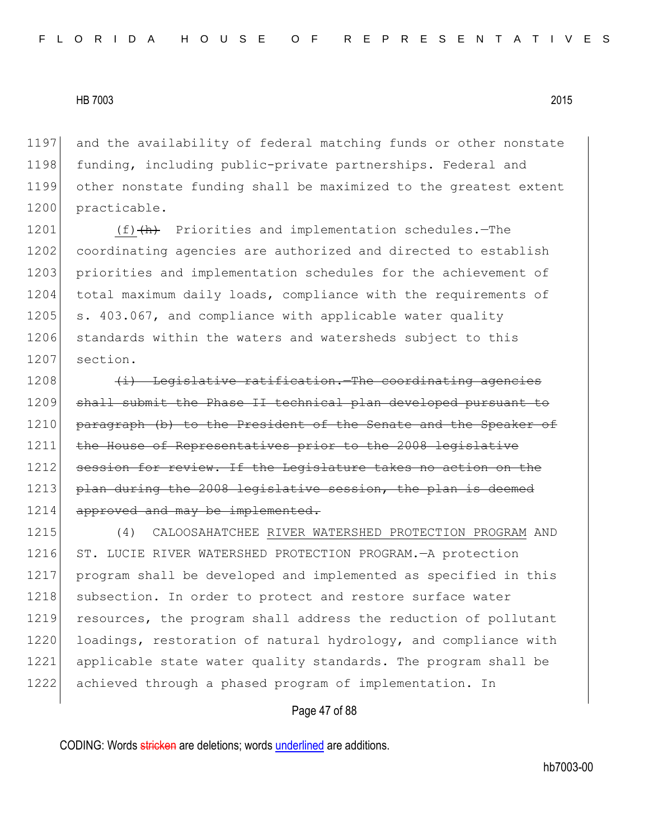1197 and the availability of federal matching funds or other nonstate 1198 funding, including public-private partnerships. Federal and 1199 other nonstate funding shall be maximized to the greatest extent 1200 practicable.

1201 (f)(h) Priorities and implementation schedules.—The 1202 coordinating agencies are authorized and directed to establish 1203 priorities and implementation schedules for the achievement of 1204 total maximum daily loads, compliance with the requirements of 1205 s. 403.067, and compliance with applicable water quality 1206 standards within the waters and watersheds subject to this 1207 section.

 $1208$  (i) Legislative ratification. The coordinating agencies 1209 shall submit the Phase II technical plan developed pursuant to 1210 paragraph (b) to the President of the Senate and the Speaker of 1211 the House of Representatives prior to the 2008 legislative 1212 session for review. If the Legislature takes no action on the 1213 plan during the 2008 legislative session, the plan is deemed 1214 approved and may be implemented.

1215 (4) CALOOSAHATCHEE RIVER WATERSHED PROTECTION PROGRAM AND 1216 ST. LUCIE RIVER WATERSHED PROTECTION PROGRAM. - A protection 1217 program shall be developed and implemented as specified in this 1218 subsection. In order to protect and restore surface water 1219 resources, the program shall address the reduction of pollutant 1220 loadings, restoration of natural hydrology, and compliance with 1221 applicable state water quality standards. The program shall be 1222 achieved through a phased program of implementation. In

#### Page 47 of 88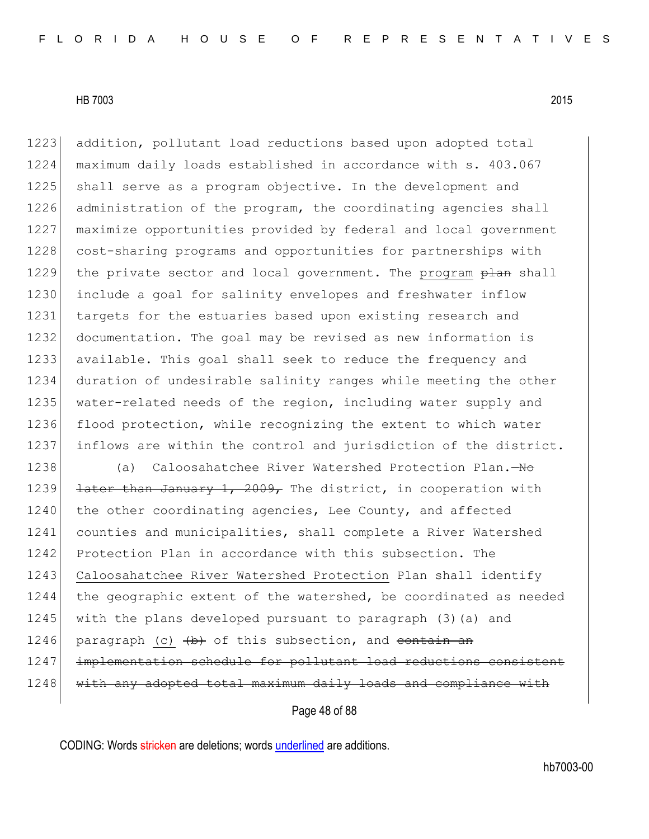1223 addition, pollutant load reductions based upon adopted total 1224 maximum daily loads established in accordance with s. 403.067 1225 shall serve as a program objective. In the development and 1226 administration of the program, the coordinating agencies shall 1227 maximize opportunities provided by federal and local government 1228 cost-sharing programs and opportunities for partnerships with 1229 the private sector and local government. The program plan shall 1230 include a goal for salinity envelopes and freshwater inflow 1231 targets for the estuaries based upon existing research and 1232 documentation. The goal may be revised as new information is 1233 available. This goal shall seek to reduce the frequency and 1234 duration of undesirable salinity ranges while meeting the other 1235 water-related needs of the region, including water supply and 1236 flood protection, while recognizing the extent to which water 1237 inflows are within the control and jurisdiction of the district.

1238 (a) Caloosahatchee River Watershed Protection Plan.—No 1239 <del>later than January 1, 2009,</del> The district, in cooperation with 1240 the other coordinating agencies, Lee County, and affected 1241 counties and municipalities, shall complete a River Watershed 1242 Protection Plan in accordance with this subsection. The 1243 Caloosahatchee River Watershed Protection Plan shall identify 1244 the geographic extent of the watershed, be coordinated as needed 1245 with the plans developed pursuant to paragraph (3)(a) and 1246 paragraph (c)  $\left(\frac{b}{b}\right)$  of this subsection, and contain an 1247 implementation schedule for pollutant load reductions consistent 1248 with any adopted total maximum daily loads and compliance with

Page 48 of 88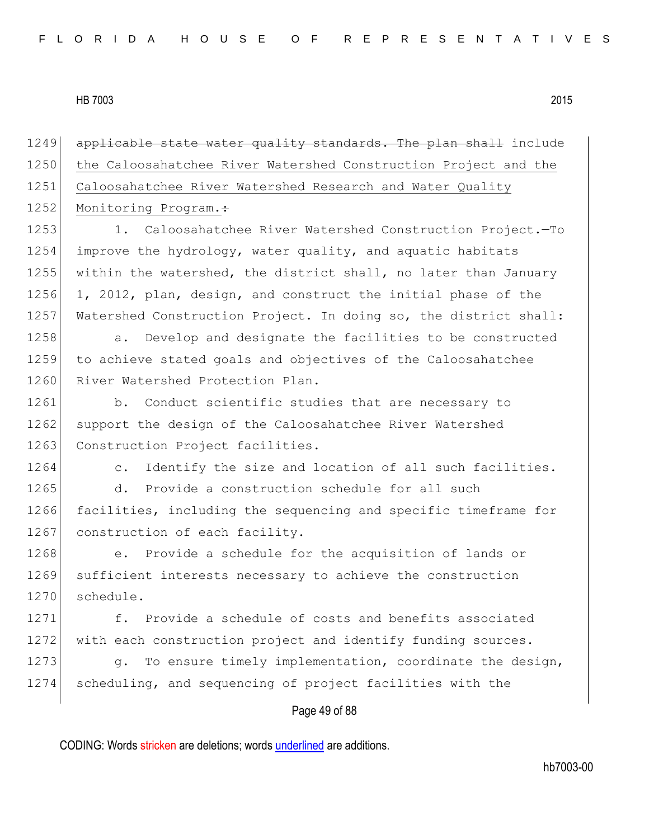1249 applicable state water quality standards. The plan shall include 1250 the Caloosahatchee River Watershed Construction Project and the 1251 Caloosahatchee River Watershed Research and Water Quality 1252 Monitoring Program.: 1253 1. Caloosahatchee River Watershed Construction Project.—To 1254 improve the hydrology, water quality, and aquatic habitats 1255 within the watershed, the district shall, no later than January 1256 1, 2012, plan, design, and construct the initial phase of the 1257 Watershed Construction Project. In doing so, the district shall: 1258 a. Develop and designate the facilities to be constructed 1259 to achieve stated goals and objectives of the Caloosahatchee 1260 River Watershed Protection Plan. 1261 b. Conduct scientific studies that are necessary to 1262 support the design of the Caloosahatchee River Watershed 1263 Construction Project facilities. 1264 c. Identify the size and location of all such facilities. 1265 d. Provide a construction schedule for all such 1266 facilities, including the sequencing and specific timeframe for 1267 construction of each facility. 1268 e. Provide a schedule for the acquisition of lands or 1269 sufficient interests necessary to achieve the construction 1270 schedule. 1271 f. Provide a schedule of costs and benefits associated 1272 with each construction project and identify funding sources. 1273 g. To ensure timely implementation, coordinate the design, 1274 scheduling, and sequencing of project facilities with the

# Page 49 of 88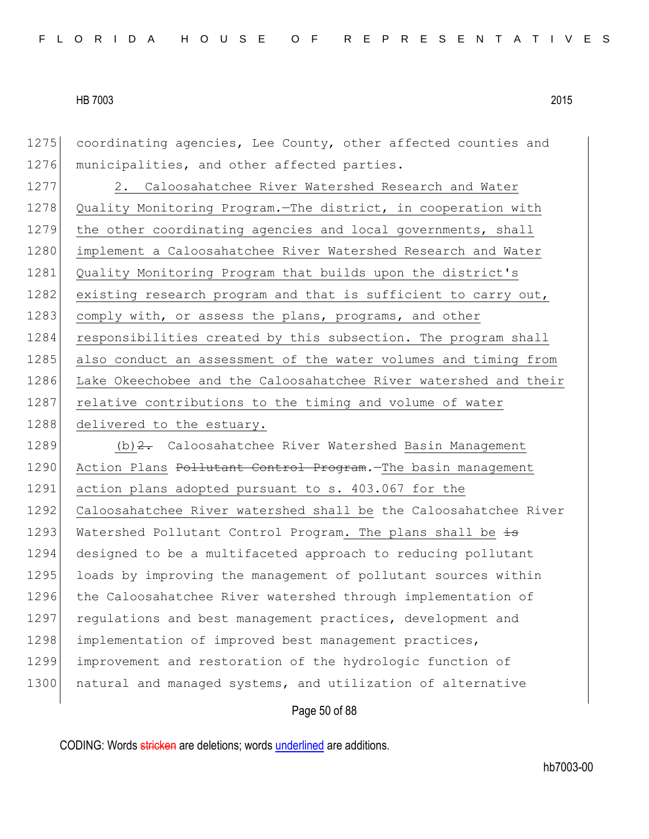1275 coordinating agencies, Lee County, other affected counties and 1276 municipalities, and other affected parties.

1277 2. Caloosahatchee River Watershed Research and Water 1278 Quality Monitoring Program.—The district, in cooperation with 1279 the other coordinating agencies and local governments, shall 1280 implement a Caloosahatchee River Watershed Research and Water 1281 Quality Monitoring Program that builds upon the district's 1282 existing research program and that is sufficient to carry out, 1283 comply with, or assess the plans, programs, and other 1284 responsibilities created by this subsection. The program shall 1285 also conduct an assessment of the water volumes and timing from 1286 Lake Okeechobee and the Caloosahatchee River watershed and their 1287 relative contributions to the timing and volume of water 1288 delivered to the estuary.

1289 (b) 2. Caloosahatchee River Watershed Basin Management 1290 Action Plans Pollutant Control Program. The basin management 1291 action plans adopted pursuant to s. 403.067 for the 1292 Caloosahatchee River watershed shall be the Caloosahatchee River 1293 Watershed Pollutant Control Program. The plans shall be  $\pm$ 1294 designed to be a multifaceted approach to reducing pollutant 1295 loads by improving the management of pollutant sources within 1296 the Caloosahatchee River watershed through implementation of 1297 requiations and best management practices, development and 1298 implementation of improved best management practices, 1299 improvement and restoration of the hydrologic function of 1300 natural and managed systems, and utilization of alternative

#### Page 50 of 88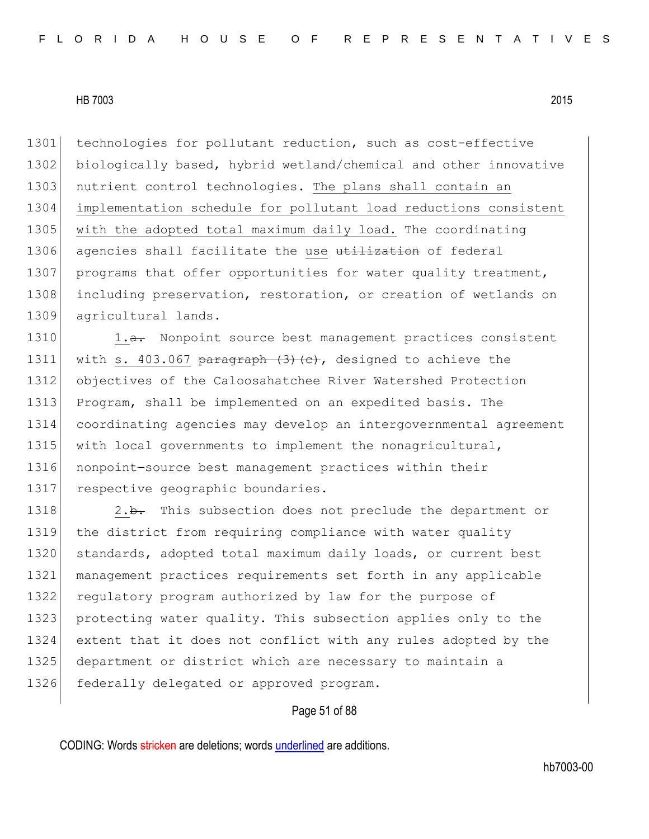1301 technologies for pollutant reduction, such as cost-effective 1302 biologically based, hybrid wetland/chemical and other innovative 1303 nutrient control technologies. The plans shall contain an 1304 implementation schedule for pollutant load reductions consistent 1305 with the adopted total maximum daily load. The coordinating 1306 agencies shall facilitate the use utilization of federal 1307 programs that offer opportunities for water quality treatment, 1308 including preservation, restoration, or creation of wetlands on 1309 agricultural lands.

1310 1.a. Nonpoint source best management practices consistent 1311 with s. 403.067 paragraph  $(3)$   $(c)$ , designed to achieve the 1312 objectives of the Caloosahatchee River Watershed Protection 1313 Program, shall be implemented on an expedited basis. The 1314 coordinating agencies may develop an intergovernmental agreement 1315 with local governments to implement the nonagricultural, 1316 nonpoint-source best management practices within their 1317 respective geographic boundaries.

1318 2.b. This subsection does not preclude the department or 1319 the district from requiring compliance with water quality 1320 standards, adopted total maximum daily loads, or current best 1321 management practices requirements set forth in any applicable 1322 regulatory program authorized by law for the purpose of 1323 protecting water quality. This subsection applies only to the 1324 extent that it does not conflict with any rules adopted by the 1325 department or district which are necessary to maintain a 1326 federally delegated or approved program.

#### Page 51 of 88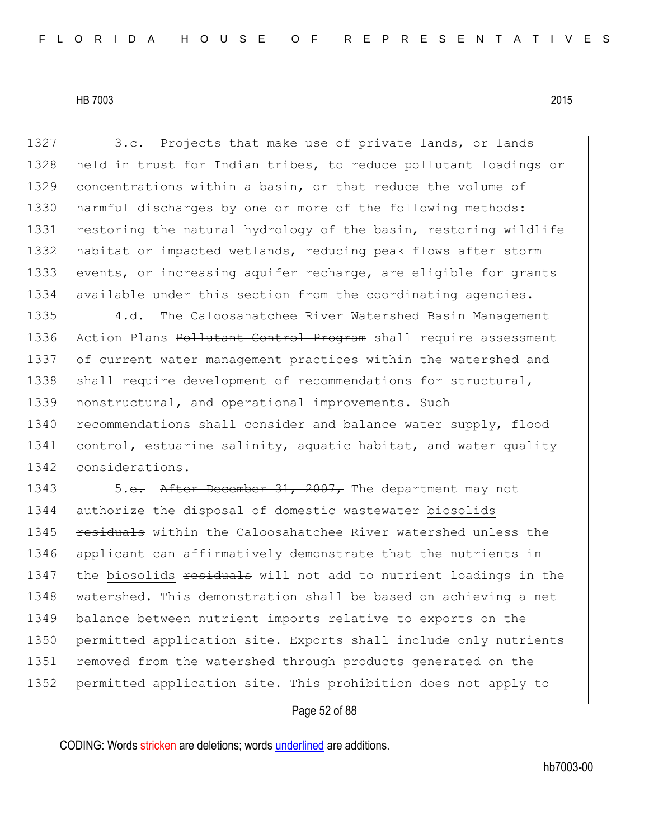1327 3.e. Projects that make use of private lands, or lands 1328 held in trust for Indian tribes, to reduce pollutant loadings or 1329 concentrations within a basin, or that reduce the volume of 1330 harmful discharges by one or more of the following methods: 1331 restoring the natural hydrology of the basin, restoring wildlife 1332 habitat or impacted wetlands, reducing peak flows after storm 1333 events, or increasing aquifer recharge, are eligible for grants 1334 available under this section from the coordinating agencies. 1335 4.<del>d.</del> The Caloosahatchee River Watershed Basin Management 1336 Action Plans Pollutant Control Program shall require assessment 1337 of current water management practices within the watershed and 1338 shall require development of recommendations for structural, 1339 nonstructural, and operational improvements. Such 1340 recommendations shall consider and balance water supply, flood

1341 control, estuarine salinity, aquatic habitat, and water quality 1342 considerations.

1343 5.e. After December 31, 2007, The department may not 1344 authorize the disposal of domestic wastewater biosolids 1345 **residuals** within the Caloosahatchee River watershed unless the 1346 applicant can affirmatively demonstrate that the nutrients in 1347 the biosolids residuals will not add to nutrient loadings in the 1348 watershed. This demonstration shall be based on achieving a net 1349 balance between nutrient imports relative to exports on the 1350 permitted application site. Exports shall include only nutrients 1351 removed from the watershed through products generated on the 1352 permitted application site. This prohibition does not apply to

# Page 52 of 88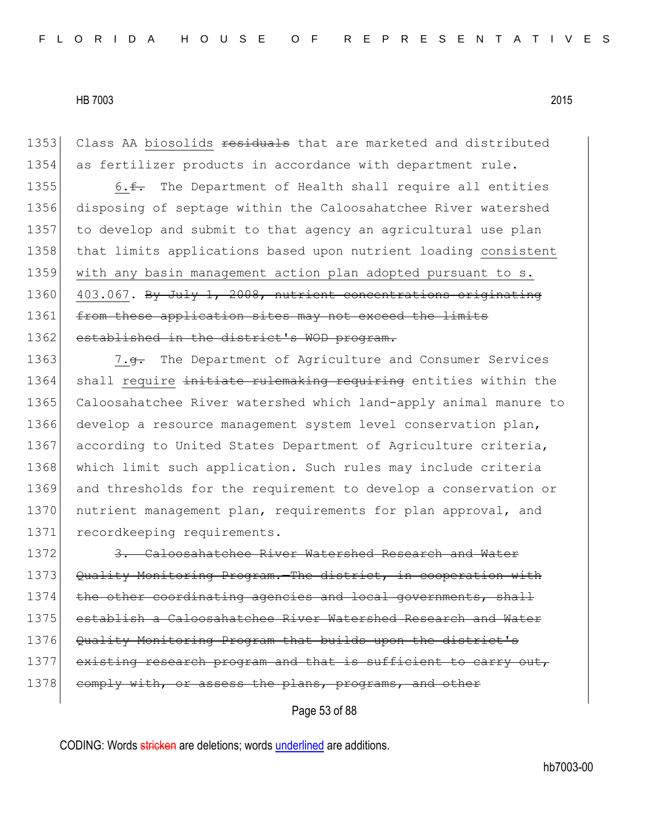1353 Class AA biosolids residuals that are marketed and distributed 1354 as fertilizer products in accordance with department rule.

1355 6. $\epsilon$ . The Department of Health shall require all entities 1356 disposing of septage within the Caloosahatchee River watershed 1357 to develop and submit to that agency an agricultural use plan 1358 that limits applications based upon nutrient loading consistent 1359 with any basin management action plan adopted pursuant to s. 1360 403.067. By July 1, 2008, nutrient concentrations originating 1361 from these application sites may not exceed the limits 1362 established in the district's WOD program.

1363 7.<del>g.</del> The Department of Agriculture and Consumer Services 1364 shall require initiate rulemaking requiring entities within the 1365 Caloosahatchee River watershed which land-apply animal manure to 1366 develop a resource management system level conservation plan, 1367 according to United States Department of Agriculture criteria, 1368 which limit such application. Such rules may include criteria 1369 and thresholds for the requirement to develop a conservation or 1370 nutrient management plan, requirements for plan approval, and 1371 recordkeeping requirements.

1372 3. Caloosahatchee River Watershed Research and Water 1373 Quality Monitoring Program. The district, in cooperation with 1374 the other coordinating agencies and local governments, shall 1375 establish a Caloosahatchee River Watershed Research and Water 1376 Quality Monitoring Program that builds upon the district's 1377 existing research program and that is sufficient to carry out, 1378 comply with, or assess the plans, programs, and other

Page 53 of 88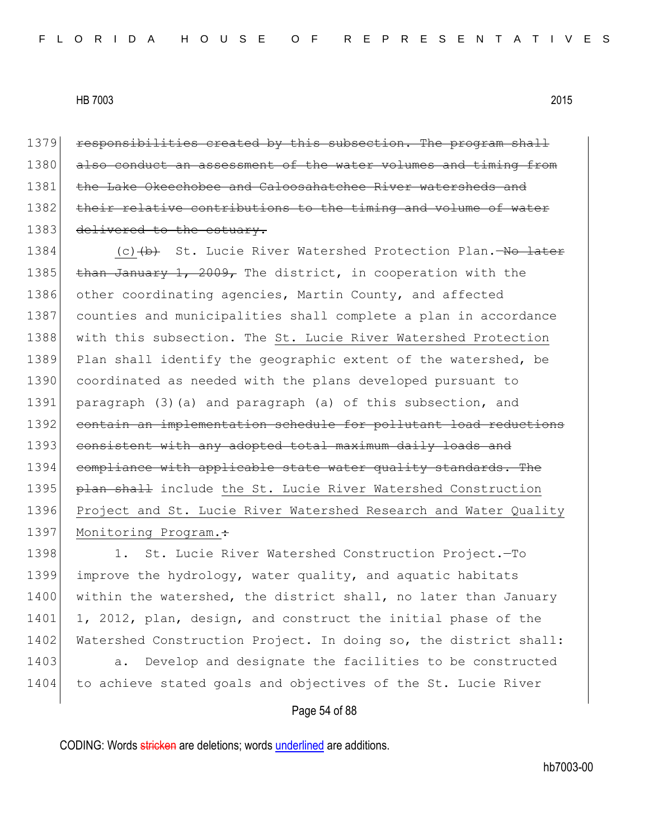1379 responsibilities created by this subsection. The program shall 1380 also conduct an assessment of the water volumes and timing from 1381 the Lake Okeechobee and Caloosahatchee River watersheds and 1382 their relative contributions to the timing and volume of water 1383 delivered to the estuary.

1384 (c) (b) St. Lucie River Watershed Protection Plan.—No later 1385 than January 1, 2009, The district, in cooperation with the 1386 other coordinating agencies, Martin County, and affected 1387 counties and municipalities shall complete a plan in accordance 1388 with this subsection. The St. Lucie River Watershed Protection 1389 Plan shall identify the geographic extent of the watershed, be 1390 coordinated as needed with the plans developed pursuant to 1391 paragraph (3)(a) and paragraph (a) of this subsection, and 1392 contain an implementation schedule for pollutant load reductions 1393 consistent with any adopted total maximum daily loads and 1394 compliance with applicable state water quality standards. The 1395 **plan shall** include the St. Lucie River Watershed Construction 1396 Project and St. Lucie River Watershed Research and Water Quality 1397 Monitoring Program.:

1398 1. St. Lucie River Watershed Construction Project.-To 1399 improve the hydrology, water quality, and aquatic habitats 1400 within the watershed, the district shall, no later than January 1401 1, 2012, plan, design, and construct the initial phase of the 1402 Watershed Construction Project. In doing so, the district shall: 1403 a. Develop and designate the facilities to be constructed 1404 to achieve stated goals and objectives of the St. Lucie River

# Page 54 of 88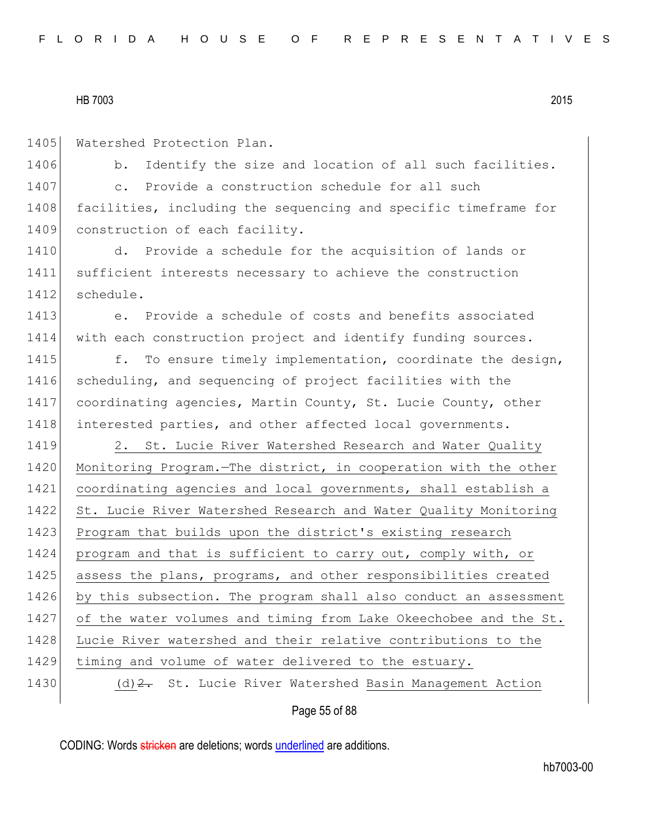1405 Watershed Protection Plan.

1406 b. Identify the size and location of all such facilities. 1407 c. Provide a construction schedule for all such 1408 facilities, including the sequencing and specific timeframe for 1409 construction of each facility.

1410 d. Provide a schedule for the acquisition of lands or 1411 sufficient interests necessary to achieve the construction 1412 schedule.

1413 e. Provide a schedule of costs and benefits associated 1414 with each construction project and identify funding sources.

1415 f. To ensure timely implementation, coordinate the design, 1416 scheduling, and sequencing of project facilities with the 1417 coordinating agencies, Martin County, St. Lucie County, other 1418 interested parties, and other affected local governments.

Page 55 of 88 1419 2. St. Lucie River Watershed Research and Water Quality 1420 Monitoring Program. - The district, in cooperation with the other 1421 coordinating agencies and local governments, shall establish a 1422 St. Lucie River Watershed Research and Water Quality Monitoring 1423 Program that builds upon the district's existing research 1424 program and that is sufficient to carry out, comply with, or 1425 assess the plans, programs, and other responsibilities created 1426 by this subsection. The program shall also conduct an assessment 1427 of the water volumes and timing from Lake Okeechobee and the St. 1428 Lucie River watershed and their relative contributions to the 1429 timing and volume of water delivered to the estuary. 1430 (d) 2. St. Lucie River Watershed Basin Management Action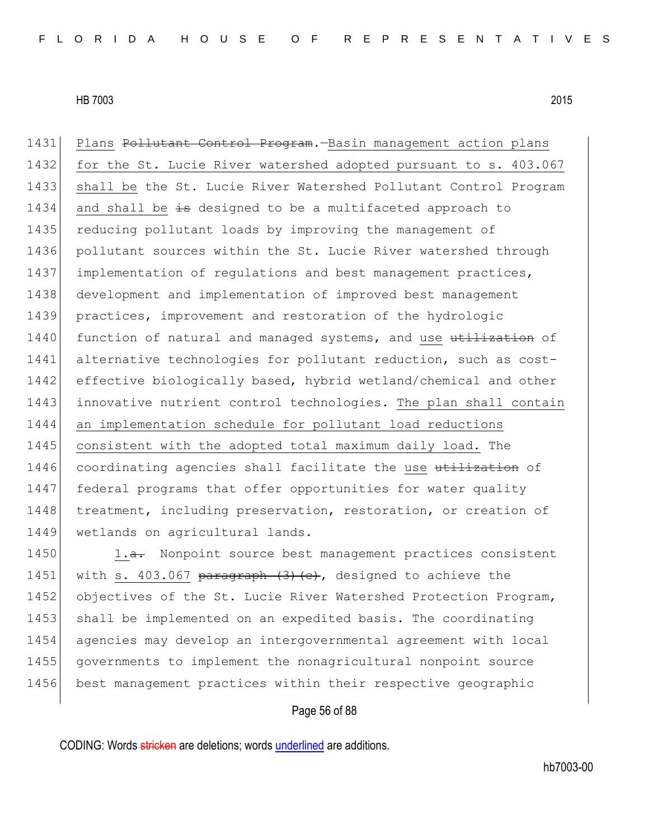1431 Plans Pollutant Control Program. - Basin management action plans 1432 for the St. Lucie River watershed adopted pursuant to s. 403.067 1433 shall be the St. Lucie River Watershed Pollutant Control Program 1434 and shall be is designed to be a multifaceted approach to 1435 reducing pollutant loads by improving the management of 1436 pollutant sources within the St. Lucie River watershed through 1437 implementation of regulations and best management practices, 1438 development and implementation of improved best management 1439 practices, improvement and restoration of the hydrologic 1440 function of natural and managed systems, and use utilization of 1441 alternative technologies for pollutant reduction, such as cost-1442 effective biologically based, hybrid wetland/chemical and other 1443 innovative nutrient control technologies. The plan shall contain 1444 an implementation schedule for pollutant load reductions 1445 consistent with the adopted total maximum daily load. The 1446 coordinating agencies shall facilitate the use utilization of 1447 federal programs that offer opportunities for water quality 1448 treatment, including preservation, restoration, or creation of 1449 wetlands on agricultural lands. 1450 1.a. Nonpoint source best management practices consistent

1451 with s. 403.067 paragraph  $(3)$   $(e)$ , designed to achieve the 1452 objectives of the St. Lucie River Watershed Protection Program, 1453 shall be implemented on an expedited basis. The coordinating 1454 agencies may develop an intergovernmental agreement with local 1455 governments to implement the nonagricultural nonpoint source 1456 best management practices within their respective geographic

# Page 56 of 88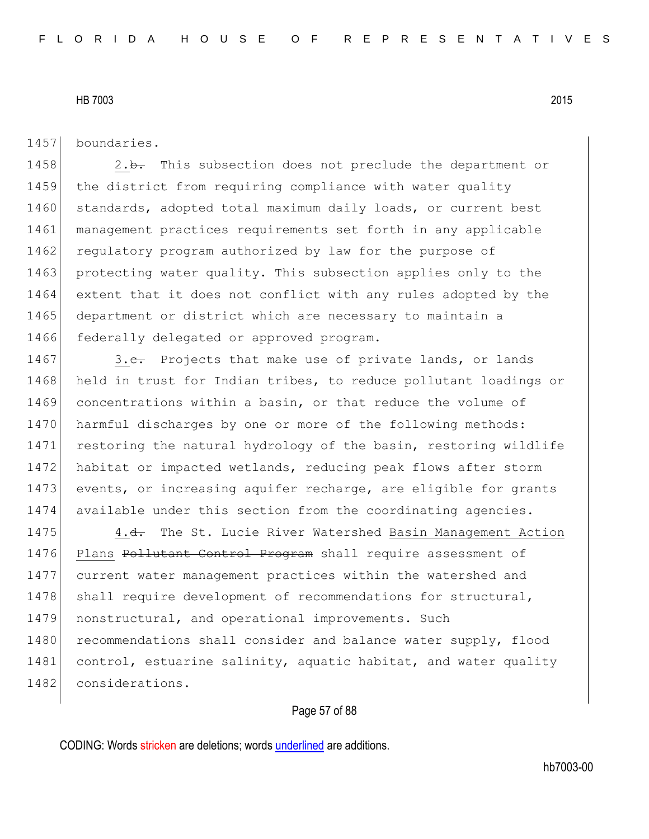1457 boundaries.

1458 2.b. This subsection does not preclude the department or 1459 the district from requiring compliance with water quality 1460 standards, adopted total maximum daily loads, or current best 1461 management practices requirements set forth in any applicable 1462 regulatory program authorized by law for the purpose of 1463 protecting water quality. This subsection applies only to the 1464 extent that it does not conflict with any rules adopted by the 1465 department or district which are necessary to maintain a 1466 federally delegated or approved program.

1467 3.e. Projects that make use of private lands, or lands 1468 held in trust for Indian tribes, to reduce pollutant loadings or 1469 concentrations within a basin, or that reduce the volume of 1470 harmful discharges by one or more of the following methods: 1471 restoring the natural hydrology of the basin, restoring wildlife 1472 habitat or impacted wetlands, reducing peak flows after storm 1473 events, or increasing aquifer recharge, are eligible for grants 1474 available under this section from the coordinating agencies.

1475 4.<del>d.</del> The St. Lucie River Watershed Basin Management Action 1476 Plans Pollutant Control Program shall require assessment of 1477 current water management practices within the watershed and 1478 shall require development of recommendations for structural, 1479 nonstructural, and operational improvements. Such 1480 recommendations shall consider and balance water supply, flood 1481 control, estuarine salinity, aquatic habitat, and water quality 1482 considerations.

# Page 57 of 88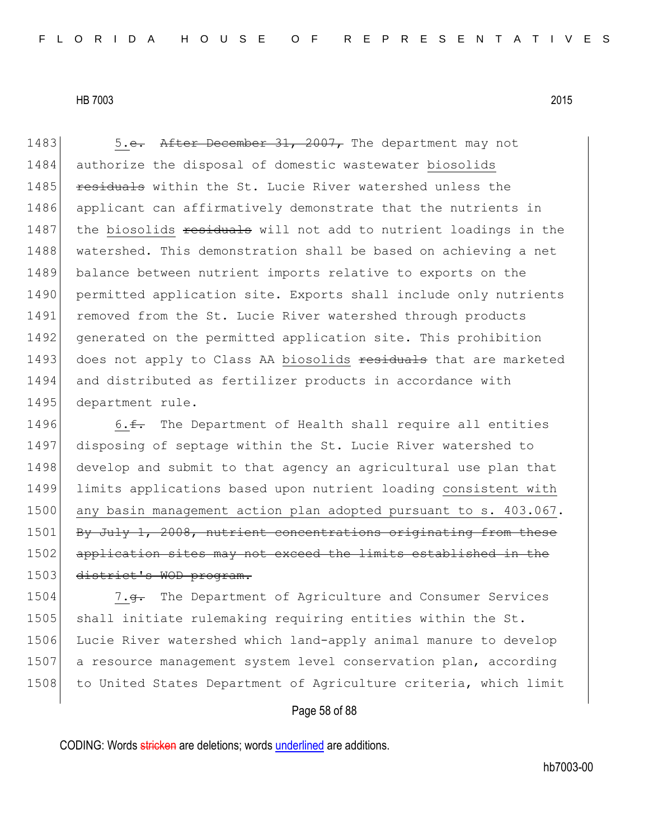1483 5.e. After December 31, 2007, The department may not 1484 authorize the disposal of domestic wastewater biosolids 1485 residuals within the St. Lucie River watershed unless the 1486 applicant can affirmatively demonstrate that the nutrients in 1487 the biosolids residuals will not add to nutrient loadings in the 1488 watershed. This demonstration shall be based on achieving a net 1489 balance between nutrient imports relative to exports on the 1490 permitted application site. Exports shall include only nutrients 1491 removed from the St. Lucie River watershed through products 1492 generated on the permitted application site. This prohibition 1493 does not apply to Class AA biosolids residuals that are marketed 1494 and distributed as fertilizer products in accordance with 1495 department rule.

1496 6. $\text{f}$  The Department of Health shall require all entities 1497 disposing of septage within the St. Lucie River watershed to 1498 develop and submit to that agency an agricultural use plan that 1499 limits applications based upon nutrient loading consistent with 1500 any basin management action plan adopted pursuant to s. 403.067. 1501 By July 1, 2008, nutrient concentrations originating from these 1502 application sites may not exceed the limits established in the 1503 district's WOD program.

1504 7.<del>g.</del> The Department of Agriculture and Consumer Services 1505 shall initiate rulemaking requiring entities within the St. 1506 Lucie River watershed which land-apply animal manure to develop 1507 a resource management system level conservation plan, according 1508 to United States Department of Agriculture criteria, which limit

# Page 58 of 88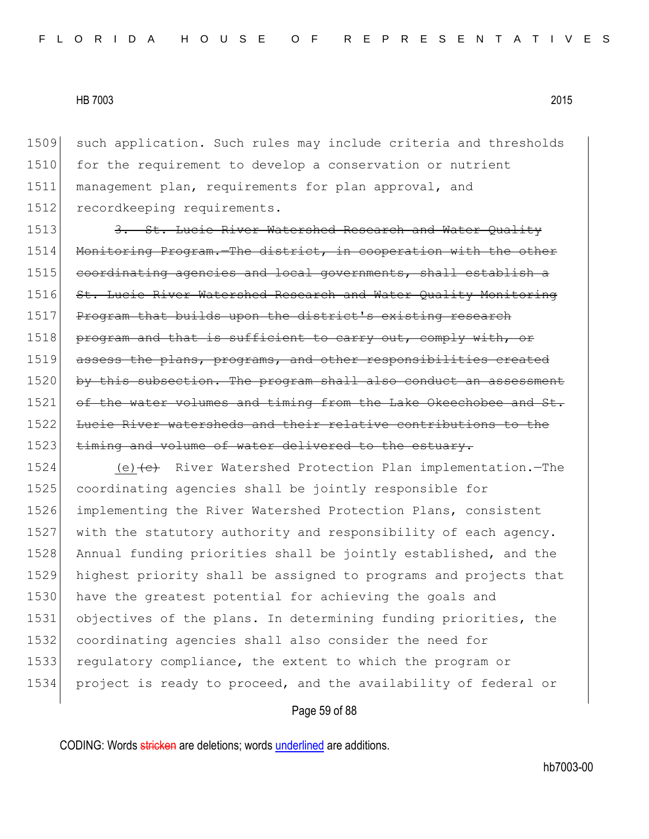such application. Such rules may include criteria and thresholds 1510 for the requirement to develop a conservation or nutrient management plan, requirements for plan approval, and recordkeeping requirements.

1513 3. St. Lucie River Watershed Research and Water Quality 1514 Monitoring Program. The district, in cooperation with the other 1515 coordinating agencies and local governments, shall establish a 1516 St. Lucie River Watershed Research and Water Quality Monitoring 1517 Program that builds upon the district's existing research 1518 program and that is sufficient to carry out, comply with, or 1519 assess the plans, programs, and other responsibilities created 1520 by this subsection. The program shall also conduct an assessment 1521 of the water volumes and timing from the Lake Okeechobee and St. 1522 Lucie River watersheds and their relative contributions to the 1523 timing and volume of water delivered to the estuary.

1524 (e) (e) River Watershed Protection Plan implementation.—The 1525 coordinating agencies shall be jointly responsible for 1526 implementing the River Watershed Protection Plans, consistent 1527 with the statutory authority and responsibility of each agency. 1528 Annual funding priorities shall be jointly established, and the 1529 highest priority shall be assigned to programs and projects that 1530 have the greatest potential for achieving the goals and 1531 objectives of the plans. In determining funding priorities, the 1532 coordinating agencies shall also consider the need for 1533 regulatory compliance, the extent to which the program or 1534 project is ready to proceed, and the availability of federal or

# Page 59 of 88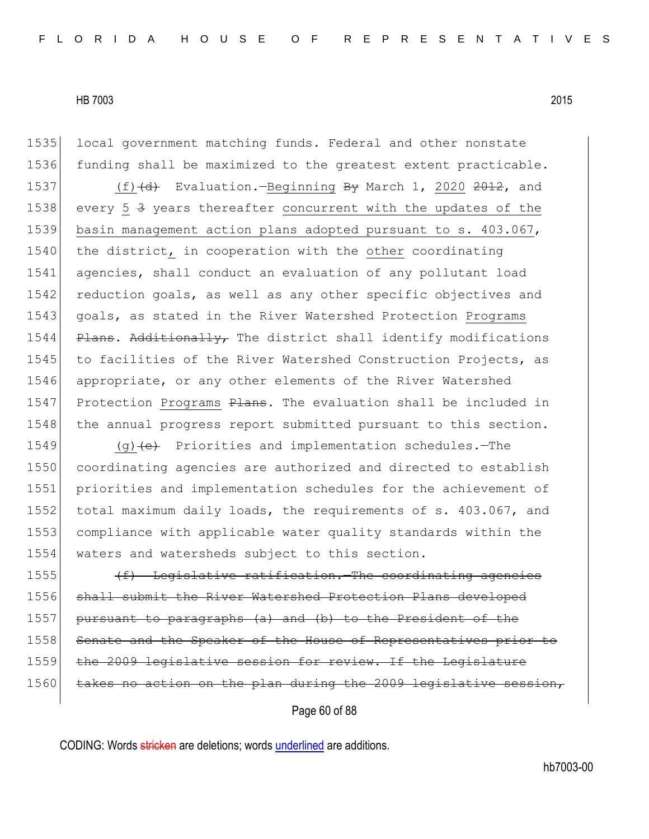1535 local government matching funds. Federal and other nonstate 1536 funding shall be maximized to the greatest extent practicable.

1537 (f)  $(d)$  Evaluation.—Beginning By March 1, 2020 2012, and 1538 every 5 4 years thereafter concurrent with the updates of the 1539 basin management action plans adopted pursuant to s. 403.067, 1540 the district, in cooperation with the other coordinating 1541 agencies, shall conduct an evaluation of any pollutant load 1542 reduction goals, as well as any other specific objectives and 1543 goals, as stated in the River Watershed Protection Programs 1544 Plans. Additionally, The district shall identify modifications 1545 to facilities of the River Watershed Construction Projects, as 1546 appropriate, or any other elements of the River Watershed 1547 Protection Programs Plans. The evaluation shall be included in 1548 the annual progress report submitted pursuant to this section.

1549 (g) $\left\{\left(e\right)\right\}$  Priorities and implementation schedules. - The coordinating agencies are authorized and directed to establish priorities and implementation schedules for the achievement of 1552 total maximum daily loads, the requirements of s. 403.067, and compliance with applicable water quality standards within the waters and watersheds subject to this section.

1555 (f) Legislative ratification.—The coordinating agencies 1556 shall submit the River Watershed Protection Plans developed 1557 pursuant to paragraphs (a) and (b) to the President of the 1558 Senate and the Speaker of the House of Representatives prior to 1559 the 2009 legislative session for review. If the Legislature 1560 takes no action on the plan during the 2009 legislative session,

Page 60 of 88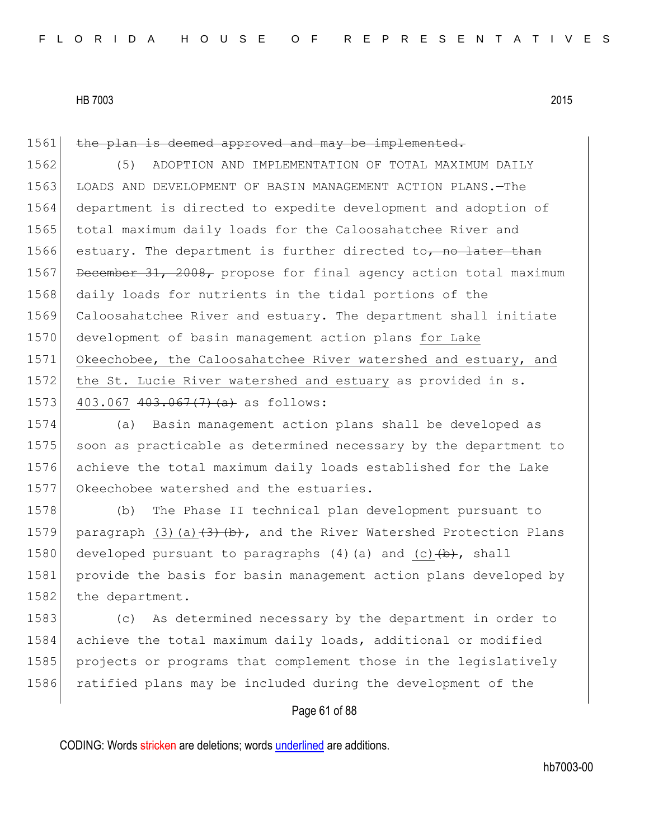1561 the plan is deemed approved and may be implemented.

1562 (5) ADOPTION AND IMPLEMENTATION OF TOTAL MAXIMUM DAILY 1563 LOADS AND DEVELOPMENT OF BASIN MANAGEMENT ACTION PLANS. - The 1564 department is directed to expedite development and adoption of 1565 total maximum daily loads for the Caloosahatchee River and 1566 estuary. The department is further directed to  $\overline{p}$  no later than 1567 December 31, 2008, propose for final agency action total maximum 1568 daily loads for nutrients in the tidal portions of the 1569 Caloosahatchee River and estuary. The department shall initiate 1570 development of basin management action plans for Lake 1571 Okeechobee, the Caloosahatchee River watershed and estuary, and 1572 the St. Lucie River watershed and estuary as provided in s. 1573 403.067  $403.067$   $(7)$   $(a)$  as follows:

 (a) Basin management action plans shall be developed as 1575 soon as practicable as determined necessary by the department to achieve the total maximum daily loads established for the Lake Okeechobee watershed and the estuaries.

1578 (b) The Phase II technical plan development pursuant to 1579 paragraph (3)(a) $\left\{\frac{3}{5}\right\}$  (b), and the River Watershed Protection Plans 1580 developed pursuant to paragraphs  $(4)$  (a) and  $(c)$   $(b)$ , shall 1581 provide the basis for basin management action plans developed by 1582 the department.

 (c) As determined necessary by the department in order to achieve the total maximum daily loads, additional or modified projects or programs that complement those in the legislatively 1586 ratified plans may be included during the development of the

# Page 61 of 88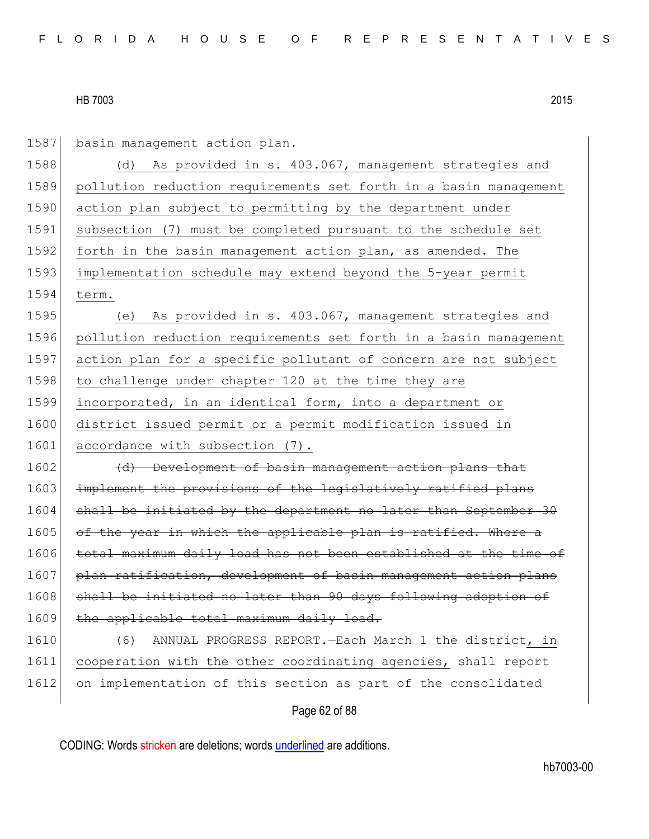| 1587 | basin management action plan.                                    |
|------|------------------------------------------------------------------|
| 1588 | As provided in s. 403.067, management strategies and<br>(d)      |
| 1589 | pollution reduction requirements set forth in a basin management |
| 1590 | action plan subject to permitting by the department under        |
| 1591 | subsection (7) must be completed pursuant to the schedule set    |
| 1592 | forth in the basin management action plan, as amended. The       |
| 1593 | implementation schedule may extend beyond the 5-year permit      |
| 1594 | term.                                                            |
| 1595 | As provided in s. 403.067, management strategies and<br>(e)      |
| 1596 | pollution reduction requirements set forth in a basin management |
| 1597 | action plan for a specific pollutant of concern are not subject  |
| 1598 | to challenge under chapter 120 at the time they are              |
| 1599 | incorporated, in an identical form, into a department or         |
| 1600 | district issued permit or a permit modification issued in        |
| 1601 | accordance with subsection (7).                                  |
| 1602 | (d) Development of basin management action plans that            |
| 1603 | implement the provisions of the legislatively ratified plans     |
| 1604 | shall be initiated by the department no later than September 30  |
| 1605 | of the year in which the applicable plan is ratified. Where a    |
| 1606 | total maximum daily load has not been established at the time of |
| 1607 | plan ratification, development of basin management action plans  |
| 1608 | shall be initiated no later than 90 days following adoption of   |
| 1609 | the applicable total maximum daily load.                         |
| 1610 | ANNUAL PROGRESS REPORT. - Each March 1 the district, in<br>(6)   |
| 1611 | cooperation with the other coordinating agencies, shall report   |
| 1612 | on implementation of this section as part of the consolidated    |
|      | Page 62 of 88                                                    |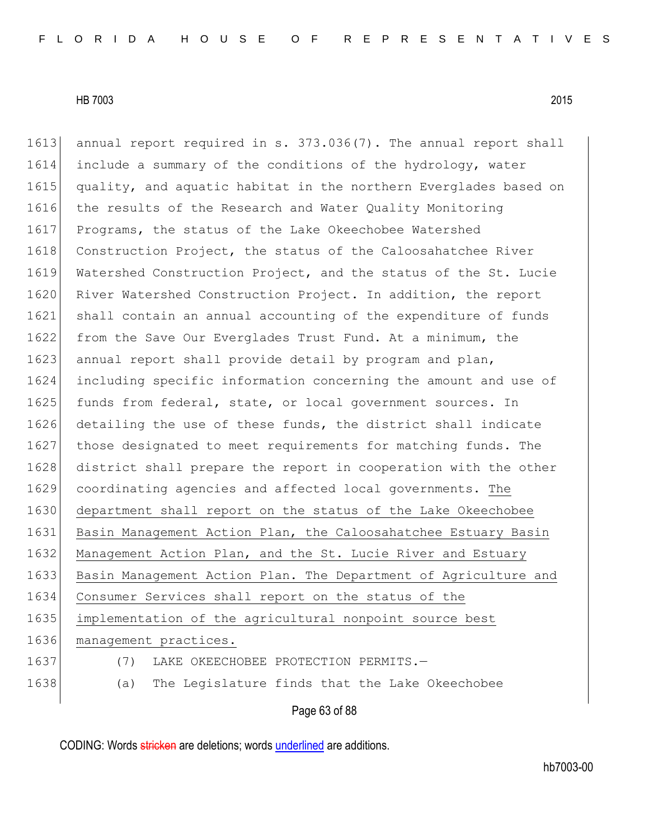1613 annual report required in s. 373.036(7). The annual report shall 1614 include a summary of the conditions of the hydrology, water 1615 quality, and aquatic habitat in the northern Everglades based on 1616 the results of the Research and Water Quality Monitoring 1617 Programs, the status of the Lake Okeechobee Watershed 1618 Construction Project, the status of the Caloosahatchee River 1619 Watershed Construction Project, and the status of the St. Lucie 1620 River Watershed Construction Project. In addition, the report 1621 shall contain an annual accounting of the expenditure of funds 1622 from the Save Our Everglades Trust Fund. At a minimum, the 1623 annual report shall provide detail by program and plan, 1624 including specific information concerning the amount and use of 1625 funds from federal, state, or local government sources. In 1626 detailing the use of these funds, the district shall indicate 1627 those designated to meet requirements for matching funds. The 1628 district shall prepare the report in cooperation with the other 1629 coordinating agencies and affected local governments. The 1630 department shall report on the status of the Lake Okeechobee 1631 Basin Management Action Plan, the Caloosahatchee Estuary Basin 1632 Management Action Plan, and the St. Lucie River and Estuary 1633 Basin Management Action Plan. The Department of Agriculture and 1634 Consumer Services shall report on the status of the 1635 implementation of the agricultural nonpoint source best 1636 management practices. 1637 (7) LAKE OKEECHOBEE PROTECTION PERMITS. 1638 (a) The Legislature finds that the Lake Okeechobee

# Page 63 of 88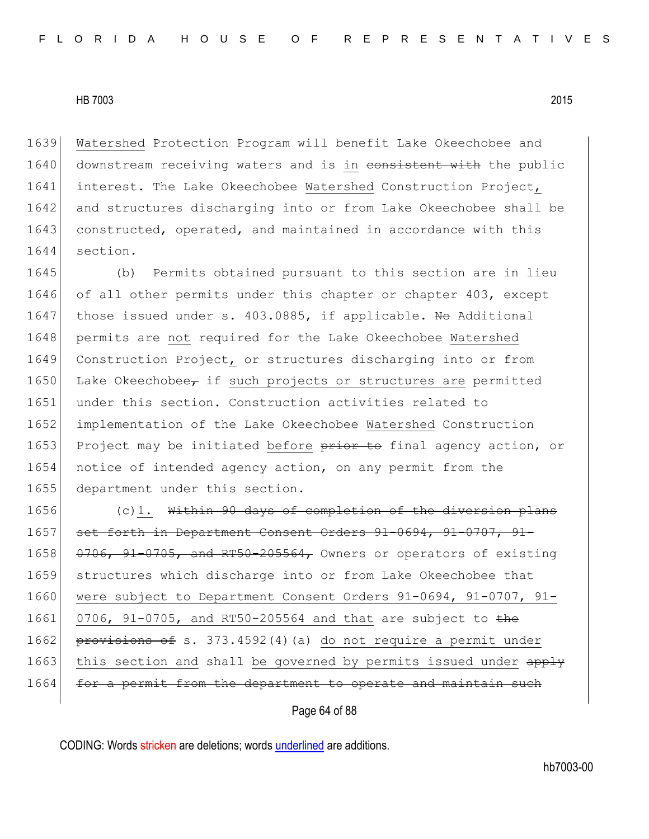1639 Watershed Protection Program will benefit Lake Okeechobee and 1640 downstream receiving waters and is in consistent with the public 1641 interest. The Lake Okeechobee Watershed Construction Project, 1642 and structures discharging into or from Lake Okeechobee shall be 1643 constructed, operated, and maintained in accordance with this 1644 section.

1645 (b) Permits obtained pursuant to this section are in lieu 1646 of all other permits under this chapter or chapter 403, except 1647 those issued under s. 403.0885, if applicable. No Additional 1648 permits are not required for the Lake Okeechobee Watershed 1649 Construction Project, or structures discharging into or from 1650 Lake Okeechobee, if such projects or structures are permitted 1651 under this section. Construction activities related to 1652 implementation of the Lake Okeechobee Watershed Construction 1653 Project may be initiated before prior to final agency action, or 1654 notice of intended agency action, on any permit from the 1655 department under this section.

1656 (c)1. Within 90 days of completion of the diversion plans 1657 set forth in Department Consent Orders 91-0694, 91-0707, 91-1658  $\left| \frac{0.706}{0.706} \right|$ ,  $91-0705$ , and RT50-205564, Owners or operators of existing 1659 structures which discharge into or from Lake Okeechobee that 1660 were subject to Department Consent Orders 91-0694, 91-0707, 91-1661 0706, 91-0705, and RT50-205564 and that are subject to the 1662 provisions of s. 373.4592(4)(a) do not require a permit under 1663 this section and shall be governed by permits issued under apply 1664 for a permit from the department to operate and maintain such

Page 64 of 88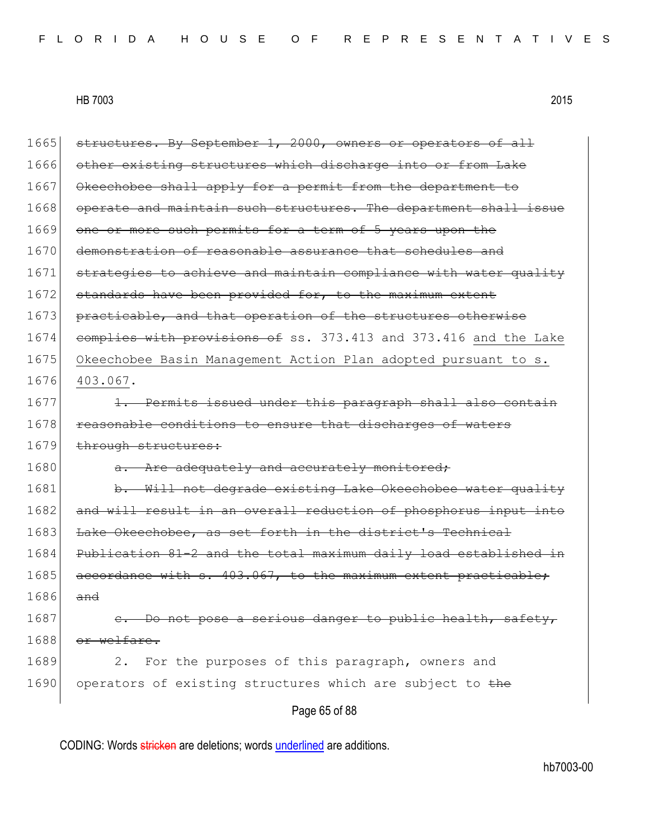| 1665 | structures. By September 1, 2000, owners or operators of all     |
|------|------------------------------------------------------------------|
| 1666 | other existing structures which discharge into or from Lake      |
| 1667 | Okeechobee shall apply for a permit from the department to       |
| 1668 | operate and maintain such structures. The department shall issue |
| 1669 | one or more such permits for a term of 5 years upon the          |
| 1670 | demonstration of reasonable assurance that schedules and         |
| 1671 | strategies to achieve and maintain compliance with water quality |
| 1672 | standards have been provided for, to the maximum extent          |
| 1673 | practicable, and that operation of the structures otherwise      |
| 1674 | complies with provisions of ss. 373.413 and 373.416 and the Lake |
| 1675 | Okeechobee Basin Management Action Plan adopted pursuant to s.   |
| 1676 | 403.067.                                                         |
| 1677 | 1. Permits issued under this paragraph shall also contain        |
| 1678 | reasonable conditions to ensure that discharges of waters        |
| 1679 | through structures:                                              |
| 1680 | Are adequately and accurately monitored;                         |
| 1681 | b. Will not degrade existing Lake Okeechobee water quality       |
| 1682 | and will result in an overall reduction of phosphorus input into |
| 1683 | Lake Okeechobee, as set forth in the district's Technical        |
| 1684 | Publication 81-2 and the total maximum daily load established in |
| 1685 | accordance with s. 403.067, to the maximum extent practicable;   |
| 1686 | and                                                              |
| 1687 | - Do not pose a serious danger to public health, safety,         |
| 1688 | or welfare.                                                      |
| 1689 | For the purposes of this paragraph, owners and<br>2.             |
| 1690 | operators of existing structures which are subject to the        |
|      | Page 65 of 88                                                    |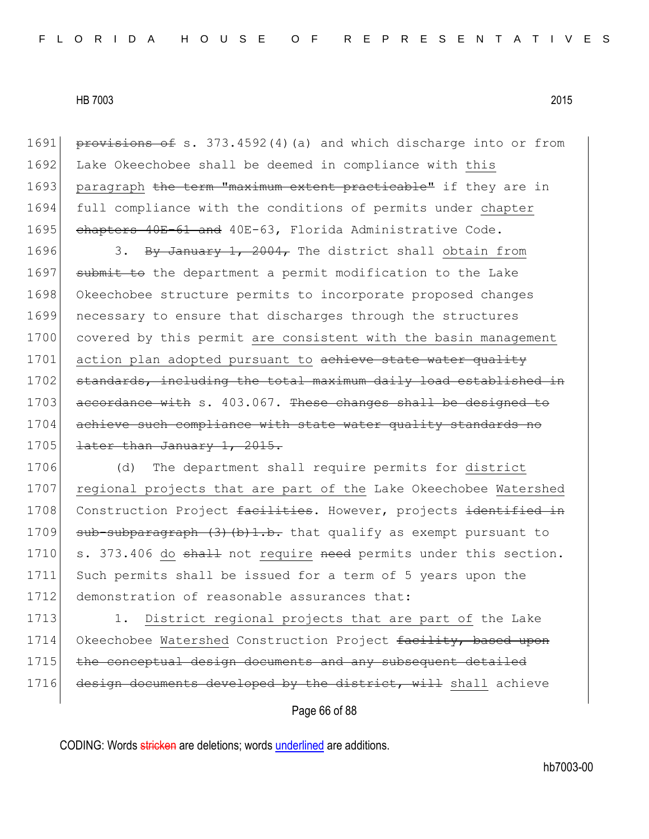1691 provisions of s. 373.4592(4)(a) and which discharge into or from 1692 Lake Okeechobee shall be deemed in compliance with this 1693 paragraph the term "maximum extent practicable" if they are in 1694 full compliance with the conditions of permits under chapter 1695 chapters 40E-61 and 40E-63, Florida Administrative Code.

1696 3. By January 1, 2004, The district shall obtain from 1697 submit to the department a permit modification to the Lake 1698 Okeechobee structure permits to incorporate proposed changes 1699 necessary to ensure that discharges through the structures 1700 covered by this permit are consistent with the basin management 1701 action plan adopted pursuant to achieve state water quality 1702 standards, including the total maximum daily load established in 1703 accordance with s. 403.067. These changes shall be designed to 1704 achieve such compliance with state water quality standards no  $1705$  <del>later than January 1, 2015.</del>

1706 (d) The department shall require permits for district 1707 regional projects that are part of the Lake Okeechobee Watershed 1708 Construction Project facilities. However, projects identified in 1709 sub-subparagraph  $(3)$   $(b)$ 1.b. that qualify as exempt pursuant to 1710 s. 373.406 do shall not require need permits under this section. 1711 Such permits shall be issued for a term of 5 years upon the 1712 demonstration of reasonable assurances that:

1713 1. District regional projects that are part of the Lake 1714 Okeechobee Watershed Construction Project facility, based upon 1715 | the conceptual design documents and any subsequent detailed 1716 design documents developed by the district, will shall achieve

Page 66 of 88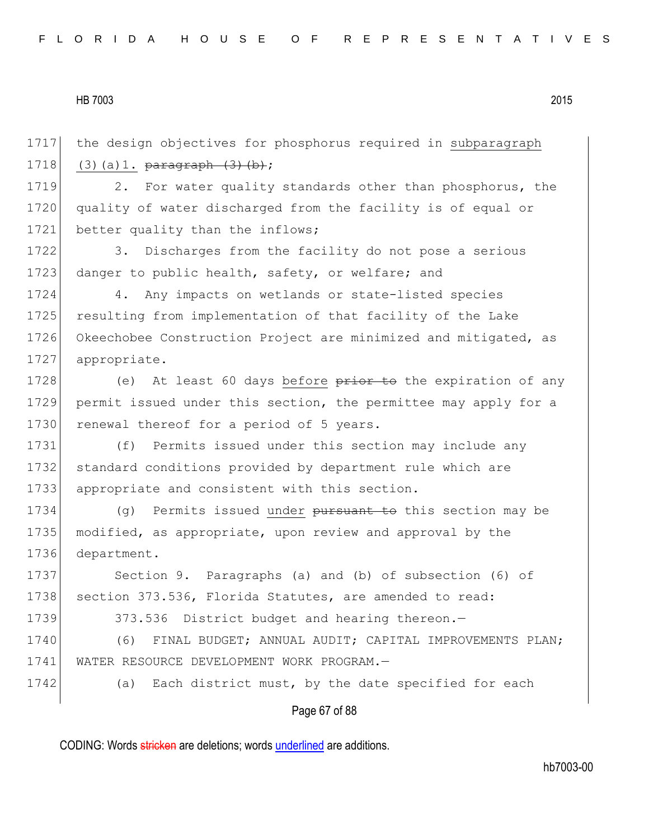1717 the design objectives for phosphorus required in subparagraph 1718 (3)(a)1.  $\frac{1718}{ }$ 

1719 2. For water quality standards other than phosphorus, the 1720 quality of water discharged from the facility is of equal or 1721 better quality than the inflows;

1722 3. Discharges from the facility do not pose a serious 1723 danger to public health, safety, or welfare; and

1724 4. Any impacts on wetlands or state-listed species 1725 resulting from implementation of that facility of the Lake 1726 Okeechobee Construction Project are minimized and mitigated, as 1727 appropriate.

1728 (e) At least 60 days before prior to the expiration of any 1729 permit issued under this section, the permittee may apply for a 1730 renewal thereof for a period of 5 years.

1731 (f) Permits issued under this section may include any 1732 standard conditions provided by department rule which are 1733 appropriate and consistent with this section.

1734 (g) Permits issued under pursuant to this section may be 1735 modified, as appropriate, upon review and approval by the 1736 department.

1737 Section 9. Paragraphs (a) and (b) of subsection (6) of 1738 section 373.536, Florida Statutes, are amended to read:

1739 373.536 District budget and hearing thereon.—

1740 (6) FINAL BUDGET; ANNUAL AUDIT; CAPITAL IMPROVEMENTS PLAN; 1741 WATER RESOURCE DEVELOPMENT WORK PROGRAM.—

1742 (a) Each district must, by the date specified for each

# Page 67 of 88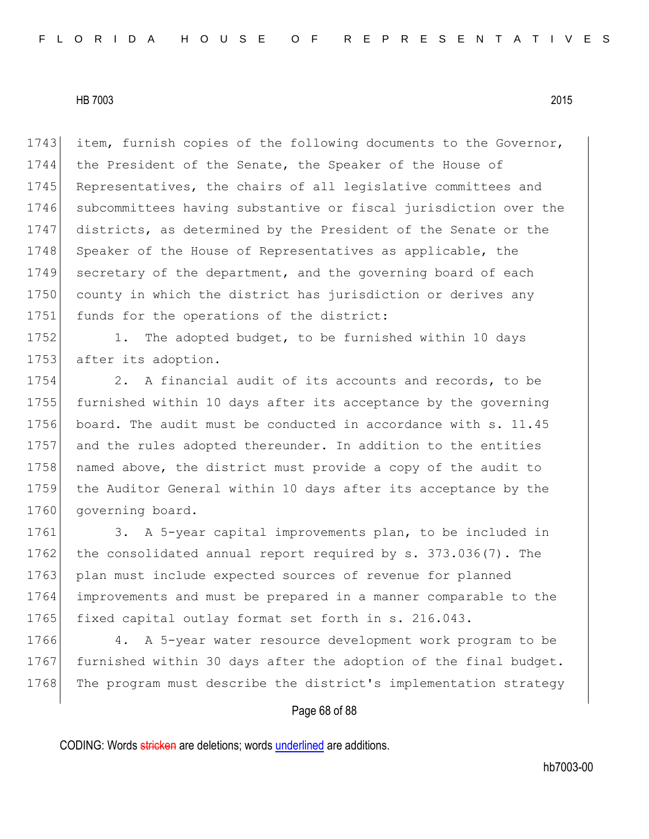1743 item, furnish copies of the following documents to the Governor, 1744 the President of the Senate, the Speaker of the House of 1745 Representatives, the chairs of all legislative committees and 1746 subcommittees having substantive or fiscal jurisdiction over the 1747 districts, as determined by the President of the Senate or the 1748 Speaker of the House of Representatives as applicable, the 1749 secretary of the department, and the governing board of each 1750 county in which the district has jurisdiction or derives any 1751 funds for the operations of the district:

1752 1. The adopted budget, to be furnished within 10 days 1753 after its adoption.

1754 2. A financial audit of its accounts and records, to be 1755 furnished within 10 days after its acceptance by the governing 1756 board. The audit must be conducted in accordance with s. 11.45 1757 and the rules adopted thereunder. In addition to the entities 1758 named above, the district must provide a copy of the audit to 1759 the Auditor General within 10 days after its acceptance by the 1760 governing board.

1761 3. A 5-year capital improvements plan, to be included in 1762 the consolidated annual report required by s. 373.036(7). The 1763 plan must include expected sources of revenue for planned 1764 improvements and must be prepared in a manner comparable to the 1765 fixed capital outlay format set forth in s. 216.043.

1766 4. A 5-year water resource development work program to be 1767 furnished within 30 days after the adoption of the final budget. 1768 The program must describe the district's implementation strategy

# Page 68 of 88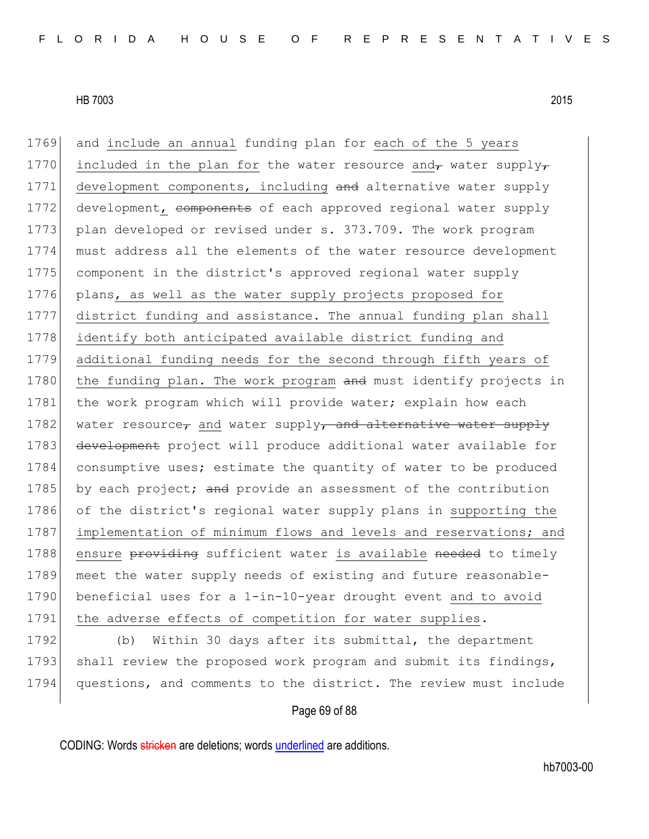1769 and include an annual funding plan for each of the 5 years 1770 included in the plan for the water resource and, water supply, 1771 development components, including and alternative water supply 1772 development, components of each approved regional water supply 1773 plan developed or revised under s. 373.709. The work program 1774 must address all the elements of the water resource development 1775 component in the district's approved regional water supply 1776 plans, as well as the water supply projects proposed for 1777 district funding and assistance. The annual funding plan shall 1778 identify both anticipated available district funding and 1779 additional funding needs for the second through fifth years of 1780 the funding plan. The work program and must identify projects in 1781 the work program which will provide water; explain how each 1782 water resource, and water supply, and alternative water supply 1783 development project will produce additional water available for 1784 consumptive uses; estimate the quantity of water to be produced 1785 by each project; and provide an assessment of the contribution 1786 of the district's regional water supply plans in supporting the 1787 implementation of minimum flows and levels and reservations; and 1788 ensure providing sufficient water is available needed to timely 1789 meet the water supply needs of existing and future reasonable-1790 beneficial uses for a 1-in-10-year drought event and to avoid 1791 the adverse effects of competition for water supplies. 1792 (b) Within 30 days after its submittal, the department 1793 shall review the proposed work program and submit its findings,

#### Page 69 of 88

1794 questions, and comments to the district. The review must include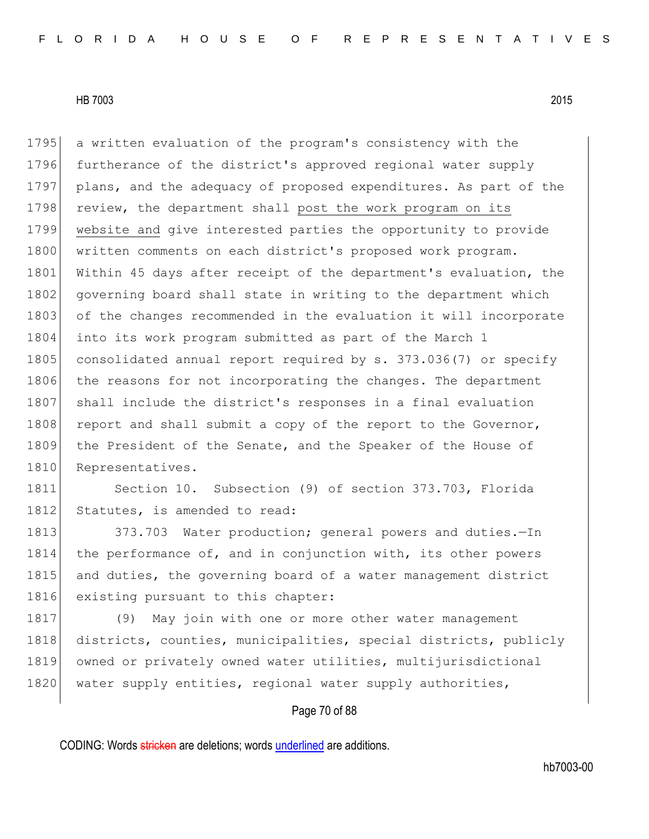1795 a written evaluation of the program's consistency with the 1796 furtherance of the district's approved regional water supply 1797 plans, and the adequacy of proposed expenditures. As part of the 1798 review, the department shall post the work program on its 1799 website and give interested parties the opportunity to provide 1800 written comments on each district's proposed work program. 1801 Within 45 days after receipt of the department's evaluation, the 1802 governing board shall state in writing to the department which 1803 of the changes recommended in the evaluation it will incorporate 1804 into its work program submitted as part of the March 1 1805 consolidated annual report required by s. 373.036(7) or specify 1806 the reasons for not incorporating the changes. The department 1807 shall include the district's responses in a final evaluation 1808 report and shall submit a copy of the report to the Governor, 1809 the President of the Senate, and the Speaker of the House of 1810 Representatives.

1811 Section 10. Subsection (9) of section 373.703, Florida 1812 Statutes, is amended to read:

1813 373.703 Water production; general powers and duties. - In 1814 the performance of, and in conjunction with, its other powers 1815 and duties, the governing board of a water management district 1816 existing pursuant to this chapter:

1817 (9) May join with one or more other water management 1818 districts, counties, municipalities, special districts, publicly 1819 owned or privately owned water utilities, multijurisdictional 1820 water supply entities, regional water supply authorities,

# Page 70 of 88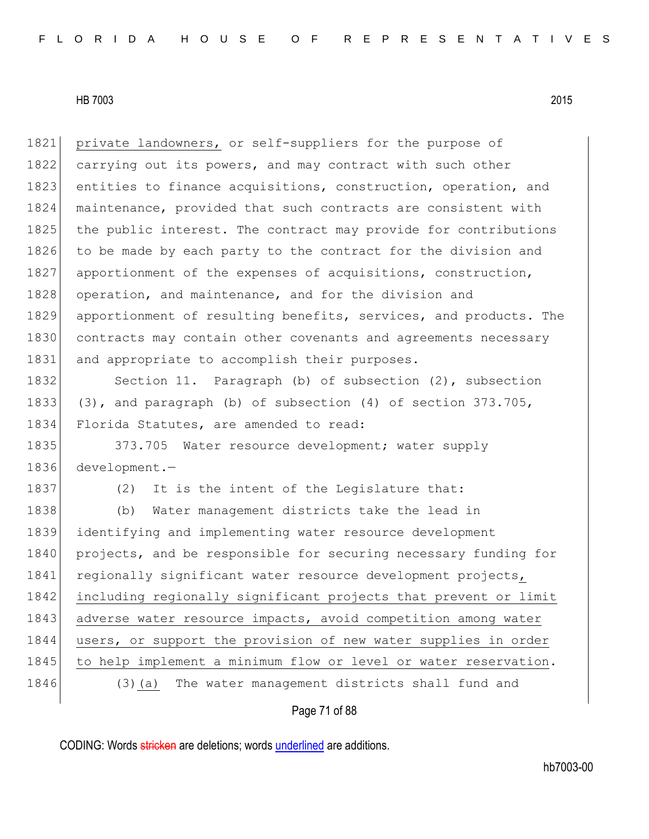| 1821 | private landowners, or self-suppliers for the purpose of          |
|------|-------------------------------------------------------------------|
| 1822 | carrying out its powers, and may contract with such other         |
| 1823 | entities to finance acquisitions, construction, operation, and    |
| 1824 | maintenance, provided that such contracts are consistent with     |
| 1825 | the public interest. The contract may provide for contributions   |
| 1826 | to be made by each party to the contract for the division and     |
| 1827 | apportionment of the expenses of acquisitions, construction,      |
| 1828 | operation, and maintenance, and for the division and              |
| 1829 | apportionment of resulting benefits, services, and products. The  |
| 1830 | contracts may contain other covenants and agreements necessary    |
| 1831 | and appropriate to accomplish their purposes.                     |
| 1832 | Section 11. Paragraph (b) of subsection (2), subsection           |
| 1833 | $(3)$ , and paragraph (b) of subsection $(4)$ of section 373.705, |
| 1834 | Florida Statutes, are amended to read:                            |
| 1835 | 373.705 Water resource development; water supply                  |
| 1836 | $development. -$                                                  |
| 1837 | It is the intent of the Legislature that:<br>(2)                  |
| 1838 | Water management districts take the lead in<br>(b)                |
| 1839 | identifying and implementing water resource development           |
| 1840 | projects, and be responsible for securing necessary funding for   |
| 1841 | regionally significant water resource development projects,       |
| 1842 | including regionally significant projects that prevent or limit   |
| 1843 | adverse water resource impacts, avoid competition among water     |
| 1844 | users, or support the provision of new water supplies in order    |
| 1845 | to help implement a minimum flow or level or water reservation.   |
| 1846 | The water management districts shall fund and<br>$(3)$ (a)        |
|      |                                                                   |

# Page 71 of 88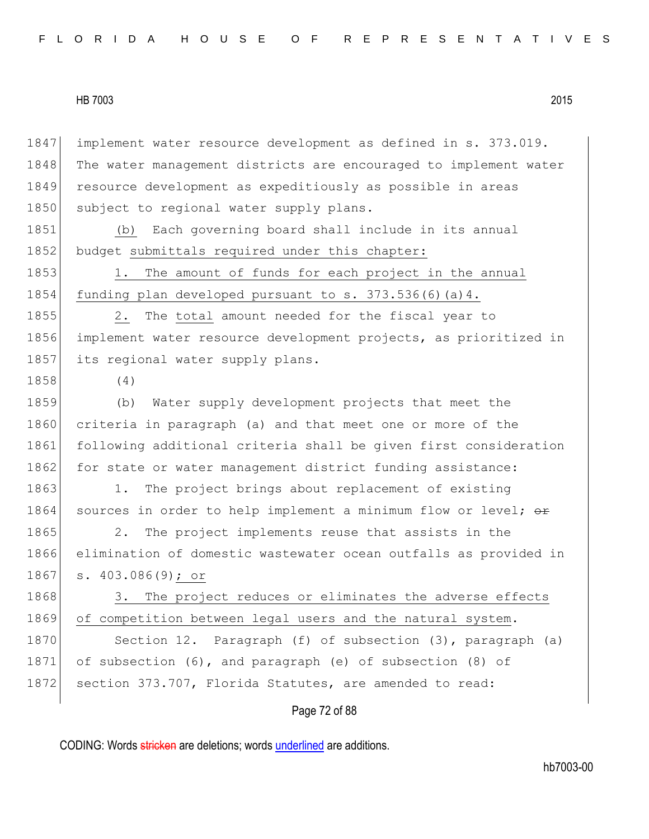| 1847 | implement water resource development as defined in s. 373.019.   |
|------|------------------------------------------------------------------|
| 1848 | The water management districts are encouraged to implement water |
| 1849 | resource development as expeditiously as possible in areas       |
| 1850 | subject to regional water supply plans.                          |
| 1851 | Each governing board shall include in its annual<br>(b)          |
| 1852 | budget submittals required under this chapter:                   |
| 1853 | The amount of funds for each project in the annual<br>1.         |
| 1854 | funding plan developed pursuant to s. 373.536(6) (a) 4.          |
| 1855 | The total amount needed for the fiscal year to<br>2.             |
| 1856 | implement water resource development projects, as prioritized in |
| 1857 | its regional water supply plans.                                 |
| 1858 | (4)                                                              |
| 1859 | Water supply development projects that meet the<br>(b)           |
| 1860 | criteria in paragraph (a) and that meet one or more of the       |
| 1861 | following additional criteria shall be given first consideration |
| 1862 | for state or water management district funding assistance:       |
| 1863 | The project brings about replacement of existing<br>1.           |
| 1864 | sources in order to help implement a minimum flow or level; or   |
| 1865 | The project implements reuse that assists in the<br>2.           |
| 1866 | elimination of domestic wastewater ocean outfalls as provided in |
| 1867 | s. $403.086(9)$ ; or                                             |
| 1868 | The project reduces or eliminates the adverse effects<br>3.      |
| 1869 | of competition between legal users and the natural system.       |
| 1870 | Section 12. Paragraph (f) of subsection (3), paragraph (a)       |
| 1871 | of subsection (6), and paragraph (e) of subsection (8) of        |
| 1872 | section 373.707, Florida Statutes, are amended to read:          |
|      | Page 72 of 88                                                    |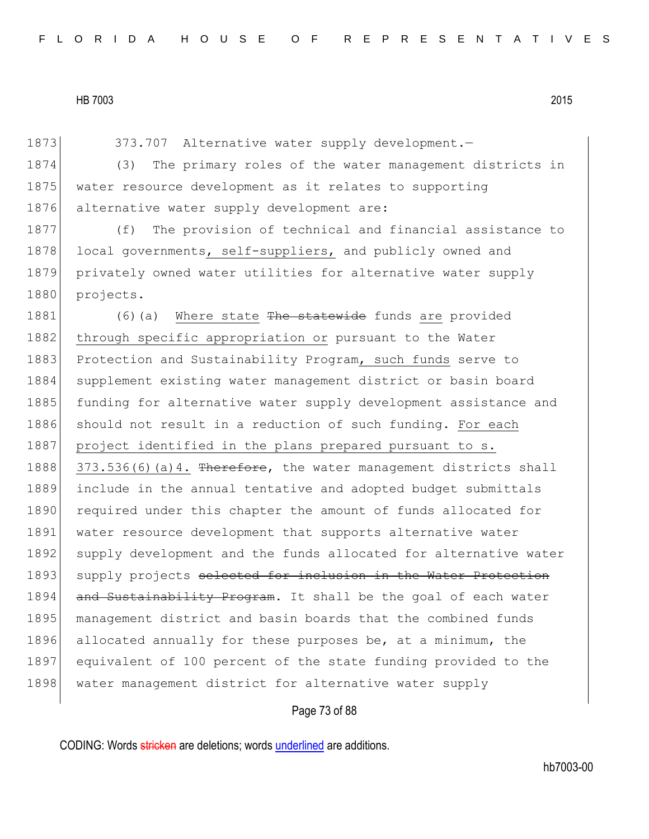1873 373.707 Alternative water supply development. 1874 (3) The primary roles of the water management districts in 1875 water resource development as it relates to supporting 1876 alternative water supply development are: 1877 (f) The provision of technical and financial assistance to 1878 local governments, self-suppliers, and publicly owned and 1879 privately owned water utilities for alternative water supply 1880 projects. 1881 (6)(a) Where state The statewide funds are provided 1882 through specific appropriation or pursuant to the Water 1883 Protection and Sustainability Program, such funds serve to 1884 supplement existing water management district or basin board 1885 funding for alternative water supply development assistance and 1886 should not result in a reduction of such funding. For each 1887 project identified in the plans prepared pursuant to s. 1888 373.536(6)(a)4. Therefore, the water management districts shall 1889 include in the annual tentative and adopted budget submittals 1890 required under this chapter the amount of funds allocated for 1891 water resource development that supports alternative water 1892 supply development and the funds allocated for alternative water 1893 supply projects selected for inclusion in the Water Protection 1894 and Sustainability Program. It shall be the goal of each water 1895 management district and basin boards that the combined funds 1896 allocated annually for these purposes be, at a minimum, the 1897 equivalent of 100 percent of the state funding provided to the 1898 water management district for alternative water supply

# Page 73 of 88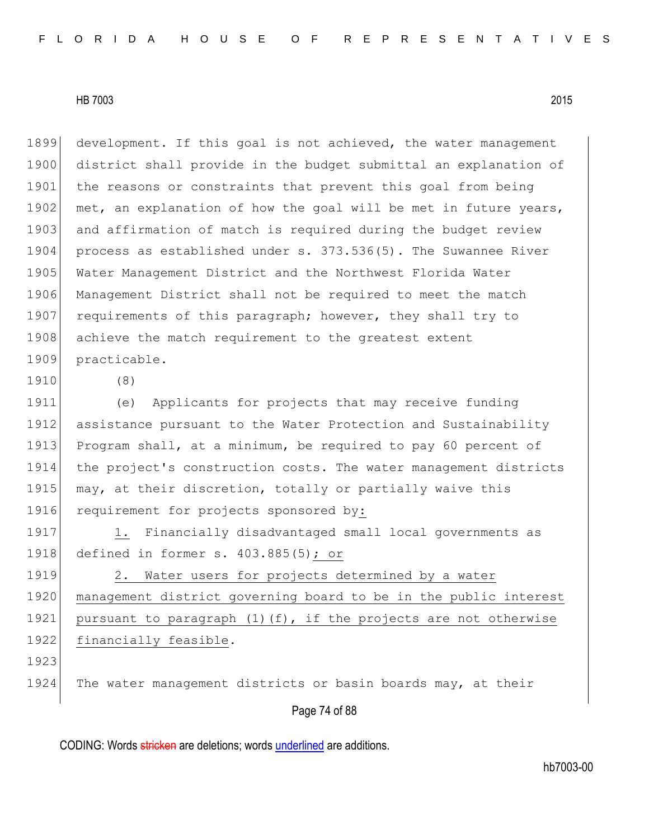1899 development. If this goal is not achieved, the water management 1900 district shall provide in the budget submittal an explanation of 1901 the reasons or constraints that prevent this goal from being 1902 met, an explanation of how the goal will be met in future years, 1903 and affirmation of match is required during the budget review 1904 process as established under s. 373.536(5). The Suwannee River 1905 Water Management District and the Northwest Florida Water 1906 Management District shall not be required to meet the match 1907 requirements of this paragraph; however, they shall try to 1908 achieve the match requirement to the greatest extent 1909 practicable.

1910 (8)

1911 (e) Applicants for projects that may receive funding 1912 assistance pursuant to the Water Protection and Sustainability 1913 Program shall, at a minimum, be required to pay 60 percent of 1914 the project's construction costs. The water management districts 1915 may, at their discretion, totally or partially waive this 1916 requirement for projects sponsored by:

1917 1. Financially disadvantaged small local governments as 1918 defined in former s. 403.885(5); or

1919 2. Water users for projects determined by a water 1920 management district governing board to be in the public interest 1921 pursuant to paragraph (1)(f), if the projects are not otherwise 1922 financially feasible.

1923

1924 The water management districts or basin boards may, at their

#### Page 74 of 88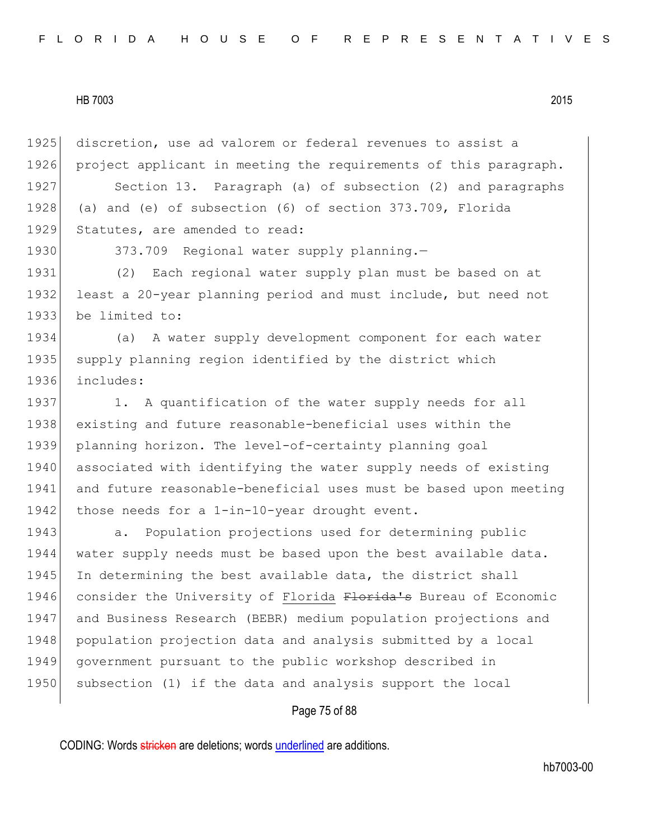1925 discretion, use ad valorem or federal revenues to assist a 1926 project applicant in meeting the requirements of this paragraph.

1927 Section 13. Paragraph (a) of subsection (2) and paragraphs 1928 (a) and (e) of subsection (6) of section 373.709, Florida 1929 Statutes, are amended to read:

1930 373.709 Regional water supply planning.

1931 (2) Each regional water supply plan must be based on at 1932 least a 20-year planning period and must include, but need not 1933 be limited to:

1934 (a) A water supply development component for each water 1935 supply planning region identified by the district which 1936 includes:

1937 1. A quantification of the water supply needs for all 1938 existing and future reasonable-beneficial uses within the 1939 planning horizon. The level-of-certainty planning goal 1940 associated with identifying the water supply needs of existing 1941 and future reasonable-beneficial uses must be based upon meeting 1942 those needs for a 1-in-10-year drought event.

**a.** Population projections used for determining public water supply needs must be based upon the best available data. 1945 In determining the best available data, the district shall 1946 consider the University of Florida Florida's Bureau of Economic and Business Research (BEBR) medium population projections and population projection data and analysis submitted by a local government pursuant to the public workshop described in 1950 subsection (1) if the data and analysis support the local

# Page 75 of 88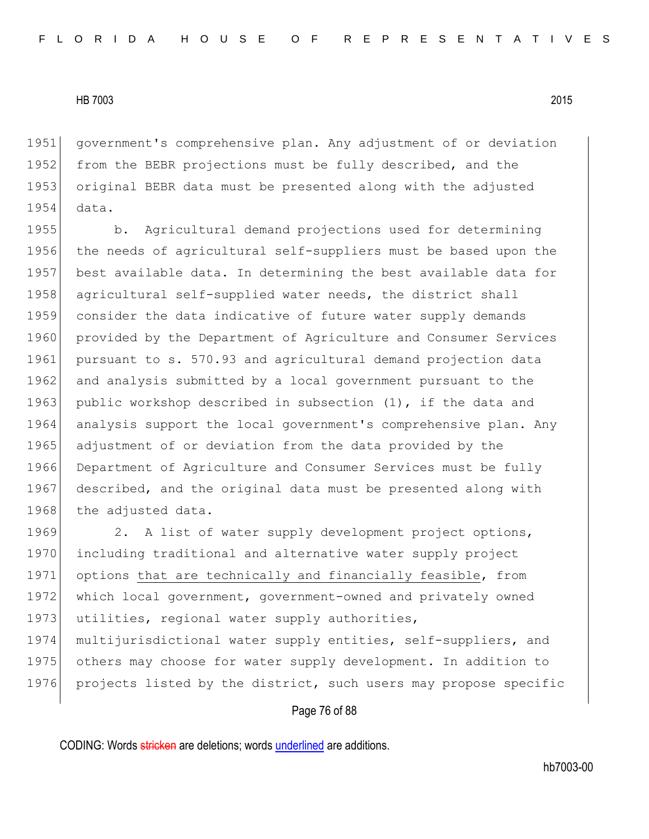1951 government's comprehensive plan. Any adjustment of or deviation 1952 from the BEBR projections must be fully described, and the 1953 original BEBR data must be presented along with the adjusted 1954 data.

1955 b. Agricultural demand projections used for determining 1956 the needs of agricultural self-suppliers must be based upon the 1957 best available data. In determining the best available data for 1958 agricultural self-supplied water needs, the district shall 1959 consider the data indicative of future water supply demands 1960 provided by the Department of Agriculture and Consumer Services 1961 pursuant to s. 570.93 and agricultural demand projection data 1962 and analysis submitted by a local government pursuant to the 1963 public workshop described in subsection  $(1)$ , if the data and 1964 analysis support the local government's comprehensive plan. Any 1965 adjustment of or deviation from the data provided by the 1966 Department of Agriculture and Consumer Services must be fully 1967 described, and the original data must be presented along with 1968 the adjusted data.

1969 2. A list of water supply development project options, 1970 including traditional and alternative water supply project 1971 options that are technically and financially feasible, from 1972 which local government, government-owned and privately owned 1973 utilities, regional water supply authorities,

1974 multijurisdictional water supply entities, self-suppliers, and 1975 others may choose for water supply development. In addition to 1976 projects listed by the district, such users may propose specific

# Page 76 of 88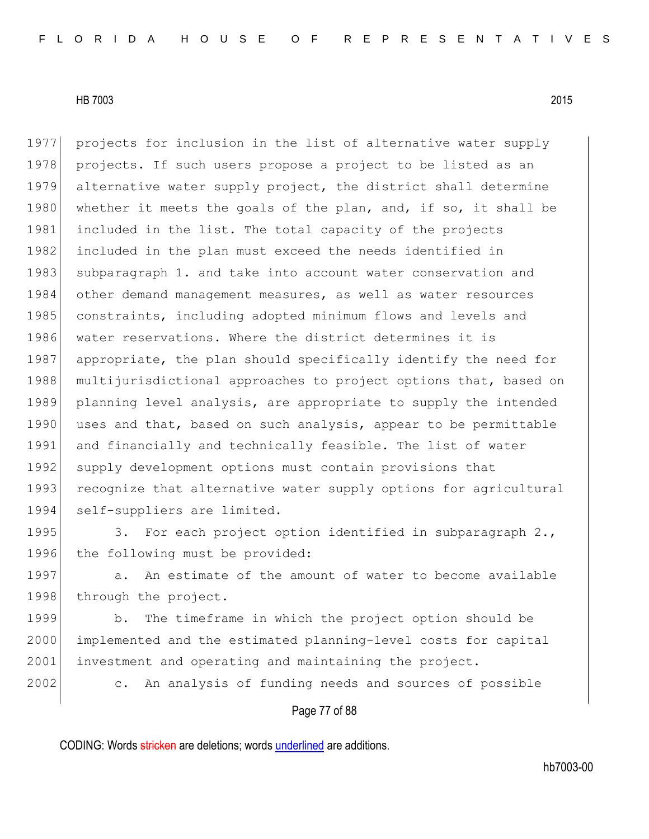1977 projects for inclusion in the list of alternative water supply 1978 projects. If such users propose a project to be listed as an 1979 alternative water supply project, the district shall determine 1980 whether it meets the goals of the plan, and, if so, it shall be 1981 included in the list. The total capacity of the projects 1982 included in the plan must exceed the needs identified in 1983 subparagraph 1. and take into account water conservation and 1984 other demand management measures, as well as water resources 1985 constraints, including adopted minimum flows and levels and 1986 water reservations. Where the district determines it is 1987 appropriate, the plan should specifically identify the need for 1988 multijurisdictional approaches to project options that, based on 1989 planning level analysis, are appropriate to supply the intended 1990 uses and that, based on such analysis, appear to be permittable 1991 and financially and technically feasible. The list of water 1992 supply development options must contain provisions that 1993 recognize that alternative water supply options for agricultural 1994 self-suppliers are limited.

1995 3. For each project option identified in subparagraph 2., 1996 the following must be provided:

1997 a. An estimate of the amount of water to become available 1998 through the project.

1999 b. The timeframe in which the project option should be 2000 implemented and the estimated planning-level costs for capital 2001 investment and operating and maintaining the project.

2002 c. An analysis of funding needs and sources of possible

# Page 77 of 88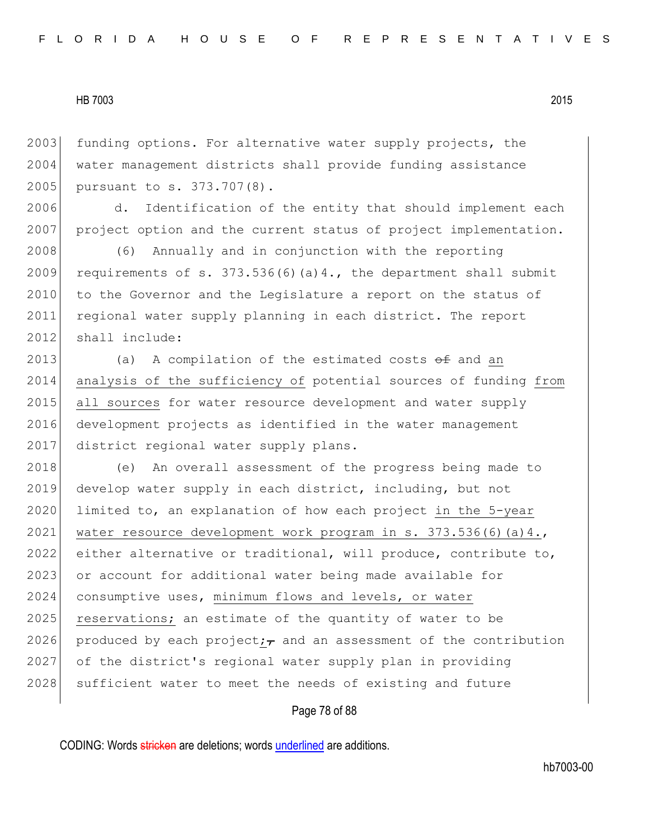2003 funding options. For alternative water supply projects, the 2004 water management districts shall provide funding assistance 2005 pursuant to s. 373.707(8).

2006 d. Identification of the entity that should implement each 2007 project option and the current status of project implementation.

2008 (6) Annually and in conjunction with the reporting 2009 requirements of s.  $373.536(6)(a)4$ ., the department shall submit 2010 to the Governor and the Legislature a report on the status of 2011 regional water supply planning in each district. The report 2012 shall include:

2013 (a) A compilation of the estimated costs  $\theta$  and an 2014 analysis of the sufficiency of potential sources of funding from 2015 all sources for water resource development and water supply 2016 development projects as identified in the water management 2017 district regional water supply plans.

2018 (e) An overall assessment of the progress being made to 2019 develop water supply in each district, including, but not 2020 limited to, an explanation of how each project in the 5-year 2021 water resource development work program in s.  $373.536(6)(a)4.$ 2022 either alternative or traditional, will produce, contribute to, 2023 or account for additional water being made available for 2024 consumptive uses, minimum flows and levels, or water 2025 reservations; an estimate of the quantity of water to be 2026 produced by each project; and an assessment of the contribution 2027 of the district's regional water supply plan in providing 2028 sufficient water to meet the needs of existing and future

## Page 78 of 88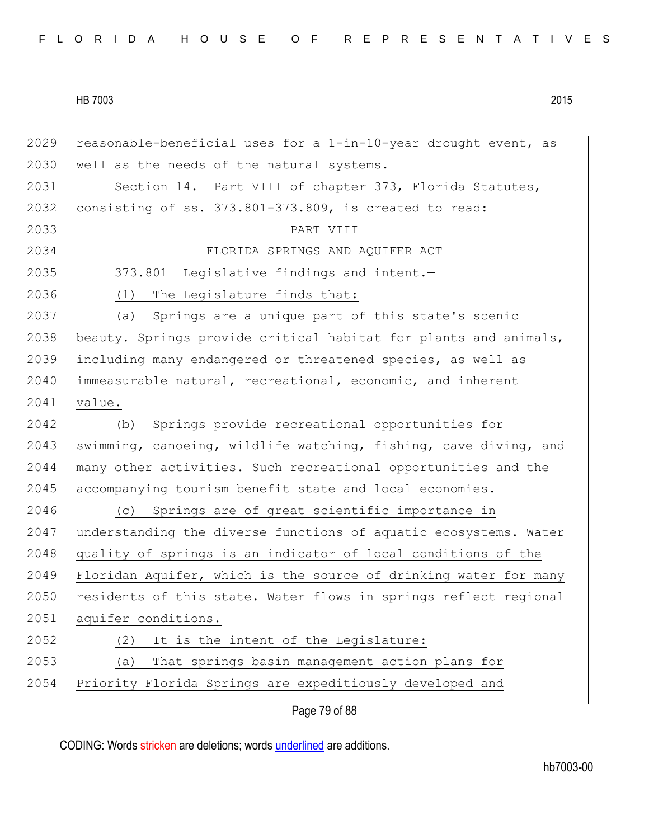Page 79 of 88 2029 reasonable-beneficial uses for a  $1-in-10$ -year drought event, as 2030 well as the needs of the natural systems. 2031 Section 14. Part VIII of chapter 373, Florida Statutes, 2032 consisting of ss. 373.801-373.809, is created to read: 2033 PART VIII 2034 FLORIDA SPRINGS AND AQUIFER ACT 2035 373.801 Legislative findings and intent. 2036 (1) The Legislature finds that: 2037 (a) Springs are a unique part of this state's scenic 2038 beauty. Springs provide critical habitat for plants and animals, 2039 including many endangered or threatened species, as well as 2040 immeasurable natural, recreational, economic, and inherent 2041 value. 2042 (b) Springs provide recreational opportunities for 2043 swimming, canoeing, wildlife watching, fishing, cave diving, and 2044 many other activities. Such recreational opportunities and the 2045 accompanying tourism benefit state and local economies. 2046 (c) Springs are of great scientific importance in 2047 understanding the diverse functions of aquatic ecosystems. Water 2048 quality of springs is an indicator of local conditions of the 2049 Floridan Aquifer, which is the source of drinking water for many 2050 residents of this state. Water flows in springs reflect regional 2051 aquifer conditions. 2052 (2) It is the intent of the Legislature: 2053 (a) That springs basin management action plans for 2054 Priority Florida Springs are expeditiously developed and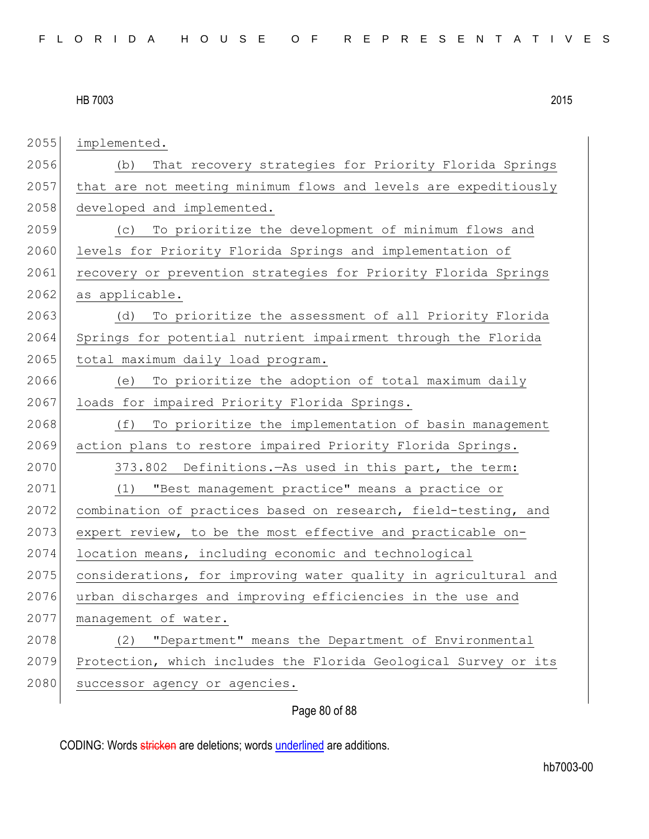2055 implemented. 2056 (b) That recovery strategies for Priority Florida Springs 2057 that are not meeting minimum flows and levels are expeditiously 2058 developed and implemented. 2059 (c) To prioritize the development of minimum flows and 2060 levels for Priority Florida Springs and implementation of 2061 recovery or prevention strategies for Priority Florida Springs 2062 as applicable. 2063 (d) To prioritize the assessment of all Priority Florida 2064 Springs for potential nutrient impairment through the Florida 2065 total maximum daily load program. 2066 (e) To prioritize the adoption of total maximum daily 2067 loads for impaired Priority Florida Springs. 2068 (f) To prioritize the implementation of basin management 2069 action plans to restore impaired Priority Florida Springs. 2070 373.802 Definitions.—As used in this part, the term: 2071 (1) "Best management practice" means a practice or 2072 combination of practices based on research, field-testing, and  $2073$  expert review, to be the most effective and practicable on-2074 location means, including economic and technological 2075 considerations, for improving water quality in agricultural and 2076 urban discharges and improving efficiencies in the use and 2077 management of water. 2078 (2) "Department" means the Department of Environmental 2079 Protection, which includes the Florida Geological Survey or its 2080 successor agency or agencies.

# Page 80 of 88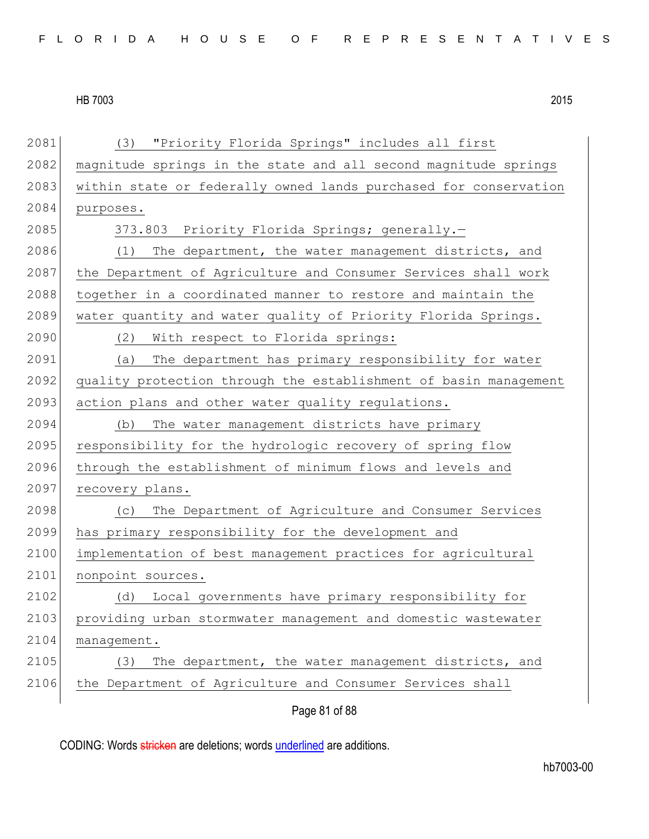Page 81 of 88 2081 (3) "Priority Florida Springs" includes all first 2082 magnitude springs in the state and all second magnitude springs 2083 within state or federally owned lands purchased for conservation 2084 purposes. 2085 373.803 Priority Florida Springs; generally. 2086 (1) The department, the water management districts, and 2087 the Department of Agriculture and Consumer Services shall work 2088 together in a coordinated manner to restore and maintain the 2089 water quantity and water quality of Priority Florida Springs. 2090 (2) With respect to Florida springs: 2091 (a) The department has primary responsibility for water 2092 quality protection through the establishment of basin management 2093 action plans and other water quality regulations. 2094 (b) The water management districts have primary 2095 responsibility for the hydrologic recovery of spring flow 2096 through the establishment of minimum flows and levels and 2097 recovery plans. 2098 (c) The Department of Agriculture and Consumer Services 2099 has primary responsibility for the development and 2100 implementation of best management practices for agricultural 2101 nonpoint sources. 2102 (d) Local governments have primary responsibility for 2103 providing urban stormwater management and domestic wastewater 2104 management. 2105 (3) The department, the water management districts, and 2106 the Department of Agriculture and Consumer Services shall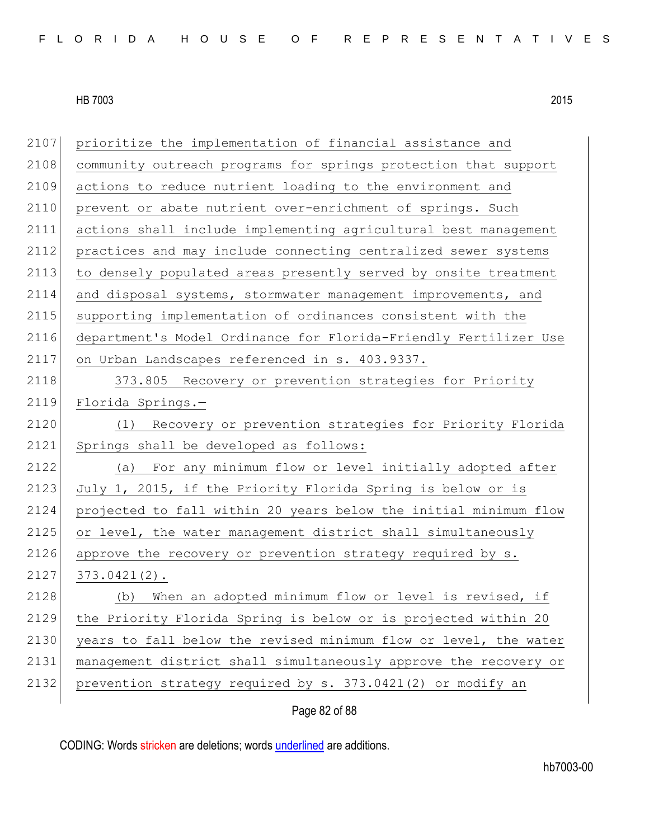| 2107 | prioritize the implementation of financial assistance and        |
|------|------------------------------------------------------------------|
| 2108 | community outreach programs for springs protection that support  |
| 2109 | actions to reduce nutrient loading to the environment and        |
| 2110 | prevent or abate nutrient over-enrichment of springs. Such       |
| 2111 | actions shall include implementing agricultural best management  |
| 2112 | practices and may include connecting centralized sewer systems   |
| 2113 | to densely populated areas presently served by onsite treatment  |
| 2114 | and disposal systems, stormwater management improvements, and    |
| 2115 | supporting implementation of ordinances consistent with the      |
| 2116 | department's Model Ordinance for Florida-Friendly Fertilizer Use |
| 2117 | on Urban Landscapes referenced in s. 403.9337.                   |
| 2118 | 373.805 Recovery or prevention strategies for Priority           |
| 2119 | Florida Springs.-                                                |
| 2120 | Recovery or prevention strategies for Priority Florida<br>(1)    |
| 2121 | Springs shall be developed as follows:                           |
| 2122 | For any minimum flow or level initially adopted after<br>(a)     |
| 2123 | July 1, 2015, if the Priority Florida Spring is below or is      |
| 2124 | projected to fall within 20 years below the initial minimum flow |
| 2125 | or level, the water management district shall simultaneously     |
| 2126 | approve the recovery or prevention strategy required by s.       |
| 2127 | $373.0421(2)$ .                                                  |
| 2128 | When an adopted minimum flow or level is revised, if<br>(b)      |
| 2129 | the Priority Florida Spring is below or is projected within 20   |
| 2130 | years to fall below the revised minimum flow or level, the water |
| 2131 | management district shall simultaneously approve the recovery or |
| 2132 | prevention strategy required by s. 373.0421(2) or modify an      |
|      |                                                                  |

# Page 82 of 88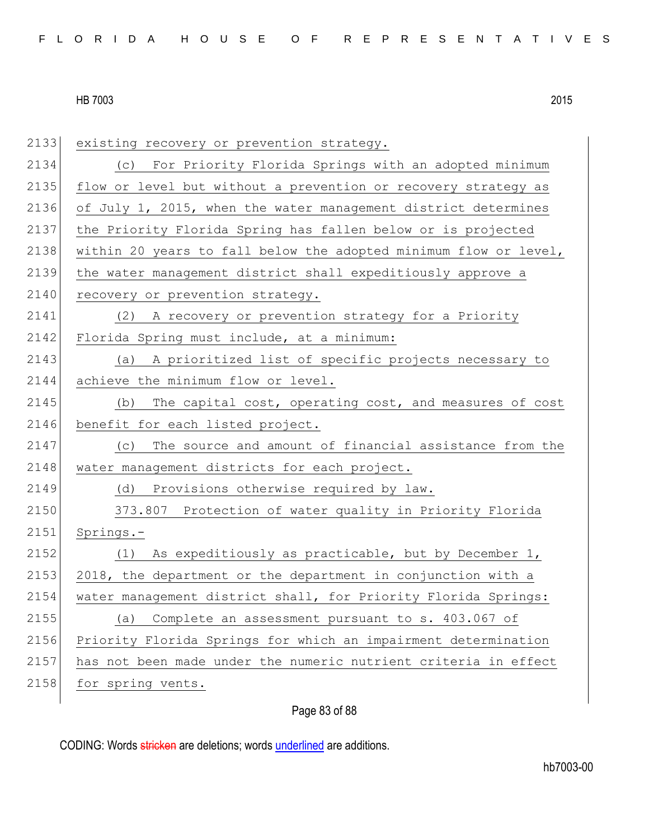| 2133 | existing recovery or prevention strategy.                        |
|------|------------------------------------------------------------------|
| 2134 | For Priority Florida Springs with an adopted minimum<br>(C)      |
| 2135 | flow or level but without a prevention or recovery strategy as   |
| 2136 | of July 1, 2015, when the water management district determines   |
| 2137 | the Priority Florida Spring has fallen below or is projected     |
| 2138 | within 20 years to fall below the adopted minimum flow or level, |
| 2139 | the water management district shall expeditiously approve a      |
| 2140 | recovery or prevention strategy.                                 |
| 2141 | A recovery or prevention strategy for a Priority<br>(2)          |
| 2142 | Florida Spring must include, at a minimum:                       |
| 2143 | A prioritized list of specific projects necessary to<br>(a)      |
| 2144 | achieve the minimum flow or level.                               |
| 2145 | The capital cost, operating cost, and measures of cost<br>(b)    |
| 2146 | benefit for each listed project.                                 |
| 2147 | The source and amount of financial assistance from the<br>(C)    |
| 2148 | water management districts for each project.                     |
| 2149 | (d) Provisions otherwise required by law.                        |
| 2150 | 373.807 Protection of water quality in Priority Florida          |
| 2151 | Springs.-                                                        |
| 2152 | (1) As expeditiously as practicable, but by December 1,          |
| 2153 | 2018, the department or the department in conjunction with a     |
| 2154 | water management district shall, for Priority Florida Springs:   |
| 2155 | Complete an assessment pursuant to s. 403.067 of<br>(a)          |
| 2156 | Priority Florida Springs for which an impairment determination   |
| 2157 | has not been made under the numeric nutrient criteria in effect  |
| 2158 | for spring vents.                                                |

# Page 83 of 88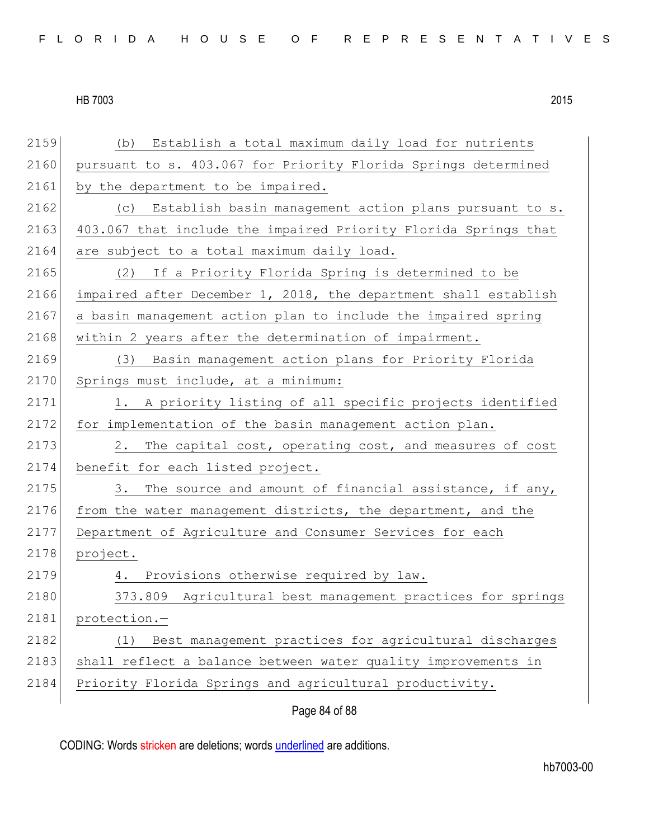| 2159 | Establish a total maximum daily load for nutrients<br>(b)       |
|------|-----------------------------------------------------------------|
| 2160 | pursuant to s. 403.067 for Priority Florida Springs determined  |
| 2161 | by the department to be impaired.                               |
| 2162 | (c) Establish basin management action plans pursuant to s.      |
| 2163 | 403.067 that include the impaired Priority Florida Springs that |
| 2164 | are subject to a total maximum daily load.                      |
| 2165 | (2) If a Priority Florida Spring is determined to be            |
| 2166 | impaired after December 1, 2018, the department shall establish |
| 2167 | a basin management action plan to include the impaired spring   |
| 2168 | within 2 years after the determination of impairment.           |
| 2169 | (3) Basin management action plans for Priority Florida          |
| 2170 | Springs must include, at a minimum:                             |
| 2171 | 1. A priority listing of all specific projects identified       |
| 2172 | for implementation of the basin management action plan.         |
| 2173 | The capital cost, operating cost, and measures of cost<br>2.    |
| 2174 | benefit for each listed project.                                |
| 2175 | The source and amount of financial assistance, if any,<br>3.    |
| 2176 | from the water management districts, the department, and the    |
| 2177 | Department of Agriculture and Consumer Services for each        |
| 2178 | project.                                                        |
| 2179 | Provisions otherwise required by law.<br>4.                     |
| 2180 | 373.809 Agricultural best management practices for springs      |
| 2181 | protection.-                                                    |
| 2182 | Best management practices for agricultural discharges<br>(1)    |
| 2183 | shall reflect a balance between water quality improvements in   |
| 2184 | Priority Florida Springs and agricultural productivity.         |
|      |                                                                 |

Page 84 of 88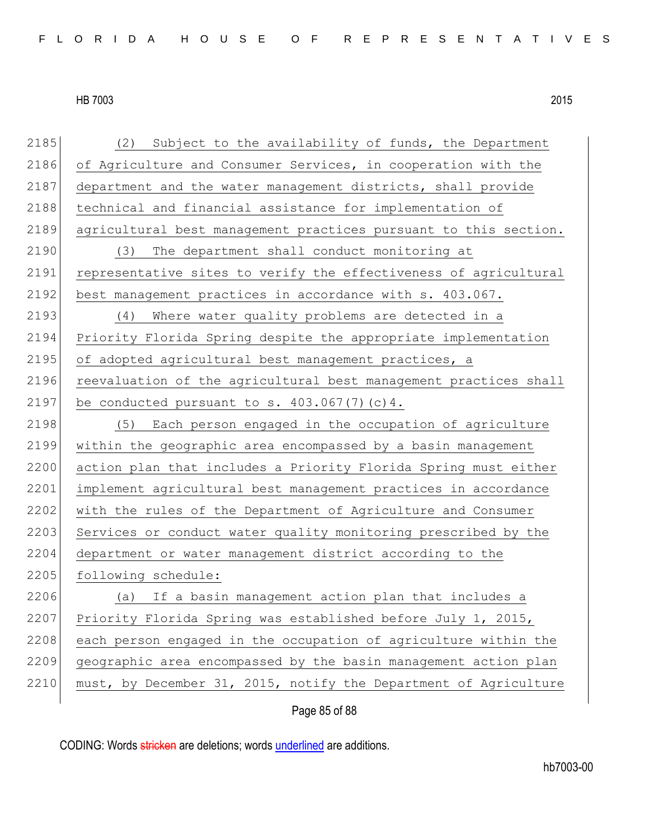2185 (2) Subject to the availability of funds, the Department 2186 of Agriculture and Consumer Services, in cooperation with the 2187 department and the water management districts, shall provide 2188 technical and financial assistance for implementation of 2189 agricultural best management practices pursuant to this section. 2190 (3) The department shall conduct monitoring at 2191 representative sites to verify the effectiveness of agricultural 2192 best management practices in accordance with s. 403.067. 2193 (4) Where water quality problems are detected in a 2194 Priority Florida Spring despite the appropriate implementation 2195 of adopted agricultural best management practices, a 2196 reevaluation of the agricultural best management practices shall 2197 be conducted pursuant to s.  $403.067(7)(c)4$ . 2198 (5) Each person engaged in the occupation of agriculture 2199 within the geographic area encompassed by a basin management 2200 action plan that includes a Priority Florida Spring must either 2201 implement agricultural best management practices in accordance 2202 with the rules of the Department of Agriculture and Consumer 2203 Services or conduct water quality monitoring prescribed by the 2204 department or water management district according to the 2205 following schedule: 2206 (a) If a basin management action plan that includes a 2207 Priority Florida Spring was established before July 1, 2015, 2208 each person engaged in the occupation of agriculture within the 2209 geographic area encompassed by the basin management action plan 2210 must, by December 31, 2015, notify the Department of Agriculture

Page 85 of 88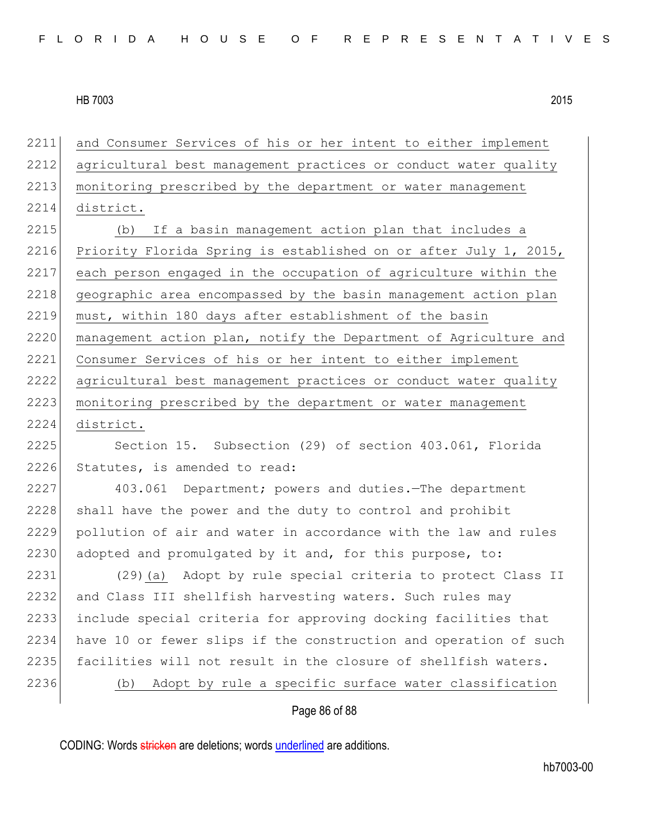2211 and Consumer Services of his or her intent to either implement 2212 agricultural best management practices or conduct water quality 2213 monitoring prescribed by the department or water management 2214 district.

2215 (b) If a basin management action plan that includes a 2216 Priority Florida Spring is established on or after July 1, 2015, 2217 each person engaged in the occupation of agriculture within the 2218 geographic area encompassed by the basin management action plan 2219 must, within 180 days after establishment of the basin 2220 management action plan, notify the Department of Agriculture and 2221 Consumer Services of his or her intent to either implement 2222 agricultural best management practices or conduct water quality 2223 monitoring prescribed by the department or water management 2224 district.

2225 Section 15. Subsection (29) of section 403.061, Florida 2226 Statutes, is amended to read:

2227 403.061 Department; powers and duties.—The department 2228 shall have the power and the duty to control and prohibit 2229 pollution of air and water in accordance with the law and rules 2230 adopted and promulgated by it and, for this purpose, to:

 (29)(a) Adopt by rule special criteria to protect Class II 2232 and Class III shellfish harvesting waters. Such rules may include special criteria for approving docking facilities that have 10 or fewer slips if the construction and operation of such 2235 facilities will not result in the closure of shellfish waters. (b) Adopt by rule a specific surface water classification

#### Page 86 of 88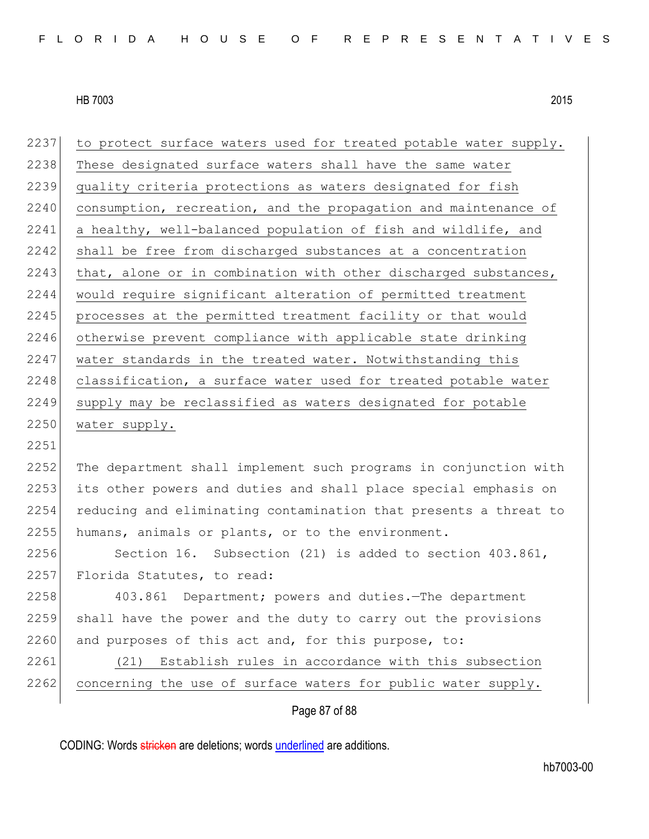| 2237 | to protect surface waters used for treated potable water supply. |
|------|------------------------------------------------------------------|
| 2238 | These designated surface waters shall have the same water        |
| 2239 | quality criteria protections as waters designated for fish       |
| 2240 | consumption, recreation, and the propagation and maintenance of  |
| 2241 | a healthy, well-balanced population of fish and wildlife, and    |
| 2242 | shall be free from discharged substances at a concentration      |
| 2243 | that, alone or in combination with other discharged substances,  |
| 2244 | would require significant alteration of permitted treatment      |
| 2245 | processes at the permitted treatment facility or that would      |
| 2246 | otherwise prevent compliance with applicable state drinking      |
| 2247 | water standards in the treated water. Notwithstanding this       |
| 2248 | classification, a surface water used for treated potable water   |
| 2249 | supply may be reclassified as waters designated for potable      |
| 2250 | water supply.                                                    |
| 2251 |                                                                  |
| 2252 | The department shall implement such programs in conjunction with |
| 2253 | its other powers and duties and shall place special emphasis on  |
| 2254 | reducing and eliminating contamination that presents a threat to |
| 2255 | humans, animals or plants, or to the environment.                |
| 2256 | Section 16. Subsection (21) is added to section 403.861,         |
| 2257 | Florida Statutes, to read:                                       |
| 2258 | Department; powers and duties. The department<br>403.861         |
| 2259 | shall have the power and the duty to carry out the provisions    |
| 2260 | and purposes of this act and, for this purpose, to:              |
| 2261 | Establish rules in accordance with this subsection<br>(21)       |
| 2262 | concerning the use of surface waters for public water supply.    |
|      | Page 87 of 88                                                    |